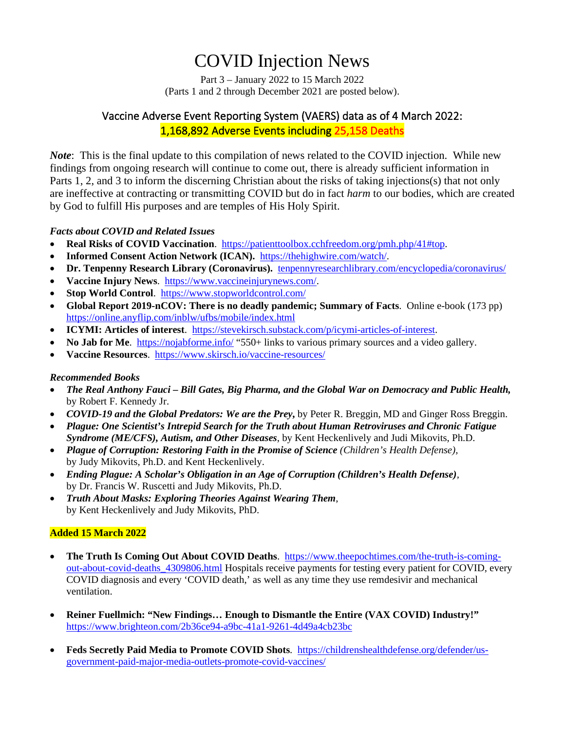# COVID Injection News

Part 3 – January 2022 to 15 March 2022 (Parts 1 and 2 through December 2021 are posted below).

# Vaccine Adverse Event Reporting System (VAERS) data as of 4 March 2022: 1,168,892 Adverse Events including 25,158 Deaths

*Note*: This is the final update to this compilation of news related to the COVID injection. While new findings from ongoing research will continue to come out, there is already sufficient information in Parts 1, 2, and 3 to inform the discerning Christian about the risks of taking injections(s) that not only are ineffective at contracting or transmitting COVID but do in fact *harm* to our bodies, which are created by God to fulfill His purposes and are temples of His Holy Spirit.

## *Facts about COVID and Related Issues*

- **Real Risks of COVID Vaccination**. [https://patienttoolbox.cchfreedom.org/pmh.php/41#top.](https://patienttoolbox.cchfreedom.org/pmh.php/41#top)
- **Informed Consent Action Network (ICAN).** [https://thehighwire.com/watch/.](https://thehighwire.com/watch/)
- **Dr. Tenpenny Research Library (Coronavirus).** [tenpennyresearchlibrary.com/encyclopedia/coronavirus/](https://tenpennyresearchlibrary.com/encyclopedia/coronavirus/)
- **Vaccine Injury News**. [https://www.vaccineinjurynews.com/.](https://www.vaccineinjurynews.com/)
- **Stop World Control**. <https://www.stopworldcontrol.com/>
- **Global Report 2019-nCOV: There is no deadly pandemic; Summary of Facts**. Online e-book (173 pp) <https://online.anyflip.com/inblw/ufbs/mobile/index.html>
- **ICYMI: Articles of interest**. [https://stevekirsch.substack.com/p/icymi-articles-of-interest.](https://stevekirsch.substack.com/p/icymi-articles-of-interest)
- **No Jab for Me.** <https://nojabforme.info/> "550+ links to various primary sources and a video gallery.
- **Vaccine Resources**. <https://www.skirsch.io/vaccine-resources/>

#### *Recommended Books*

- *The Real Anthony Fauci Bill Gates, Big Pharma, and the Global War on Democracy and Public Health,* by Robert F. Kennedy Jr.
- *COVID-19 and the Global Predators: We are the Prey***,** by Peter R. Breggin, MD and Ginger Ross Breggin.
- *[Plague: One Scientist's Intrepid Search for the Truth about Human Retroviruses and Chronic Fatigue](https://www.amazon.com/Plague-Scientist%C2%92s-Intrepid-Retroviruses-Syndrome/dp/1510713948/ref=sr_1_6?crid=14LF8UIYA6UB1&keywords=judy+mikovits+books&qid=1638084920&sprefix=judy+mikovits%2Caps%2C363&sr=8-6)  [Syndrome \(ME/CFS\), Autism, and Other Diseases](https://www.amazon.com/Plague-Scientist%C2%92s-Intrepid-Retroviruses-Syndrome/dp/1510713948/ref=sr_1_6?crid=14LF8UIYA6UB1&keywords=judy+mikovits+books&qid=1638084920&sprefix=judy+mikovits%2Caps%2C363&sr=8-6)*, by Kent Heckenlively and Judi Mikovits, Ph.D.
- *Plague of Corruption: Restoring Faith in the Promise of Science (Children's Health Defense),* by Judy Mikovits, Ph.D. and Kent Heckenlively.
- *[Ending Plague: A Scholar's Obligation in an Age of Corruption \(Children's Health Defense\)](https://www.amazon.com/Ending-Plague-Obligation-Corruption-Childrens/dp/1510764682/ref=sr_1_4?crid=14LF8UIYA6UB1&keywords=judy+mikovits+books&qid=1638085123&sprefix=judy+mikovits%2Caps%2C363&sr=8-4),* by Dr. Francis W. Ruscetti and Judy Mikovits, Ph.D.
- *[Truth About Masks: Exploring Theories Against Wearing Them](https://www.amazon.com/Truth-About-Masks-Exploring-Theories/dp/1510771417/ref=sr_1_5?crid=14LF8UIYA6UB1&keywords=judy+mikovits+books&qid=1638084920&sprefix=judy+mikovits%2Caps%2C363&sr=8-5)*, by Kent Heckenlively and Judy Mikovits, PhD.

# **Added 15 March 2022**

- **The Truth Is Coming Out About COVID Deaths**. [https://www.theepochtimes.com/the-truth-is-coming](https://www.theepochtimes.com/the-truth-is-coming-out-about-covid-deaths_4309806.html)[out-about-covid-deaths\\_4309806.html](https://www.theepochtimes.com/the-truth-is-coming-out-about-covid-deaths_4309806.html) Hospitals receive payments for testing every patient for COVID, every COVID diagnosis and every 'COVID death,' as well as any time they use remdesivir and mechanical ventilation.
- **Reiner Fuellmich: "New Findings… Enough to Dismantle the Entire (VAX COVID) Industry!"**  <https://www.brighteon.com/2b36ce94-a9bc-41a1-9261-4d49a4cb23bc>
- **Feds Secretly Paid Media to Promote COVID Shots**. [https://childrenshealthdefense.org/defender/us](https://childrenshealthdefense.org/defender/us-government-paid-major-media-outlets-promote-covid-vaccines/)[government-paid-major-media-outlets-promote-covid-vaccines/](https://childrenshealthdefense.org/defender/us-government-paid-major-media-outlets-promote-covid-vaccines/)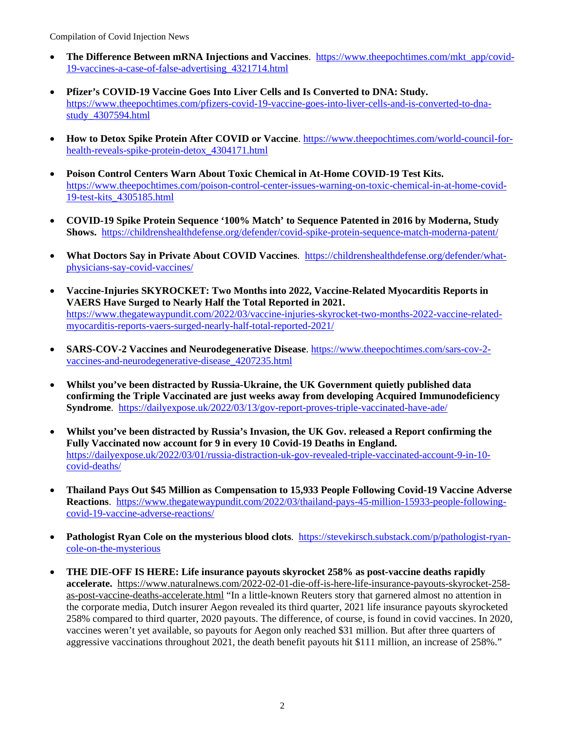- **The Difference Between mRNA Injections and Vaccines**. [https://www.theepochtimes.com/mkt\\_app/covid-](https://www.theepochtimes.com/mkt_app/covid-19-vaccines-a-case-of-false-advertising_4321714.html)[19-vaccines-a-case-of-false-advertising\\_4321714.html](https://www.theepochtimes.com/mkt_app/covid-19-vaccines-a-case-of-false-advertising_4321714.html)
- **Pfizer's COVID-19 Vaccine Goes Into Liver Cells and Is Converted to DNA: Study.** [https://www.theepochtimes.com/pfizers-covid-19-vaccine-goes-into-liver-cells-and-is-converted-to-dna](https://www.theepochtimes.com/pfizers-covid-19-vaccine-goes-into-liver-cells-and-is-converted-to-dna-study_4307594.html)[study\\_4307594.html](https://www.theepochtimes.com/pfizers-covid-19-vaccine-goes-into-liver-cells-and-is-converted-to-dna-study_4307594.html)
- **How to Detox Spike Protein After COVID or Vaccine**. [https://www.theepochtimes.com/world-council-for](https://www.theepochtimes.com/world-council-for-health-reveals-spike-protein-detox_4304171.html)[health-reveals-spike-protein-detox\\_4304171.html](https://www.theepochtimes.com/world-council-for-health-reveals-spike-protein-detox_4304171.html)
- **Poison Control Centers Warn About Toxic Chemical in At-Home COVID-19 Test Kits.** [https://www.theepochtimes.com/poison-control-center-issues-warning-on-toxic-chemical-in-at-home-covid-](https://www.theepochtimes.com/poison-control-center-issues-warning-on-toxic-chemical-in-at-home-covid-19-test-kits_4305185.html)[19-test-kits\\_4305185.html](https://www.theepochtimes.com/poison-control-center-issues-warning-on-toxic-chemical-in-at-home-covid-19-test-kits_4305185.html)
- **COVID-19 Spike Protein Sequence '100% Match' to Sequence Patented in 2016 by Moderna, Study Shows.** <https://childrenshealthdefense.org/defender/covid-spike-protein-sequence-match-moderna-patent/>
- **What Doctors Say in Private About COVID Vaccines**. [https://childrenshealthdefense.org/defender/what](https://childrenshealthdefense.org/defender/what-physicians-say-covid-vaccines/)[physicians-say-covid-vaccines/](https://childrenshealthdefense.org/defender/what-physicians-say-covid-vaccines/)
- **Vaccine-Injuries SKYROCKET: Two Months into 2022, Vaccine-Related Myocarditis Reports in VAERS Have Surged to Nearly Half the Total Reported in 2021.**  [https://www.thegatewaypundit.com/2022/03/vaccine-injuries-skyrocket-two-months-2022-vaccine-related](https://www.thegatewaypundit.com/2022/03/vaccine-injuries-skyrocket-two-months-2022-vaccine-related-myocarditis-reports-vaers-surged-nearly-half-total-reported-2021/)[myocarditis-reports-vaers-surged-nearly-half-total-reported-2021/](https://www.thegatewaypundit.com/2022/03/vaccine-injuries-skyrocket-two-months-2022-vaccine-related-myocarditis-reports-vaers-surged-nearly-half-total-reported-2021/)
- **SARS-COV-2 Vaccines and Neurodegenerative Disease**. [https://www.theepochtimes.com/sars-cov-2](https://www.theepochtimes.com/sars-cov-2-vaccines-and-neurodegenerative-disease_4207235.html) [vaccines-and-neurodegenerative-disease\\_4207235.html](https://www.theepochtimes.com/sars-cov-2-vaccines-and-neurodegenerative-disease_4207235.html)
- **Whilst you've been distracted by Russia-Ukraine, the UK Government quietly published data confirming the Triple Vaccinated are just weeks away from developing Acquired Immunodeficiency Syndrome**. <https://dailyexpose.uk/2022/03/13/gov-report-proves-triple-vaccinated-have-ade/>
- **Whilst you've been distracted by Russia's Invasion, the UK Gov. released a Report confirming the Fully Vaccinated now account for 9 in every 10 Covid-19 Deaths in England.** [https://dailyexpose.uk/2022/03/01/russia-distraction-uk-gov-revealed-triple-vaccinated-account-9-in-10](https://dailyexpose.uk/2022/03/01/russia-distraction-uk-gov-revealed-triple-vaccinated-account-9-in-10-covid-deaths/) [covid-deaths/](https://dailyexpose.uk/2022/03/01/russia-distraction-uk-gov-revealed-triple-vaccinated-account-9-in-10-covid-deaths/)
- **Thailand Pays Out \$45 Million as Compensation to 15,933 People Following Covid-19 Vaccine Adverse Reactions**. [https://www.thegatewaypundit.com/2022/03/thailand-pays-45-million-15933-people-following](https://www.thegatewaypundit.com/2022/03/thailand-pays-45-million-15933-people-following-covid-19-vaccine-adverse-reactions/)[covid-19-vaccine-adverse-reactions/](https://www.thegatewaypundit.com/2022/03/thailand-pays-45-million-15933-people-following-covid-19-vaccine-adverse-reactions/)
- **Pathologist Ryan Cole on the mysterious blood clots**. [https://stevekirsch.substack.com/p/pathologist-ryan](https://stevekirsch.substack.com/p/pathologist-ryan-cole-on-the-mysterious)[cole-on-the-mysterious](https://stevekirsch.substack.com/p/pathologist-ryan-cole-on-the-mysterious)
- **THE DIE-OFF IS HERE: Life insurance payouts skyrocket 258% as post-vaccine deaths rapidly accelerate.** [https://www.naturalnews.com/2022-02-01-die-off-is-here-life-insurance-payouts-skyrocket-258](https://www.naturalnews.com/2022-02-01-die-off-is-here-life-insurance-payouts-skyrocket-258-as-post-vaccine-deaths-accelerate.html) [as-post-vaccine-deaths-accelerate.html](https://www.naturalnews.com/2022-02-01-die-off-is-here-life-insurance-payouts-skyrocket-258-as-post-vaccine-deaths-accelerate.html) "In a little-known Reuters story that garnered almost no attention in the corporate media, Dutch insurer Aegon revealed its third quarter, 2021 life insurance payouts skyrocketed 258% compared to third quarter, 2020 payouts. The difference, of course, is found in covid vaccines. In 2020, vaccines weren't yet available, so payouts for Aegon only reached \$31 million. But after three quarters of aggressive vaccinations throughout 2021, the death benefit payouts hit \$111 million, an increase of 258%."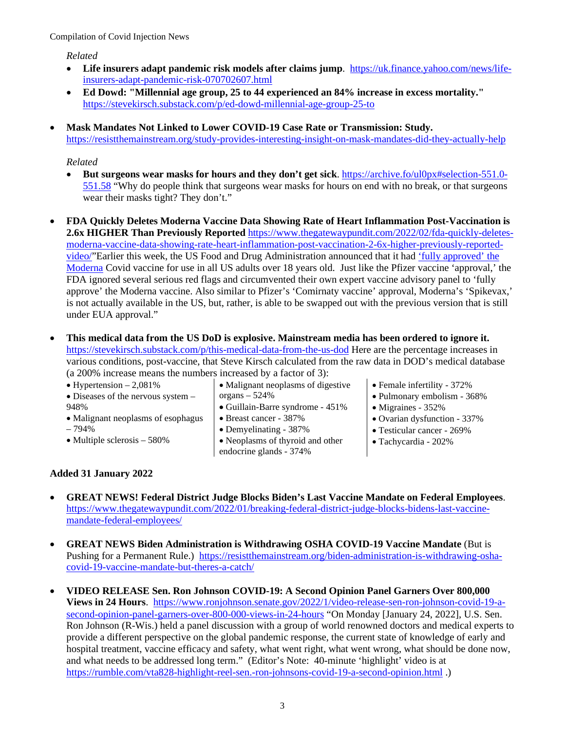- **Life insurers adapt pandemic risk models after claims jump**. [https://uk.finance.yahoo.com/news/life](https://uk.finance.yahoo.com/news/life-insurers-adapt-pandemic-risk-070702607.html)[insurers-adapt-pandemic-risk-070702607.html](https://uk.finance.yahoo.com/news/life-insurers-adapt-pandemic-risk-070702607.html)
- **Ed Dowd: "Millennial age group, 25 to 44 experienced an 84% increase in excess mortality."** <https://stevekirsch.substack.com/p/ed-dowd-millennial-age-group-25-to>
- **Mask Mandates Not Linked to Lower COVID-19 Case Rate or Transmission: Study.** <https://resistthemainstream.org/study-provides-interesting-insight-on-mask-mandates-did-they-actually-help>

#### *Related*

- **But surgeons wear masks for hours and they don't get sick**[. https://archive.fo/ul0px#selection-551.0-](https://archive.fo/ul0px#selection-551.0-551.58) [551.58](https://archive.fo/ul0px#selection-551.0-551.58) "Why do people think that surgeons wear masks for hours on end with no break, or that surgeons wear their masks tight? They don't."
- **FDA Quickly Deletes Moderna Vaccine Data Showing Rate of Heart Inflammation Post-Vaccination is 2.6x HIGHER Than Previously Reported** [https://www.thegatewaypundit.com/2022/02/fda-quickly-deletes](https://www.thegatewaypundit.com/2022/02/fda-quickly-deletes-moderna-vaccine-data-showing-rate-heart-inflammation-post-vaccination-2-6x-higher-previously-reported-video/)[moderna-vaccine-data-showing-rate-heart-inflammation-post-vaccination-2-6x-higher-previously-reported](https://www.thegatewaypundit.com/2022/02/fda-quickly-deletes-moderna-vaccine-data-showing-rate-heart-inflammation-post-vaccination-2-6x-higher-previously-reported-video/)[video/"](https://www.thegatewaypundit.com/2022/02/fda-quickly-deletes-moderna-vaccine-data-showing-rate-heart-inflammation-post-vaccination-2-6x-higher-previously-reported-video/)Earlier this week, the US Food and Drug Administration announced that it had ['fully approved' the](https://www.thegatewaypundit.com/2022/01/fda-gives-moderna-full-approval-covid-19-vaccine/?ff_source=Email&ff_medium=the-gateway-pundit&ff_campaign=dailyam&ff_content=daily)  [Moderna](https://www.thegatewaypundit.com/2022/01/fda-gives-moderna-full-approval-covid-19-vaccine/?ff_source=Email&ff_medium=the-gateway-pundit&ff_campaign=dailyam&ff_content=daily) Covid vaccine for use in all US adults over 18 years old. Just like the Pfizer vaccine 'approval,' the FDA ignored several serious red flags and circumvented their own expert vaccine advisory panel to 'fully approve' the Moderna vaccine. Also similar to Pfizer's 'Comirnaty vaccine' approval, Moderna's 'Spikevax,' is not actually available in the US, but, rather, is able to be swapped out with the previous version that is still under EUA approval."
- **This medical data from the US DoD is explosive. Mainstream media has been ordered to ignore it.** <https://stevekirsch.substack.com/p/this-medical-data-from-the-us-dod> Here are the percentage increases in various conditions, post-vaccine, that Steve Kirsch calculated from the raw data in DOD's medical database (a 200% increase means the numbers increased by a factor of 3):
	- Hypertension  $-2.081\%$
	- Diseases of the nervous system 948%
	- Malignant neoplasms of esophagus
	- 794%
	- Multiple sclerosis 580%
- organs 524% • Guillain-Barre syndrome - 451%

• Malignant neoplasms of digestive

- Breast cancer 387%
- Demyelinating 387%
- Neoplasms of thyroid and other endocrine glands - 374%
- Female infertility 372%
- Pulmonary embolism 368%
- Migraines 352%
- Ovarian dysfunction 337%
- Testicular cancer 269%
- Tachycardia 202%

# **Added 31 January 2022**

- **GREAT NEWS! Federal District Judge Blocks Biden's Last Vaccine Mandate on Federal Employees**. [https://www.thegatewaypundit.com/2022/01/breaking-federal-district-judge-blocks-bidens-last-vaccine](https://www.thegatewaypundit.com/2022/01/breaking-federal-district-judge-blocks-bidens-last-vaccine-mandate-federal-employees/)[mandate-federal-employees/](https://www.thegatewaypundit.com/2022/01/breaking-federal-district-judge-blocks-bidens-last-vaccine-mandate-federal-employees/)
- **GREAT NEWS Biden Administration is Withdrawing OSHA COVID-19 Vaccine Mandate** (But is Pushing for a Permanent Rule.) [https://resistthemainstream.org/biden-administration-is-withdrawing-osha](https://resistthemainstream.org/biden-administration-is-withdrawing-osha-covid-19-vaccine-mandate-but-theres-a-catch/)[covid-19-vaccine-mandate-but-theres-a-catch/](https://resistthemainstream.org/biden-administration-is-withdrawing-osha-covid-19-vaccine-mandate-but-theres-a-catch/)
- **VIDEO RELEASE Sen. Ron Johnson COVID-19: A Second Opinion Panel Garners Over 800,000 Views in 24 Hours**. [https://www.ronjohnson.senate.gov/2022/1/video-release-sen-ron-johnson-covid-19-a](https://www.ronjohnson.senate.gov/2022/1/video-release-sen-ron-johnson-covid-19-a-second-opinion-panel-garners-over-800-000-views-in-24-hours)[second-opinion-panel-garners-over-800-000-views-in-24-hours](https://www.ronjohnson.senate.gov/2022/1/video-release-sen-ron-johnson-covid-19-a-second-opinion-panel-garners-over-800-000-views-in-24-hours) "On Monday [January 24, 2022], U.S. Sen. Ron Johnson (R-Wis.) held a panel discussion with a group of world renowned doctors and medical experts to provide a different perspective on the global pandemic response, the current state of knowledge of early and hospital treatment, vaccine efficacy and safety, what went right, what went wrong, what should be done now, and what needs to be addressed long term." (Editor's Note: 40-minute 'highlight' video is at <https://rumble.com/vta828-highlight-reel-sen.-ron-johnsons-covid-19-a-second-opinion.html> .)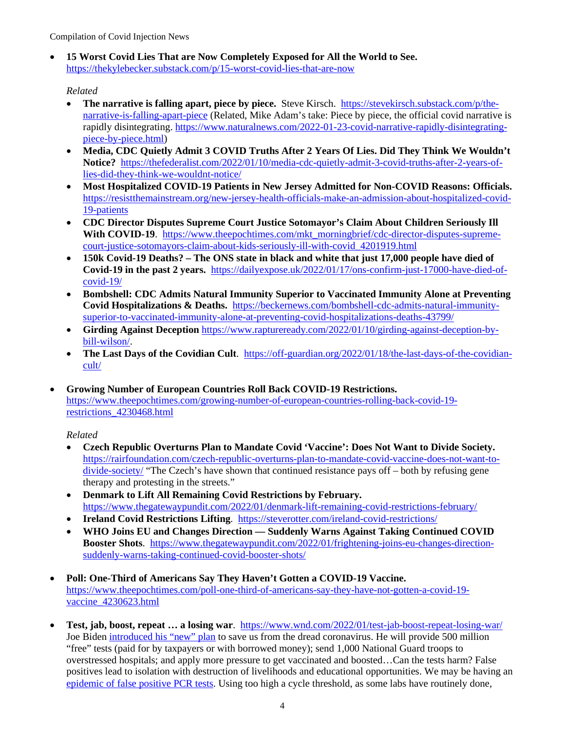• **15 Worst Covid Lies That are Now Completely Exposed for All the World to See.** <https://thekylebecker.substack.com/p/15-worst-covid-lies-that-are-now>

*Related*

- **The narrative is falling apart, piece by piece.** Steve Kirsch. [https://stevekirsch.substack.com/p/the](https://stevekirsch.substack.com/p/the-narrative-is-falling-apart-piece)[narrative-is-falling-apart-piece](https://stevekirsch.substack.com/p/the-narrative-is-falling-apart-piece) (Related, Mike Adam's take: Piece by piece, the official covid narrative is rapidly disintegrating. [https://www.naturalnews.com/2022-01-23-covid-narrative-rapidly-disintegrating](https://www.naturalnews.com/2022-01-23-covid-narrative-rapidly-disintegrating-piece-by-piece.html)[piece-by-piece.html\)](https://www.naturalnews.com/2022-01-23-covid-narrative-rapidly-disintegrating-piece-by-piece.html)
- **Media, CDC Quietly Admit 3 COVID Truths After 2 Years Of Lies. Did They Think We Wouldn't Notice?** [https://thefederalist.com/2022/01/10/media-cdc-quietly-admit-3-covid-truths-after-2-years-of](https://thefederalist.com/2022/01/10/media-cdc-quietly-admit-3-covid-truths-after-2-years-of-lies-did-they-think-we-wouldnt-notice/)[lies-did-they-think-we-wouldnt-notice/](https://thefederalist.com/2022/01/10/media-cdc-quietly-admit-3-covid-truths-after-2-years-of-lies-did-they-think-we-wouldnt-notice/)
- **Most Hospitalized COVID-19 Patients in New Jersey Admitted for Non-COVID Reasons: Officials.**  [https://resistthemainstream.org/new-jersey-health-officials-make-an-admission-about-hospitalized-covid-](https://resistthemainstream.org/new-jersey-health-officials-make-an-admission-about-hospitalized-covid-19-patients)[19-patients](https://resistthemainstream.org/new-jersey-health-officials-make-an-admission-about-hospitalized-covid-19-patients)
- **CDC Director Disputes Supreme Court Justice Sotomayor's Claim About Children Seriously Ill**  With COVID-19. [https://www.theepochtimes.com/mkt\\_morningbrief/cdc-director-disputes-supreme](https://www.theepochtimes.com/mkt_morningbrief/cdc-director-disputes-supreme-court-justice-sotomayors-claim-about-kids-seriously-ill-with-covid_4201919.html)[court-justice-sotomayors-claim-about-kids-seriously-ill-with-covid\\_4201919.html](https://www.theepochtimes.com/mkt_morningbrief/cdc-director-disputes-supreme-court-justice-sotomayors-claim-about-kids-seriously-ill-with-covid_4201919.html)
- **150k Covid-19 Deaths? The ONS state in black and white that just 17,000 people have died of Covid-19 in the past 2 years.** [https://dailyexpose.uk/2022/01/17/ons-confirm-just-17000-have-died-of](https://dailyexpose.uk/2022/01/17/ons-confirm-just-17000-have-died-of-covid-19/)[covid-19/](https://dailyexpose.uk/2022/01/17/ons-confirm-just-17000-have-died-of-covid-19/)
- **Bombshell: CDC Admits Natural Immunity Superior to Vaccinated Immunity Alone at Preventing Covid Hospitalizations & Deaths.** [https://beckernews.com/bombshell-cdc-admits-natural-immunity](https://beckernews.com/bombshell-cdc-admits-natural-immunity-superior-to-vaccinated-immunity-alone-at-preventing-covid-hospitalizations-deaths-43799/)[superior-to-vaccinated-immunity-alone-at-preventing-covid-hospitalizations-deaths-43799/](https://beckernews.com/bombshell-cdc-admits-natural-immunity-superior-to-vaccinated-immunity-alone-at-preventing-covid-hospitalizations-deaths-43799/)
- **Girding Against Deception** [https://www.raptureready.com/2022/01/10/girding-against-deception-by](https://www.raptureready.com/2022/01/10/girding-against-deception-by-bill-wilson/)[bill-wilson/.](https://www.raptureready.com/2022/01/10/girding-against-deception-by-bill-wilson/)
- **The Last Days of the Covidian Cult**. [https://off-guardian.org/2022/01/18/the-last-days-of-the-covidian](https://off-guardian.org/2022/01/18/the-last-days-of-the-covidian-cult/)[cult/](https://off-guardian.org/2022/01/18/the-last-days-of-the-covidian-cult/)
- **Growing Number of European Countries Roll Back COVID-19 Restrictions.** [https://www.theepochtimes.com/growing-number-of-european-countries-rolling-back-covid-19](https://www.theepochtimes.com/growing-number-of-european-countries-rolling-back-covid-19-restrictions_4230468.html) [restrictions\\_4230468.html](https://www.theepochtimes.com/growing-number-of-european-countries-rolling-back-covid-19-restrictions_4230468.html)

- **Czech Republic Overturns Plan to Mandate Covid 'Vaccine': Does Not Want to Divide Society.** [https://rairfoundation.com/czech-republic-overturns-plan-to-mandate-covid-vaccine-does-not-want-to](https://rairfoundation.com/czech-republic-overturns-plan-to-mandate-covid-vaccine-does-not-want-to-divide-society/)[divide-society/](https://rairfoundation.com/czech-republic-overturns-plan-to-mandate-covid-vaccine-does-not-want-to-divide-society/) "The Czech's have shown that continued resistance pays off – both by refusing gene therapy and protesting in the streets."
- **Denmark to Lift All Remaining Covid Restrictions by February.** <https://www.thegatewaypundit.com/2022/01/denmark-lift-remaining-covid-restrictions-february/>
- **Ireland Covid Restrictions Lifting**. <https://steverotter.com/ireland-covid-restrictions/>
- **WHO Joins EU and Changes Direction Suddenly Warns Against Taking Continued COVID Booster Shots**. [https://www.thegatewaypundit.com/2022/01/frightening-joins-eu-changes-direction](https://www.thegatewaypundit.com/2022/01/frightening-joins-eu-changes-direction-suddenly-warns-taking-continued-covid-booster-shots/)[suddenly-warns-taking-continued-covid-booster-shots/](https://www.thegatewaypundit.com/2022/01/frightening-joins-eu-changes-direction-suddenly-warns-taking-continued-covid-booster-shots/)
- **Poll: One-Third of Americans Say They Haven't Gotten a COVID-19 Vaccine.**  [https://www.theepochtimes.com/poll-one-third-of-americans-say-they-have-not-gotten-a-covid-19](https://www.theepochtimes.com/poll-one-third-of-americans-say-they-have-not-gotten-a-covid-19-vaccine_4230623.html) vaccine 4230623.html
- **Test, jab, boost, repeat … a losing war**. <https://www.wnd.com/2022/01/test-jab-boost-repeat-losing-war/> Joe Biden [introduced his "new" plan](https://www.oregonlive.com/coronavirus/2021/12/free-covid-19-tests-pledged-in-omicron-fight-joe-biden-unveils-winter-coronavirus-plan.html) to save us from the dread coronavirus. He will provide 500 million "free" tests (paid for by taxpayers or with borrowed money); send 1,000 National Guard troops to overstressed hospitals; and apply more pressure to get vaccinated and boosted…Can the tests harm? False positives lead to isolation with destruction of livelihoods and educational opportunities. We may be having an [epidemic of false positive PCR tests.](https://aapsonline.org/covid-19-do-we-have-a-coronavirus-pandemic-or-a-pcr-test-pandemic/) Using too high a cycle threshold, as some labs have routinely done,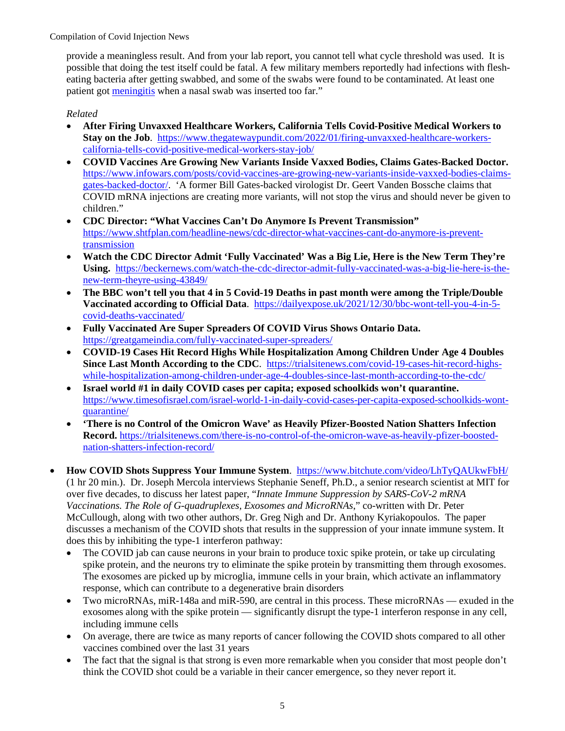provide a meaningless result. And from your lab report, you cannot tell what cycle threshold was used. It is possible that doing the test itself could be fatal. A few military members reportedly had infections with flesheating bacteria after getting swabbed, and some of the swabs were found to be contaminated. At least one patient got [meningitis](https://europepmc.org/article/PMC/PMC8013551) when a nasal swab was inserted too far."

- **After Firing Unvaxxed Healthcare Workers, California Tells Covid-Positive Medical Workers to Stay on the Job**. [https://www.thegatewaypundit.com/2022/01/firing-unvaxxed-healthcare-workers](https://www.thegatewaypundit.com/2022/01/firing-unvaxxed-healthcare-workers-california-tells-covid-positive-medical-workers-stay-job/)[california-tells-covid-positive-medical-workers-stay-job/](https://www.thegatewaypundit.com/2022/01/firing-unvaxxed-healthcare-workers-california-tells-covid-positive-medical-workers-stay-job/)
- **COVID Vaccines Are Growing New Variants Inside Vaxxed Bodies, Claims Gates-Backed Doctor.**  [https://www.infowars.com/posts/covid-vaccines-are-growing-new-variants-inside-vaxxed-bodies-claims](https://www.infowars.com/posts/covid-vaccines-are-growing-new-variants-inside-vaxxed-bodies-claims-gates-backed-doctor/)[gates-backed-doctor/.](https://www.infowars.com/posts/covid-vaccines-are-growing-new-variants-inside-vaxxed-bodies-claims-gates-backed-doctor/) 'A former Bill Gates-backed virologist Dr. Geert Vanden Bossche claims that COVID mRNA injections are creating more variants, will not stop the virus and should never be given to children."
- **CDC Director: "What Vaccines Can't Do Anymore Is Prevent Transmission"**  [https://www.shtfplan.com/headline-news/cdc-director-what-vaccines-cant-do-anymore-is-prevent](https://www.shtfplan.com/headline-news/cdc-director-what-vaccines-cant-do-anymore-is-prevent-transmission)[transmission](https://www.shtfplan.com/headline-news/cdc-director-what-vaccines-cant-do-anymore-is-prevent-transmission)
- **Watch the CDC Director Admit 'Fully Vaccinated' Was a Big Lie, Here is the New Term They're Using.** [https://beckernews.com/watch-the-cdc-director-admit-fully-vaccinated-was-a-big-lie-here-is-the](https://beckernews.com/watch-the-cdc-director-admit-fully-vaccinated-was-a-big-lie-here-is-the-new-term-theyre-using-43849/)[new-term-theyre-using-43849/](https://beckernews.com/watch-the-cdc-director-admit-fully-vaccinated-was-a-big-lie-here-is-the-new-term-theyre-using-43849/)
- **The BBC won't tell you that 4 in 5 Covid-19 Deaths in past month were among the Triple/Double Vaccinated according to Official Data**. [https://dailyexpose.uk/2021/12/30/bbc-wont-tell-you-4-in-5](https://dailyexpose.uk/2021/12/30/bbc-wont-tell-you-4-in-5-covid-deaths-vaccinated/) [covid-deaths-vaccinated/](https://dailyexpose.uk/2021/12/30/bbc-wont-tell-you-4-in-5-covid-deaths-vaccinated/)
- **Fully Vaccinated Are Super Spreaders Of COVID Virus Shows Ontario Data.**  <https://greatgameindia.com/fully-vaccinated-super-spreaders/>
- **COVID-19 Cases Hit Record Highs While Hospitalization Among Children Under Age 4 Doubles Since Last Month According to the CDC**. [https://trialsitenews.com/covid-19-cases-hit-record-highs](https://trialsitenews.com/covid-19-cases-hit-record-highs-while-hospitalization-among-children-under-age-4-doubles-since-last-month-according-to-the-cdc/)[while-hospitalization-among-children-under-age-4-doubles-since-last-month-according-to-the-cdc/](https://trialsitenews.com/covid-19-cases-hit-record-highs-while-hospitalization-among-children-under-age-4-doubles-since-last-month-according-to-the-cdc/)
- **Israel world #1 in daily COVID cases per capita; exposed schoolkids won't quarantine.** [https://www.timesofisrael.com/israel-world-1-in-daily-covid-cases-per-capita-exposed-schoolkids-wont](https://www.timesofisrael.com/israel-world-1-in-daily-covid-cases-per-capita-exposed-schoolkids-wont-quarantine/)[quarantine/](https://www.timesofisrael.com/israel-world-1-in-daily-covid-cases-per-capita-exposed-schoolkids-wont-quarantine/)
- **'There is no Control of the Omicron Wave' as Heavily Pfizer-Boosted Nation Shatters Infection Record.** [https://trialsitenews.com/there-is-no-control-of-the-omicron-wave-as-heavily-pfizer-boosted](https://trialsitenews.com/there-is-no-control-of-the-omicron-wave-as-heavily-pfizer-boosted-nation-shatters-infection-record/)[nation-shatters-infection-record/](https://trialsitenews.com/there-is-no-control-of-the-omicron-wave-as-heavily-pfizer-boosted-nation-shatters-infection-record/)
- **How COVID Shots Suppress Your Immune System**. <https://www.bitchute.com/video/LhTyQAUkwFbH/> (1 hr 20 min.). Dr. Joseph Mercola interviews Stephanie Seneff, Ph.D., a senior research scientist at MIT for over five decades, to discuss her latest paper, "*Innate Immune Suppression by SARS-CoV-2 mRNA Vaccinations. The Role of G-quadruplexes, Exosomes and MicroRNAs*," co-written with Dr. Peter McCullough, along with two other authors, Dr. Greg Nigh and Dr. Anthony Kyriakopoulos. The paper discusses a mechanism of the COVID shots that results in the suppression of your innate immune system. It does this by inhibiting the type-1 interferon pathway:
	- The COVID jab can cause neurons in your brain to produce toxic spike protein, or take up circulating spike protein, and the neurons try to eliminate the spike protein by transmitting them through exosomes. The exosomes are picked up by microglia, immune cells in your brain, which activate an inflammatory response, which can contribute to a degenerative brain disorders
	- Two microRNAs, miR-148a and miR-590, are central in this process. These microRNAs exuded in the exosomes along with the spike protein — significantly disrupt the type-1 interferon response in any cell, including immune cells
	- On average, there are twice as many reports of cancer following the COVID shots compared to all other vaccines combined over the last 31 years
	- The fact that the signal is that strong is even more remarkable when you consider that most people don't think the COVID shot could be a variable in their cancer emergence, so they never report it.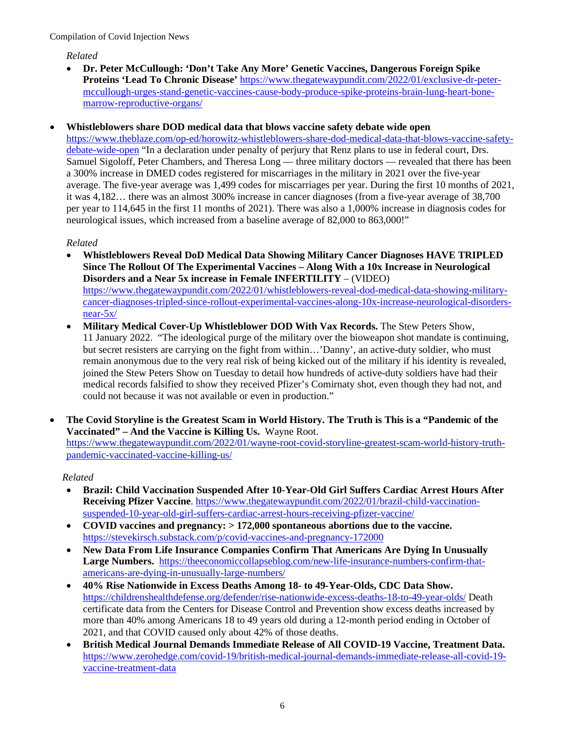• **Dr. Peter McCullough: 'Don't Take Any More' Genetic Vaccines, Dangerous Foreign Spike Proteins 'Lead To Chronic Disease'** [https://www.thegatewaypundit.com/2022/01/exclusive-dr-peter](https://www.thegatewaypundit.com/2022/01/exclusive-dr-peter-mccullough-urges-stand-genetic-vaccines-cause-body-produce-spike-proteins-brain-lung-heart-bone-marrow-reproductive-organs/)[mccullough-urges-stand-genetic-vaccines-cause-body-produce-spike-proteins-brain-lung-heart-bone](https://www.thegatewaypundit.com/2022/01/exclusive-dr-peter-mccullough-urges-stand-genetic-vaccines-cause-body-produce-spike-proteins-brain-lung-heart-bone-marrow-reproductive-organs/)[marrow-reproductive-organs/](https://www.thegatewaypundit.com/2022/01/exclusive-dr-peter-mccullough-urges-stand-genetic-vaccines-cause-body-produce-spike-proteins-brain-lung-heart-bone-marrow-reproductive-organs/) 

#### • **Whistleblowers share DOD medical data that blows vaccine safety debate wide open**

[https://www.theblaze.com/op-ed/horowitz-whistleblowers-share-dod-medical-data-that-blows-vaccine-safety](https://www.theblaze.com/op-ed/horowitz-whistleblowers-share-dod-medical-data-that-blows-vaccine-safety-debate-wide-open)[debate-wide-open](https://www.theblaze.com/op-ed/horowitz-whistleblowers-share-dod-medical-data-that-blows-vaccine-safety-debate-wide-open) "In a declaration under penalty of perjury that Renz plans to use in federal court, Drs. Samuel Sigoloff, Peter Chambers, and Theresa Long — three military doctors — revealed that there has been a 300% increase in DMED codes registered for miscarriages in the military in 2021 over the five-year average. The five-year average was 1,499 codes for miscarriages per year. During the first 10 months of 2021, it was 4,182… there was an almost 300% increase in cancer diagnoses (from a five-year average of 38,700 per year to 114,645 in the first 11 months of 2021). There was also a 1,000% increase in diagnosis codes for neurological issues, which increased from a baseline average of 82,000 to 863,000!"

#### *Related*

- **Whistleblowers Reveal DoD Medical Data Showing Military Cancer Diagnoses HAVE TRIPLED Since The Rollout Of The Experimental Vaccines – Along With a 10x Increase in Neurological Disorders and a Near 5x increase in Female INFERTILITY** – (VIDEO) [https://www.thegatewaypundit.com/2022/01/whistleblowers-reveal-dod-medical-data-showing-military](https://www.thegatewaypundit.com/2022/01/whistleblowers-reveal-dod-medical-data-showing-military-cancer-diagnoses-tripled-since-rollout-experimental-vaccines-along-10x-increase-neurological-disorders-near-5x/)[cancer-diagnoses-tripled-since-rollout-experimental-vaccines-along-10x-increase-neurological-disorders](https://www.thegatewaypundit.com/2022/01/whistleblowers-reveal-dod-medical-data-showing-military-cancer-diagnoses-tripled-since-rollout-experimental-vaccines-along-10x-increase-neurological-disorders-near-5x/)[near-5x/](https://www.thegatewaypundit.com/2022/01/whistleblowers-reveal-dod-medical-data-showing-military-cancer-diagnoses-tripled-since-rollout-experimental-vaccines-along-10x-increase-neurological-disorders-near-5x/)
- **Military Medical Cover-Up Whistleblower DOD With Vax Records.** The Stew Peters Show, 11 January 2022. "The ideological purge of the military over the bioweapon shot mandate is continuing, but secret resisters are carrying on the fight from within…'Danny', an active-duty soldier, who must remain anonymous due to the very real risk of being kicked out of the military if his identity is revealed, joined the Stew Peters Show on Tuesday to detail how hundreds of active-duty soldiers have had their medical records falsified to show they received Pfizer's Comirnaty shot, even though they had not, and could not because it was not available or even in production."
- **The Covid Storyline is the Greatest Scam in World History. The Truth is This is a "Pandemic of the Vaccinated" – And the Vaccine is Killing Us.** Wayne Root. [https://www.thegatewaypundit.com/2022/01/wayne-root-covid-storyline-greatest-scam-world-history-truth](https://www.thegatewaypundit.com/2022/01/wayne-root-covid-storyline-greatest-scam-world-history-truth-pandemic-vaccinated-vaccine-killing-us/)[pandemic-vaccinated-vaccine-killing-us/](https://www.thegatewaypundit.com/2022/01/wayne-root-covid-storyline-greatest-scam-world-history-truth-pandemic-vaccinated-vaccine-killing-us/)

- **Brazil: Child Vaccination Suspended After 10-Year-Old Girl Suffers Cardiac Arrest Hours After Receiving Pfizer Vaccine**. [https://www.thegatewaypundit.com/2022/01/brazil-child-vaccination](https://www.thegatewaypundit.com/2022/01/brazil-child-vaccination-suspended-10-year-old-girl-suffers-cardiac-arrest-hours-receiving-pfizer-vaccine/)[suspended-10-year-old-girl-suffers-cardiac-arrest-hours-receiving-pfizer-vaccine/](https://www.thegatewaypundit.com/2022/01/brazil-child-vaccination-suspended-10-year-old-girl-suffers-cardiac-arrest-hours-receiving-pfizer-vaccine/)
- **COVID vaccines and pregnancy: > 172,000 spontaneous abortions due to the vaccine.** <https://stevekirsch.substack.com/p/covid-vaccines-and-pregnancy-172000>
- **New Data From Life Insurance Companies Confirm That Americans Are Dying In Unusually Large Numbers.** [https://theeconomiccollapseblog.com/new-life-insurance-numbers-confirm-that](https://theeconomiccollapseblog.com/new-life-insurance-numbers-confirm-that-americans-are-dying-in-unusually-large-numbers/)[americans-are-dying-in-unusually-large-numbers/](https://theeconomiccollapseblog.com/new-life-insurance-numbers-confirm-that-americans-are-dying-in-unusually-large-numbers/)
- **40% Rise Nationwide in Excess Deaths Among 18- to 49-Year-Olds, CDC Data Show.** <https://childrenshealthdefense.org/defender/rise-nationwide-excess-deaths-18-to-49-year-olds/> Death certificate data from the Centers for Disease Control and Prevention show excess deaths increased by more than 40% among Americans 18 to 49 years old during a 12-month period ending in October of 2021, and that COVID caused only about 42% of those deaths.
- **British Medical Journal Demands Immediate Release of All COVID-19 Vaccine, Treatment Data.** [https://www.zerohedge.com/covid-19/british-medical-journal-demands-immediate-release-all-covid-19](https://www.zerohedge.com/covid-19/british-medical-journal-demands-immediate-release-all-covid-19-vaccine-treatment-data) [vaccine-treatment-data](https://www.zerohedge.com/covid-19/british-medical-journal-demands-immediate-release-all-covid-19-vaccine-treatment-data)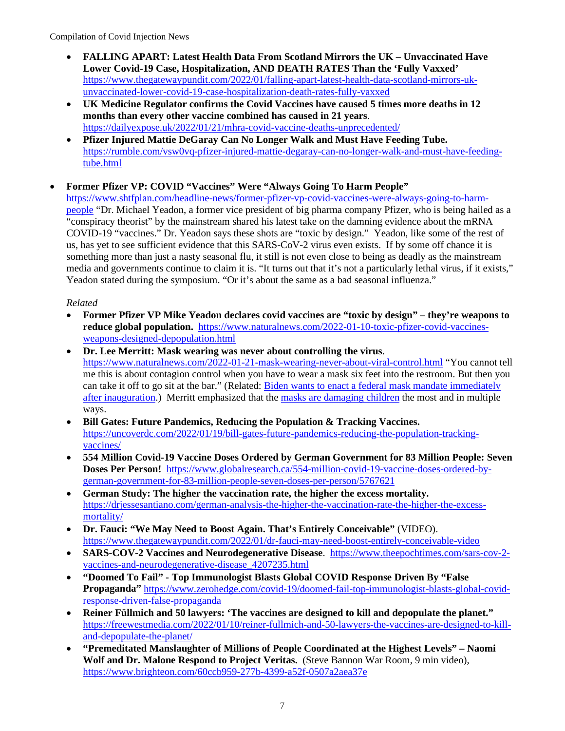- **FALLING APART: Latest Health Data From Scotland Mirrors the UK Unvaccinated Have Lower Covid-19 Case, Hospitalization, AND DEATH RATES Than the 'Fully Vaxxed'**  [https://www.thegatewaypundit.com/2022/01/falling-apart-latest-health-data-scotland-mirrors-uk](https://www.thegatewaypundit.com/2022/01/falling-apart-latest-health-data-scotland-mirrors-uk-unvaccinated-lower-covid-19-case-hospitalization-death-rates-fully-vaxxed)[unvaccinated-lower-covid-19-case-hospitalization-death-rates-fully-vaxxed](https://www.thegatewaypundit.com/2022/01/falling-apart-latest-health-data-scotland-mirrors-uk-unvaccinated-lower-covid-19-case-hospitalization-death-rates-fully-vaxxed)
- **UK Medicine Regulator confirms the Covid Vaccines have caused 5 times more deaths in 12 months than every other vaccine combined has caused in 21 years**. <https://dailyexpose.uk/2022/01/21/mhra-covid-vaccine-deaths-unprecedented/>
- **Pfizer Injured Mattie DeGaray Can No Longer Walk and Must Have Feeding Tube.** [https://rumble.com/vsw0vq-pfizer-injured-mattie-degaray-can-no-longer-walk-and-must-have-feeding](https://rumble.com/vsw0vq-pfizer-injured-mattie-degaray-can-no-longer-walk-and-must-have-feeding-tube.html)[tube.html](https://rumble.com/vsw0vq-pfizer-injured-mattie-degaray-can-no-longer-walk-and-must-have-feeding-tube.html)
- **Former Pfizer VP: COVID "Vaccines" Were "Always Going To Harm People"**

[https://www.shtfplan.com/headline-news/former-pfizer-vp-covid-vaccines-were-always-going-to-harm](https://www.shtfplan.com/headline-news/former-pfizer-vp-covid-vaccines-were-always-going-to-harm-people)[people](https://www.shtfplan.com/headline-news/former-pfizer-vp-covid-vaccines-were-always-going-to-harm-people) "Dr. Michael Yeadon, a former vice president of big pharma company Pfizer, who is being hailed as a "conspiracy theorist" by the mainstream shared his latest take on the damning evidence about the mRNA COVID-19 "vaccines." Dr. Yeadon says these shots are "toxic by design." Yeadon, like some of the rest of us, has yet to see sufficient evidence that this SARS-CoV-2 virus even exists. If by some off chance it is something more than just a nasty seasonal flu, it still is not even close to being as deadly as the mainstream media and governments continue to claim it is. "It turns out that it's not a particularly lethal virus, if it exists," Yeadon stated during the symposium. "Or it's about the same as a bad seasonal influenza."

- **Former Pfizer VP Mike Yeadon declares covid vaccines are "toxic by design" they're weapons to reduce global population.** [https://www.naturalnews.com/2022-01-10-toxic-pfizer-covid-vaccines](https://www.naturalnews.com/2022-01-10-toxic-pfizer-covid-vaccines-weapons-designed-depopulation.html)[weapons-designed-depopulation.html](https://www.naturalnews.com/2022-01-10-toxic-pfizer-covid-vaccines-weapons-designed-depopulation.html)
- **Dr. Lee Merritt: Mask wearing was never about controlling the virus**. <https://www.naturalnews.com/2022-01-21-mask-wearing-never-about-viral-control.html>"You cannot tell me this is about contagion control when you have to wear a mask six feet into the restroom. But then you can take it off to go sit at the bar." (Related: [Biden wants to enact a federal mask mandate immediately](https://naturalnews.com/2020-12-10-biden-federal-mask-mandate-immediately-after-inauguration.html)  [after inauguration.](https://naturalnews.com/2020-12-10-biden-federal-mask-mandate-immediately-after-inauguration.html)) Merritt emphasized that the [masks are damaging children](http://badmedicine.news/) the most and in multiple ways.
- **Bill Gates: Future Pandemics, Reducing the Population & Tracking Vaccines.** [https://uncoverdc.com/2022/01/19/bill-gates-future-pandemics-reducing-the-population-tracking](https://uncoverdc.com/2022/01/19/bill-gates-future-pandemics-reducing-the-population-tracking-vaccines/)[vaccines/](https://uncoverdc.com/2022/01/19/bill-gates-future-pandemics-reducing-the-population-tracking-vaccines/)
- **554 Million Covid-19 Vaccine Doses Ordered by German Government for 83 Million People: Seven Doses Per Person!** [https://www.globalresearch.ca/554-million-covid-19-vaccine-doses-ordered-by](https://www.globalresearch.ca/554-million-covid-19-vaccine-doses-ordered-by-german-government-for-83-million-people-seven-doses-per-person/5767621)[german-government-for-83-million-people-seven-doses-per-person/5767621](https://www.globalresearch.ca/554-million-covid-19-vaccine-doses-ordered-by-german-government-for-83-million-people-seven-doses-per-person/5767621)
- **German Study: The higher the vaccination rate, the higher the excess mortality.** [https://drjessesantiano.com/german-analysis-the-higher-the-vaccination-rate-the-higher-the-excess](https://drjessesantiano.com/german-analysis-the-higher-the-vaccination-rate-the-higher-the-excess-mortality/)[mortality/](https://drjessesantiano.com/german-analysis-the-higher-the-vaccination-rate-the-higher-the-excess-mortality/)
- **Dr. Fauci: "We May Need to Boost Again. That's Entirely Conceivable"** (VIDEO). <https://www.thegatewaypundit.com/2022/01/dr-fauci-may-need-boost-entirely-conceivable-video>
- **SARS-COV-2 Vaccines and Neurodegenerative Disease**. [https://www.theepochtimes.com/sars-cov-2](https://www.theepochtimes.com/sars-cov-2-vaccines-and-neurodegenerative-disease_4207235.html) [vaccines-and-neurodegenerative-disease\\_4207235.html](https://www.theepochtimes.com/sars-cov-2-vaccines-and-neurodegenerative-disease_4207235.html)
- **"Doomed To Fail" Top Immunologist Blasts Global COVID Response Driven By "False Propaganda"** [https://www.zerohedge.com/covid-19/doomed-fail-top-immunologist-blasts-global-covid](https://www.zerohedge.com/covid-19/doomed-fail-top-immunologist-blasts-global-covid-response-driven-false-propaganda)[response-driven-false-propaganda](https://www.zerohedge.com/covid-19/doomed-fail-top-immunologist-blasts-global-covid-response-driven-false-propaganda)
- **Reiner Füllmich and 50 lawyers: 'The vaccines are designed to kill and depopulate the planet."**  [https://freewestmedia.com/2022/01/10/reiner-fullmich-and-50-lawyers-the-vaccines-are-designed-to-kill](https://freewestmedia.com/2022/01/10/reiner-fullmich-and-50-lawyers-the-vaccines-are-designed-to-kill-and-depopulate-the-planet/)[and-depopulate-the-planet/](https://freewestmedia.com/2022/01/10/reiner-fullmich-and-50-lawyers-the-vaccines-are-designed-to-kill-and-depopulate-the-planet/)
- **"Premeditated Manslaughter of Millions of People Coordinated at the Highest Levels" Naomi Wolf and Dr. Malone Respond to Project Veritas.** (Steve Bannon War Room, 9 min video), <https://www.brighteon.com/60ccb959-277b-4399-a52f-0507a2aea37e>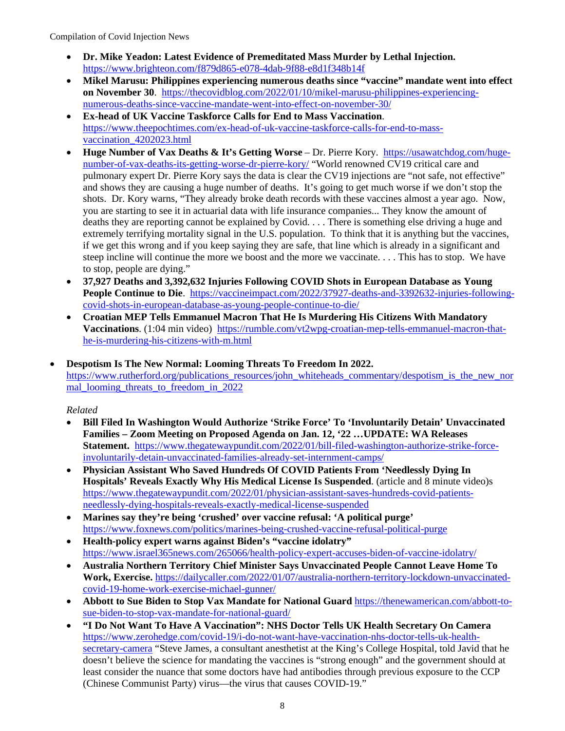- **Dr. Mike Yeadon: Latest Evidence of Premeditated Mass Murder by Lethal Injection.**  <https://www.brighteon.com/f879d865-e078-4dab-9f88-e8d1f348b14f>
- **Mikel Marusu: Philippines experiencing numerous deaths since "vaccine" mandate went into effect on November 30**. [https://thecovidblog.com/2022/01/10/mikel-marusu-philippines-experiencing](https://thecovidblog.com/2022/01/10/mikel-marusu-philippines-experiencing-numerous-deaths-since-vaccine-mandate-went-into-effect-on-november-30/)[numerous-deaths-since-vaccine-mandate-went-into-effect-on-november-30/](https://thecovidblog.com/2022/01/10/mikel-marusu-philippines-experiencing-numerous-deaths-since-vaccine-mandate-went-into-effect-on-november-30/)
- **Ex-head of UK Vaccine Taskforce Calls for End to Mass Vaccination**. [https://www.theepochtimes.com/ex-head-of-uk-vaccine-taskforce-calls-for-end-to-mass](https://www.theepochtimes.com/ex-head-of-uk-vaccine-taskforce-calls-for-end-to-mass-vaccination_4202023.html)[vaccination\\_4202023.html](https://www.theepochtimes.com/ex-head-of-uk-vaccine-taskforce-calls-for-end-to-mass-vaccination_4202023.html)
- **Huge Number of Vax Deaths & It's Getting Worse** Dr. Pierre Kory. [https://usawatchdog.com/huge](https://usawatchdog.com/huge-number-of-vax-deaths-its-getting-worse-dr-pierre-kory/)[number-of-vax-deaths-its-getting-worse-dr-pierre-kory/](https://usawatchdog.com/huge-number-of-vax-deaths-its-getting-worse-dr-pierre-kory/) "World renowned CV19 critical care and pulmonary expert Dr. Pierre Kory says the data is clear the CV19 injections are "not safe, not effective" and shows they are causing a huge number of deaths. It's going to get much worse if we don't stop the shots. Dr. Kory warns, "They already broke death records with these vaccines almost a year ago. Now, you are starting to see it in actuarial data with life insurance companies... They know the amount of deaths they are reporting cannot be explained by Covid. . . . There is something else driving a huge and extremely terrifying mortality signal in the U.S. population. To think that it is anything but the vaccines, if we get this wrong and if you keep saying they are safe, that line which is already in a significant and steep incline will continue the more we boost and the more we vaccinate. . . . This has to stop. We have to stop, people are dying."
- **37,927 Deaths and 3,392,632 Injuries Following COVID Shots in European Database as Young People Continue to Die**. [https://vaccineimpact.com/2022/37927-deaths-and-3392632-injuries-following](https://vaccineimpact.com/2022/37927-deaths-and-3392632-injuries-following-covid-shots-in-european-database-as-young-people-continue-to-die/)[covid-shots-in-european-database-as-young-people-continue-to-die/](https://vaccineimpact.com/2022/37927-deaths-and-3392632-injuries-following-covid-shots-in-european-database-as-young-people-continue-to-die/)
- **Croatian MEP Tells Emmanuel Macron That He Is Murdering His Citizens With Mandatory Vaccinations**. (1:04 min video) [https://rumble.com/vt2wpg-croatian-mep-tells-emmanuel-macron-that](https://rumble.com/vt2wpg-croatian-mep-tells-emmanuel-macron-that-he-is-murdering-his-citizens-with-m.html)[he-is-murdering-his-citizens-with-m.html](https://rumble.com/vt2wpg-croatian-mep-tells-emmanuel-macron-that-he-is-murdering-his-citizens-with-m.html)

• **Despotism Is The New Normal: Looming Threats To Freedom In 2022.**  [https://www.rutherford.org/publications\\_resources/john\\_whiteheads\\_commentary/despotism\\_is\\_the\\_new\\_nor](https://www.rutherford.org/publications_resources/john_whiteheads_commentary/despotism_is_the_new_normal_looming_threats_to_freedom_in_2022) mal looming threats to freedom in 2022

- **Bill Filed In Washington Would Authorize 'Strike Force' To 'Involuntarily Detain' Unvaccinated Families – Zoom Meeting on Proposed Agenda on Jan. 12, '22 …UPDATE: WA Releases Statement.** [https://www.thegatewaypundit.com/2022/01/bill-filed-washington-authorize-strike-force](https://www.thegatewaypundit.com/2022/01/bill-filed-washington-authorize-strike-force-involuntarily-detain-unvaccinated-families-already-set-internment-camps/)[involuntarily-detain-unvaccinated-families-already-set-internment-camps/](https://www.thegatewaypundit.com/2022/01/bill-filed-washington-authorize-strike-force-involuntarily-detain-unvaccinated-families-already-set-internment-camps/)
- **Physician Assistant Who Saved Hundreds Of COVID Patients From 'Needlessly Dying In Hospitals' Reveals Exactly Why His Medical License Is Suspended**. (article and 8 minute video)s [https://www.thegatewaypundit.com/2022/01/physician-assistant-saves-hundreds-covid-patients](https://www.thegatewaypundit.com/2022/01/physician-assistant-saves-hundreds-covid-patients-needlessly-dying-hospitals-reveals-exactly-medical-license-suspended)[needlessly-dying-hospitals-reveals-exactly-medical-license-suspended](https://www.thegatewaypundit.com/2022/01/physician-assistant-saves-hundreds-covid-patients-needlessly-dying-hospitals-reveals-exactly-medical-license-suspended)
- **Marines say they're being 'crushed' over vaccine refusal: 'A political purge'** <https://www.foxnews.com/politics/marines-being-crushed-vaccine-refusal-political-purge>
- **Health-policy expert warns against Biden's "vaccine idolatry"** <https://www.israel365news.com/265066/health-policy-expert-accuses-biden-of-vaccine-idolatry/>
- **Australia Northern Territory Chief Minister Says Unvaccinated People Cannot Leave Home To Work, Exercise.** [https://dailycaller.com/2022/01/07/australia-northern-territory-lockdown-unvaccinated](https://dailycaller.com/2022/01/07/australia-northern-territory-lockdown-unvaccinated-covid-19-home-work-exercise-michael-gunner/)[covid-19-home-work-exercise-michael-gunner/](https://dailycaller.com/2022/01/07/australia-northern-territory-lockdown-unvaccinated-covid-19-home-work-exercise-michael-gunner/)
- **Abbott to Sue Biden to Stop Vax Mandate for National Guard** [https://thenewamerican.com/abbott-to](https://thenewamerican.com/abbott-to-sue-biden-to-stop-vax-mandate-for-national-guard/)[sue-biden-to-stop-vax-mandate-for-national-guard/](https://thenewamerican.com/abbott-to-sue-biden-to-stop-vax-mandate-for-national-guard/)
- **"I Do Not Want To Have A Vaccination": NHS Doctor Tells UK Health Secretary On Camera** [https://www.zerohedge.com/covid-19/i-do-not-want-have-vaccination-nhs-doctor-tells-uk-health](https://www.zerohedge.com/covid-19/i-do-not-want-have-vaccination-nhs-doctor-tells-uk-health-secretary-camera)[secretary-camera](https://www.zerohedge.com/covid-19/i-do-not-want-have-vaccination-nhs-doctor-tells-uk-health-secretary-camera) "Steve James, a consultant anesthetist at the King's College Hospital, told Javid that he doesn't believe the science for mandating the vaccines is "strong enough" and the government should at least consider the nuance that some doctors have had antibodies through previous exposure to the CCP (Chinese Communist Party) virus—the virus that causes COVID-19."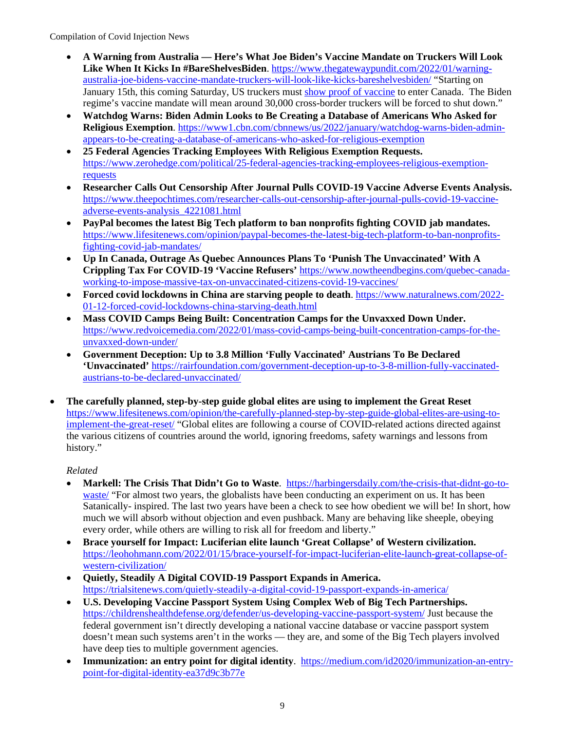- **A Warning from Australia Here's What Joe Biden's Vaccine Mandate on Truckers Will Look Like When It Kicks In #BareShelvesBiden**. [https://www.thegatewaypundit.com/2022/01/warning](https://www.thegatewaypundit.com/2022/01/warning-australia-joe-bidens-vaccine-mandate-truckers-will-look-like-kicks-bareshelvesbiden/)[australia-joe-bidens-vaccine-mandate-truckers-will-look-like-kicks-bareshelvesbiden/](https://www.thegatewaypundit.com/2022/01/warning-australia-joe-bidens-vaccine-mandate-truckers-will-look-like-kicks-bareshelvesbiden/) "Starting on January 15th, this coming Saturday, US truckers must [show proof of vaccine](https://theconservativetreehouse.com/blog/2022/01/07/we-have-less-than-two-weeks-to-finalize-preparation/#more-224565) to enter Canada. The Biden regime's vaccine mandate will mean around 30,000 cross-border truckers will be forced to shut down."
- **Watchdog Warns: Biden Admin Looks to Be Creating a Database of Americans Who Asked for Religious Exemption**. [https://www1.cbn.com/cbnnews/us/2022/january/watchdog-warns-biden-admin](https://www1.cbn.com/cbnnews/us/2022/january/watchdog-warns-biden-admin-appears-to-be-creating-a-database-of-americans-who-asked-for-religious-exemption)[appears-to-be-creating-a-database-of-americans-who-asked-for-religious-exemption](https://www1.cbn.com/cbnnews/us/2022/january/watchdog-warns-biden-admin-appears-to-be-creating-a-database-of-americans-who-asked-for-religious-exemption)
- **25 Federal Agencies Tracking Employees With Religious Exemption Requests.**  [https://www.zerohedge.com/political/25-federal-agencies-tracking-employees-religious-exemption](https://www.zerohedge.com/political/25-federal-agencies-tracking-employees-religious-exemption-requests)[requests](https://www.zerohedge.com/political/25-federal-agencies-tracking-employees-religious-exemption-requests)
- **Researcher Calls Out Censorship After Journal Pulls COVID-19 Vaccine Adverse Events Analysis.**  [https://www.theepochtimes.com/researcher-calls-out-censorship-after-journal-pulls-covid-19-vaccine](https://www.theepochtimes.com/researcher-calls-out-censorship-after-journal-pulls-covid-19-vaccine-adverse-events-analysis_4221081.html)[adverse-events-analysis\\_4221081.html](https://www.theepochtimes.com/researcher-calls-out-censorship-after-journal-pulls-covid-19-vaccine-adverse-events-analysis_4221081.html)
- **PayPal becomes the latest Big Tech platform to ban nonprofits fighting COVID jab mandates.**  [https://www.lifesitenews.com/opinion/paypal-becomes-the-latest-big-tech-platform-to-ban-nonprofits](https://www.lifesitenews.com/opinion/paypal-becomes-the-latest-big-tech-platform-to-ban-nonprofits-fighting-covid-jab-mandates/)[fighting-covid-jab-mandates/](https://www.lifesitenews.com/opinion/paypal-becomes-the-latest-big-tech-platform-to-ban-nonprofits-fighting-covid-jab-mandates/)
- **Up In Canada, Outrage As Quebec Announces Plans To 'Punish The Unvaccinated' With A Crippling Tax For COVID-19 'Vaccine Refusers'** [https://www.nowtheendbegins.com/quebec-canada](https://www.nowtheendbegins.com/quebec-canada-working-to-impose-massive-tax-on-unvaccinated-citizens-covid-19-vaccines/)[working-to-impose-massive-tax-on-unvaccinated-citizens-covid-19-vaccines/](https://www.nowtheendbegins.com/quebec-canada-working-to-impose-massive-tax-on-unvaccinated-citizens-covid-19-vaccines/)
- **Forced covid lockdowns in China are starving people to death**. [https://www.naturalnews.com/2022-](https://www.naturalnews.com/2022-01-12-forced-covid-lockdowns-china-starving-death.html) [01-12-forced-covid-lockdowns-china-starving-death.html](https://www.naturalnews.com/2022-01-12-forced-covid-lockdowns-china-starving-death.html)
- **Mass COVID Camps Being Built: Concentration Camps for the Unvaxxed Down Under.**  [https://www.redvoicemedia.com/2022/01/mass-covid-camps-being-built-concentration-camps-for-the](https://www.redvoicemedia.com/2022/01/mass-covid-camps-being-built-concentration-camps-for-the-unvaxxed-down-under/)[unvaxxed-down-under/](https://www.redvoicemedia.com/2022/01/mass-covid-camps-being-built-concentration-camps-for-the-unvaxxed-down-under/)
- **Government Deception: Up to 3.8 Million 'Fully Vaccinated' Austrians To Be Declared 'Unvaccinated'** [https://rairfoundation.com/government-deception-up-to-3-8-million-fully-vaccinated](https://rairfoundation.com/government-deception-up-to-3-8-million-fully-vaccinated-austrians-to-be-declared-unvaccinated/)[austrians-to-be-declared-unvaccinated/](https://rairfoundation.com/government-deception-up-to-3-8-million-fully-vaccinated-austrians-to-be-declared-unvaccinated/)
- **The carefully planned, step-by-step guide global elites are using to implement the Great Reset** [https://www.lifesitenews.com/opinion/the-carefully-planned-step-by-step-guide-global-elites-are-using-to](https://www.lifesitenews.com/opinion/the-carefully-planned-step-by-step-guide-global-elites-are-using-to-implement-the-great-reset/)[implement-the-great-reset/ "](https://www.lifesitenews.com/opinion/the-carefully-planned-step-by-step-guide-global-elites-are-using-to-implement-the-great-reset/)Global elites are following a course of COVID-related actions directed against the various citizens of countries around the world, ignoring freedoms, safety warnings and lessons from history."

- **Markell: The Crisis That Didn't Go to Waste**. [https://harbingersdaily.com/the-crisis-that-didnt-go-to](https://harbingersdaily.com/the-crisis-that-didnt-go-to-waste/)[waste/](https://harbingersdaily.com/the-crisis-that-didnt-go-to-waste/) "For almost two years, the globalists have been conducting an experiment on us. It has been Satanically- inspired. The last two years have been a check to see how obedient we will be! In short, how much we will absorb without objection and even pushback. Many are behaving like sheeple, obeying every order, while others are willing to risk all for freedom and liberty."
- **Brace yourself for Impact: Luciferian elite launch 'Great Collapse' of Western civilization.**  [https://leohohmann.com/2022/01/15/brace-yourself-for-impact-luciferian-elite-launch-great-collapse-of](https://leohohmann.com/2022/01/15/brace-yourself-for-impact-luciferian-elite-launch-great-collapse-of-western-civilization/)[western-civilization/](https://leohohmann.com/2022/01/15/brace-yourself-for-impact-luciferian-elite-launch-great-collapse-of-western-civilization/)
- **Quietly, Steadily A Digital COVID-19 Passport Expands in America.**  <https://trialsitenews.com/quietly-steadily-a-digital-covid-19-passport-expands-in-america/>
- **U.S. Developing Vaccine Passport System Using Complex Web of Big Tech Partnerships.** <https://childrenshealthdefense.org/defender/us-developing-vaccine-passport-system/> Just because the federal government isn't directly developing a national vaccine database or vaccine passport system doesn't mean such systems aren't in the works — they are, and some of the Big Tech players involved have deep ties to multiple government agencies.
- **Immunization: an entry point for digital identity**. [https://medium.com/id2020/immunization-an-entry](https://medium.com/id2020/immunization-an-entry-point-for-digital-identity-ea37d9c3b77e)[point-for-digital-identity-ea37d9c3b77e](https://medium.com/id2020/immunization-an-entry-point-for-digital-identity-ea37d9c3b77e)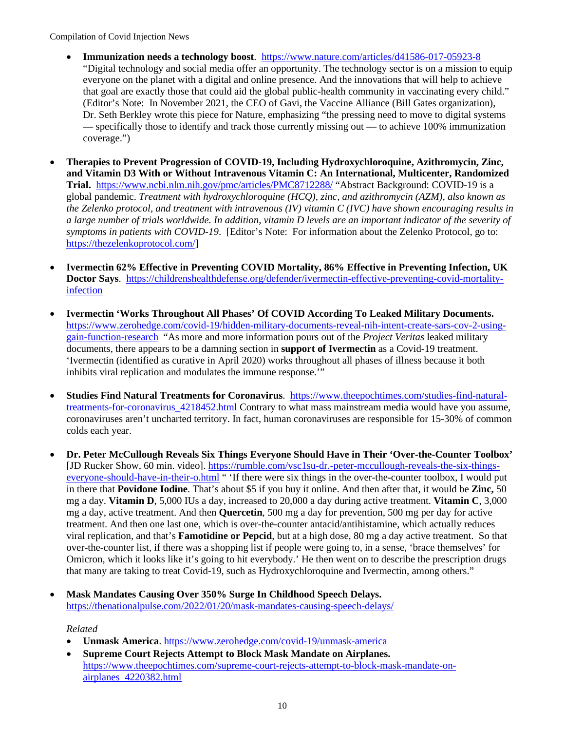- **Immunization needs a technology boost**. <https://www.nature.com/articles/d41586-017-05923-8> "Digital technology and social media offer an opportunity. The technology sector is on a mission to equip everyone on the planet with a digital and online presence. And the innovations that will help to achieve that goal are exactly those that could aid the global public-health community in vaccinating every child." (Editor's Note: In November 2021, the CEO of Gavi, the Vaccine Alliance (Bill Gates organization), Dr. Seth Berkley wrote this piece for Nature, emphasizing "the pressing need to move to digital systems — specifically those to identify and track those currently missing out — to achieve 100% immunization coverage.")
- **Therapies to Prevent Progression of COVID-19, Including Hydroxychloroquine, Azithromycin, Zinc, and Vitamin D3 With or Without Intravenous Vitamin C: An International, Multicenter, Randomized Trial.** <https://www.ncbi.nlm.nih.gov/pmc/articles/PMC8712288/>"Abstract Background: COVID-19 is a global pandemic. *Treatment with hydroxychloroquine (HCQ), zinc, and azithromycin (AZM), also known as the Zelenko protocol, and treatment with intravenous (IV) vitamin C (IVC) have shown encouraging results in a large number of trials worldwide. In addition, vitamin D levels are an important indicator of the severity of symptoms in patients with COVID-19*. [Editor's Note: For information about the Zelenko Protocol, go to: [https://thezelenkoprotocol.com/\]](https://thezelenkoprotocol.com/)
- **Ivermectin 62% Effective in Preventing COVID Mortality, 86% Effective in Preventing Infection, UK Doctor Says**. [https://childrenshealthdefense.org/defender/ivermectin-effective-preventing-covid-mortality](https://childrenshealthdefense.org/defender/ivermectin-effective-preventing-covid-mortality-infection)[infection](https://childrenshealthdefense.org/defender/ivermectin-effective-preventing-covid-mortality-infection)
- **Ivermectin 'Works Throughout All Phases' Of COVID According To Leaked Military Documents.**  [https://www.zerohedge.com/covid-19/hidden-military-documents-reveal-nih-intent-create-sars-cov-2-using](https://www.zerohedge.com/covid-19/hidden-military-documents-reveal-nih-intent-create-sars-cov-2-using-gain-function-research)[gain-function-research](https://www.zerohedge.com/covid-19/hidden-military-documents-reveal-nih-intent-create-sars-cov-2-using-gain-function-research)"As more and more information pours out of the *Project Veritas* leaked military documents, there appears to be a damning section in **support of Ivermectin** as a Covid-19 treatment. 'Ivermectin (identified as curative in April 2020) works throughout all phases of illness because it both inhibits viral replication and modulates the immune response.'"
- **Studies Find Natural Treatments for Coronavirus**. [https://www.theepochtimes.com/studies-find-natural](https://www.theepochtimes.com/studies-find-natural-treatments-for-coronavirus_4218452.html)treatments-for-coronavirus 4218452.html Contrary to what mass mainstream media would have you assume, coronaviruses aren't uncharted territory. In fact, human coronaviruses are responsible for 15-30% of common colds each year.
- **Dr. Peter McCullough Reveals Six Things Everyone Should Have in Their 'Over-the-Counter Toolbox'** [JD Rucker Show, 60 min. video][. https://rumble.com/vsc1su-dr.-peter-mccullough-reveals-the-six-things](https://rumble.com/vsc1su-dr.-peter-mccullough-reveals-the-six-things-everyone-should-have-in-their-o.html)[everyone-should-have-in-their-o.html](https://rumble.com/vsc1su-dr.-peter-mccullough-reveals-the-six-things-everyone-should-have-in-their-o.html) " 'If there were six things in the over-the-counter toolbox, I would put in there that **Povidone Iodine**. That's about \$5 if you buy it online. And then after that, it would be **Zinc,** 50 mg a day. **Vitamin D**, 5,000 IUs a day, increased to 20,000 a day during active treatment. **Vitamin C**, 3,000 mg a day, active treatment. And then **Quercetin**, 500 mg a day for prevention, 500 mg per day for active treatment. And then one last one, which is over-the-counter antacid/antihistamine, which actually reduces viral replication, and that's **Famotidine or Pepcid**, but at a high dose, 80 mg a day active treatment. So that over-the-counter list, if there was a shopping list if people were going to, in a sense, 'brace themselves' for Omicron, which it looks like it's going to hit everybody.' He then went on to describe the prescription drugs that many are taking to treat Covid-19, such as Hydroxychloroquine and Ivermectin, among others."
- **Mask Mandates Causing Over 350% Surge In Childhood Speech Delays.**  <https://thenationalpulse.com/2022/01/20/mask-mandates-causing-speech-delays/>

- **Unmask America**[. https://www.zerohedge.com/covid-19/unmask-america](https://www.zerohedge.com/covid-19/unmask-america)
- **Supreme Court Rejects Attempt to Block Mask Mandate on Airplanes.**  [https://www.theepochtimes.com/supreme-court-rejects-attempt-to-block-mask-mandate-on](https://www.theepochtimes.com/supreme-court-rejects-attempt-to-block-mask-mandate-on-airplanes_4220382.html)[airplanes\\_4220382.html](https://www.theepochtimes.com/supreme-court-rejects-attempt-to-block-mask-mandate-on-airplanes_4220382.html)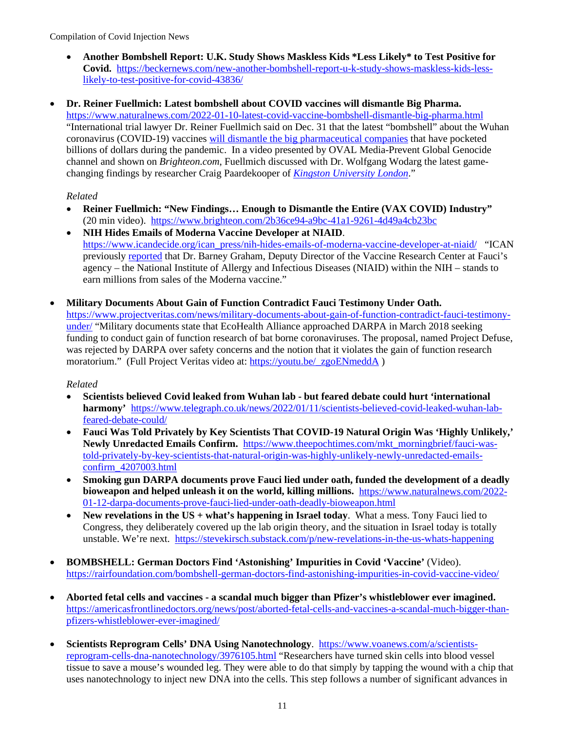- **Another Bombshell Report: U.K. Study Shows Maskless Kids \*Less Likely\* to Test Positive for Covid.** [https://beckernews.com/new-another-bombshell-report-u-k-study-shows-maskless-kids-less](https://beckernews.com/new-another-bombshell-report-u-k-study-shows-maskless-kids-less-likely-to-test-positive-for-covid-43836/)[likely-to-test-positive-for-covid-43836/](https://beckernews.com/new-another-bombshell-report-u-k-study-shows-maskless-kids-less-likely-to-test-positive-for-covid-43836/)
- **Dr. Reiner Fuellmich: Latest bombshell about COVID vaccines will dismantle Big Pharma.** <https://www.naturalnews.com/2022-01-10-latest-covid-vaccine-bombshell-dismantle-big-pharma.html> "International trial lawyer Dr. Reiner Fuellmich said on Dec. 31 that the latest "bombshell" about the Wuhan coronavirus (COVID-19) vaccines [will dismantle the big pharmaceutical companies](https://www.brighteon.com/2b36ce94-a9bc-41a1-9261-4d49a4cb23bc) that have pocketed billions of dollars during the pandemic. In a video presented by OVAL Media-Prevent Global Genocide channel and shown on *Brighteon.com*, Fuellmich discussed with Dr. Wolfgang Wodarg the latest gamechanging findings by researcher Craig Paardekooper of *[Kingston University London](https://www.kingston.ac.uk/)*."

- **Reiner Fuellmich: "New Findings… Enough to Dismantle the Entire (VAX COVID) Industry"** (20 min video).<https://www.brighteon.com/2b36ce94-a9bc-41a1-9261-4d49a4cb23bc>
- **NIH Hides Emails of Moderna Vaccine Developer at NIAID**. [https://www.icandecide.org/ican\\_press/nih-hides-emails-of-moderna-vaccine-developer-at-niaid/](https://www.icandecide.org/ican_press/nih-hides-emails-of-moderna-vaccine-developer-at-niaid/) "ICAN previously [reported](https://www.icandecide.org/ican_press/nih-officials-stand-to-earn-millions-from-moderna-vaccine-2/) that Dr. Barney Graham, Deputy Director of the Vaccine Research Center at Fauci's agency – the National Institute of Allergy and Infectious Diseases (NIAID) within the NIH – stands to earn millions from sales of the Moderna vaccine."
- **Military Documents About Gain of Function Contradict Fauci Testimony Under Oath.** [https://www.projectveritas.com/news/military-documents-about-gain-of-function-contradict-fauci-testimony](https://www.projectveritas.com/news/military-documents-about-gain-of-function-contradict-fauci-testimony-under/)[under/](https://www.projectveritas.com/news/military-documents-about-gain-of-function-contradict-fauci-testimony-under/) "Military documents state that EcoHealth Alliance approached DARPA in March 2018 seeking funding to conduct gain of function research of bat borne coronaviruses. The proposal, named Project Defuse, was rejected by DARPA over safety concerns and the notion that it violates the gain of function research moratorium." (Full Project Veritas video at: https://youtu.be/\_zgoENmeddA)

- **Scientists believed Covid leaked from Wuhan lab but feared debate could hurt 'international harmony'** [https://www.telegraph.co.uk/news/2022/01/11/scientists-believed-covid-leaked-wuhan-lab](https://www.telegraph.co.uk/news/2022/01/11/scientists-believed-covid-leaked-wuhan-lab-feared-debate-could/)[feared-debate-could/](https://www.telegraph.co.uk/news/2022/01/11/scientists-believed-covid-leaked-wuhan-lab-feared-debate-could/)
- **Fauci Was Told Privately by Key Scientists That COVID-19 Natural Origin Was 'Highly Unlikely,' Newly Unredacted Emails Confirm.** [https://www.theepochtimes.com/mkt\\_morningbrief/fauci-was](https://www.theepochtimes.com/mkt_morningbrief/fauci-was-told-privately-by-key-scientists-that-natural-origin-was-highly-unlikely-newly-unredacted-emails-confirm_4207003.html)[told-privately-by-key-scientists-that-natural-origin-was-highly-unlikely-newly-unredacted-emails](https://www.theepochtimes.com/mkt_morningbrief/fauci-was-told-privately-by-key-scientists-that-natural-origin-was-highly-unlikely-newly-unredacted-emails-confirm_4207003.html)[confirm\\_4207003.html](https://www.theepochtimes.com/mkt_morningbrief/fauci-was-told-privately-by-key-scientists-that-natural-origin-was-highly-unlikely-newly-unredacted-emails-confirm_4207003.html)
- **Smoking gun DARPA documents prove Fauci lied under oath, funded the development of a deadly bioweapon and helped unleash it on the world, killing millions.** [https://www.naturalnews.com/2022-](https://www.naturalnews.com/2022-01-12-darpa-documents-prove-fauci-lied-under-oath-deadly-bioweapon.html) [01-12-darpa-documents-prove-fauci-lied-under-oath-deadly-bioweapon.html](https://www.naturalnews.com/2022-01-12-darpa-documents-prove-fauci-lied-under-oath-deadly-bioweapon.html)
- **New revelations in the US + what's happening in Israel today**. What a mess. Tony Fauci lied to Congress, they deliberately covered up the lab origin theory, and the situation in Israel today is totally unstable. We're next. <https://stevekirsch.substack.com/p/new-revelations-in-the-us-whats-happening>
- **BOMBSHELL: German Doctors Find 'Astonishing' Impurities in Covid 'Vaccine'** (Video). <https://rairfoundation.com/bombshell-german-doctors-find-astonishing-impurities-in-covid-vaccine-video/>
- **Aborted fetal cells and vaccines a scandal much bigger than Pfizer's whistleblower ever imagined.**  [https://americasfrontlinedoctors.org/news/post/aborted-fetal-cells-and-vaccines-a-scandal-much-bigger-than](https://americasfrontlinedoctors.org/news/post/aborted-fetal-cells-and-vaccines-a-scandal-much-bigger-than-pfizers-whistleblower-ever-imagined/)[pfizers-whistleblower-ever-imagined/](https://americasfrontlinedoctors.org/news/post/aborted-fetal-cells-and-vaccines-a-scandal-much-bigger-than-pfizers-whistleblower-ever-imagined/)
- **Scientists Reprogram Cells' DNA Using Nanotechnology**. [https://www.voanews.com/a/scientists](https://www.voanews.com/a/scientists-reprogram-cells-dna-nanotechnology/3976105.html)[reprogram-cells-dna-nanotechnology/3976105.html](https://www.voanews.com/a/scientists-reprogram-cells-dna-nanotechnology/3976105.html) "Researchers have turned skin cells into blood vessel tissue to save a mouse's wounded leg. They were able to do that simply by tapping the wound with a chip that uses nanotechnology to inject new DNA into the cells. This step follows a number of significant advances in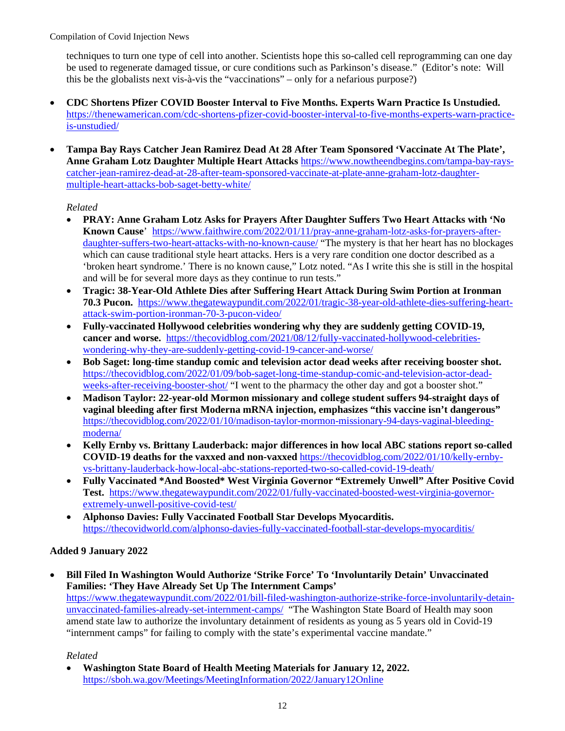techniques to turn one type of cell into another. Scientists hope this so-called cell reprogramming can one day be used to regenerate damaged tissue, or cure conditions such as Parkinson's disease." (Editor's note: Will this be the globalists next vis-à-vis the "vaccinations" – only for a nefarious purpose?)

- **CDC Shortens Pfizer COVID Booster Interval to Five Months. Experts Warn Practice Is Unstudied.** [https://thenewamerican.com/cdc-shortens-pfizer-covid-booster-interval-to-five-months-experts-warn-practice](https://thenewamerican.com/cdc-shortens-pfizer-covid-booster-interval-to-five-months-experts-warn-practice-is-unstudied/)[is-unstudied/](https://thenewamerican.com/cdc-shortens-pfizer-covid-booster-interval-to-five-months-experts-warn-practice-is-unstudied/)
- **Tampa Bay Rays Catcher Jean Ramirez Dead At 28 After Team Sponsored 'Vaccinate At The Plate', Anne Graham Lotz Daughter Multiple Heart Attacks** [https://www.nowtheendbegins.com/tampa-bay-rays](https://www.nowtheendbegins.com/tampa-bay-rays-catcher-jean-ramirez-dead-at-28-after-team-sponsored-vaccinate-at-plate-anne-graham-lotz-daughter-multiple-heart-attacks-bob-saget-betty-white/)[catcher-jean-ramirez-dead-at-28-after-team-sponsored-vaccinate-at-plate-anne-graham-lotz-daughter](https://www.nowtheendbegins.com/tampa-bay-rays-catcher-jean-ramirez-dead-at-28-after-team-sponsored-vaccinate-at-plate-anne-graham-lotz-daughter-multiple-heart-attacks-bob-saget-betty-white/)[multiple-heart-attacks-bob-saget-betty-white/](https://www.nowtheendbegins.com/tampa-bay-rays-catcher-jean-ramirez-dead-at-28-after-team-sponsored-vaccinate-at-plate-anne-graham-lotz-daughter-multiple-heart-attacks-bob-saget-betty-white/)

#### *Related*

- **PRAY: Anne Graham Lotz Asks for Prayers After Daughter Suffers Two Heart Attacks with 'No Known Cause**' [https://www.faithwire.com/2022/01/11/pray-anne-graham-lotz-asks-for-prayers-after](https://www.faithwire.com/2022/01/11/pray-anne-graham-lotz-asks-for-prayers-after-daughter-suffers-two-heart-attacks-with-no-known-cause/)[daughter-suffers-two-heart-attacks-with-no-known-cause/](https://www.faithwire.com/2022/01/11/pray-anne-graham-lotz-asks-for-prayers-after-daughter-suffers-two-heart-attacks-with-no-known-cause/) "The mystery is that her heart has no blockages which can cause traditional style heart attacks. Hers is a very rare condition one doctor described as a 'broken heart syndrome.' There is no known cause," Lotz noted. "As I write this she is still in the hospital and will be for several more days as they continue to run tests."
- **Tragic: 38-Year-Old Athlete Dies after Suffering Heart Attack During Swim Portion at Ironman 70.3 Pucon.** [https://www.thegatewaypundit.com/2022/01/tragic-38-year-old-athlete-dies-suffering-heart](https://www.thegatewaypundit.com/2022/01/tragic-38-year-old-athlete-dies-suffering-heart-attack-swim-portion-ironman-70-3-pucon-video/)[attack-swim-portion-ironman-70-3-pucon-video/](https://www.thegatewaypundit.com/2022/01/tragic-38-year-old-athlete-dies-suffering-heart-attack-swim-portion-ironman-70-3-pucon-video/)
- **Fully-vaccinated Hollywood celebrities wondering why they are suddenly getting COVID-19, cancer and worse.** [https://thecovidblog.com/2021/08/12/fully-vaccinated-hollywood-celebrities](https://thecovidblog.com/2021/08/12/fully-vaccinated-hollywood-celebrities-wondering-why-they-are-suddenly-getting-covid-19-cancer-and-worse/)[wondering-why-they-are-suddenly-getting-covid-19-cancer-and-worse/](https://thecovidblog.com/2021/08/12/fully-vaccinated-hollywood-celebrities-wondering-why-they-are-suddenly-getting-covid-19-cancer-and-worse/)
- **Bob Saget: long-time standup comic and television actor dead weeks after receiving booster shot.** [https://thecovidblog.com/2022/01/09/bob-saget-long-time-standup-comic-and-television-actor-dead](https://thecovidblog.com/2022/01/09/bob-saget-long-time-standup-comic-and-television-actor-dead-weeks-after-receiving-booster-shot/)[weeks-after-receiving-booster-shot/](https://thecovidblog.com/2022/01/09/bob-saget-long-time-standup-comic-and-television-actor-dead-weeks-after-receiving-booster-shot/) "I went to the pharmacy the other day and got a booster shot."
- **Madison Taylor: 22-year-old Mormon missionary and college student suffers 94-straight days of vaginal bleeding after first Moderna mRNA injection, emphasizes "this vaccine isn't dangerous"** [https://thecovidblog.com/2022/01/10/madison-taylor-mormon-missionary-94-days-vaginal-bleeding](https://thecovidblog.com/2022/01/10/madison-taylor-mormon-missionary-94-days-vaginal-bleeding-moderna/)[moderna/](https://thecovidblog.com/2022/01/10/madison-taylor-mormon-missionary-94-days-vaginal-bleeding-moderna/)
- **Kelly Ernby vs. Brittany Lauderback: major differences in how local ABC stations report so-called COVID-19 deaths for the vaxxed and non-vaxxed** [https://thecovidblog.com/2022/01/10/kelly-ernby](https://thecovidblog.com/2022/01/10/kelly-ernby-vs-brittany-lauderback-how-local-abc-stations-reported-two-so-called-covid-19-death/)[vs-brittany-lauderback-how-local-abc-stations-reported-two-so-called-covid-19-death/](https://thecovidblog.com/2022/01/10/kelly-ernby-vs-brittany-lauderback-how-local-abc-stations-reported-two-so-called-covid-19-death/)
- **Fully Vaccinated \*And Boosted\* West Virginia Governor "Extremely Unwell" After Positive Covid Test.** [https://www.thegatewaypundit.com/2022/01/fully-vaccinated-boosted-west-virginia-governor](https://www.thegatewaypundit.com/2022/01/fully-vaccinated-boosted-west-virginia-governor-extremely-unwell-positive-covid-test/)[extremely-unwell-positive-covid-test/](https://www.thegatewaypundit.com/2022/01/fully-vaccinated-boosted-west-virginia-governor-extremely-unwell-positive-covid-test/)
- **Alphonso Davies: Fully Vaccinated Football Star Develops Myocarditis.**  <https://thecovidworld.com/alphonso-davies-fully-vaccinated-football-star-develops-myocarditis/>

#### **Added 9 January 2022**

• **Bill Filed In Washington Would Authorize 'Strike Force' To 'Involuntarily Detain' Unvaccinated Families: 'They Have Already Set Up The Internment Camps'** [https://www.thegatewaypundit.com/2022/01/bill-filed-washington-authorize-strike-force-involuntarily-detain](https://www.thegatewaypundit.com/2022/01/bill-filed-washington-authorize-strike-force-involuntarily-detain-unvaccinated-families-already-set-internment-camps/)[unvaccinated-families-already-set-internment-camps/](https://www.thegatewaypundit.com/2022/01/bill-filed-washington-authorize-strike-force-involuntarily-detain-unvaccinated-families-already-set-internment-camps/) "The Washington State Board of Health may soon amend state law to authorize the involuntary detainment of residents as young as 5 years old in Covid-19 "internment camps" for failing to comply with the state's experimental vaccine mandate."

*Related*

• **Washington State Board of Health Meeting Materials for January 12, 2022.** <https://sboh.wa.gov/Meetings/MeetingInformation/2022/January12Online>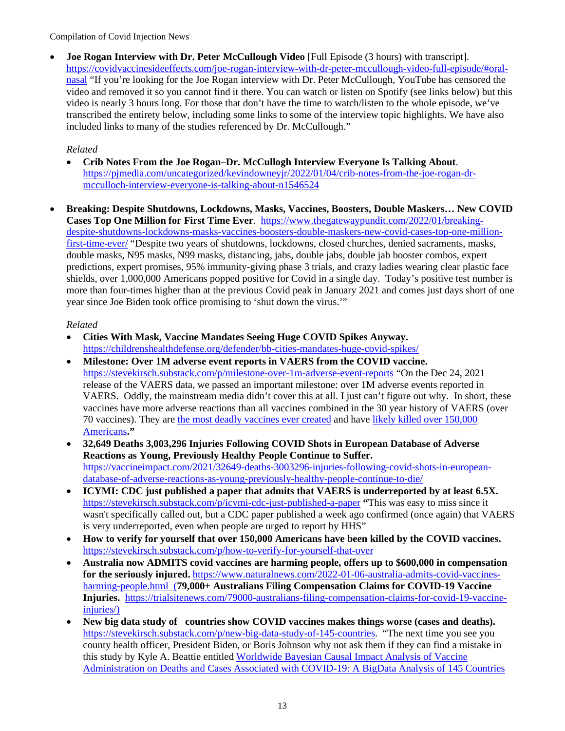• **Joe Rogan Interview with Dr. Peter McCullough Video** [Full Episode (3 hours) with transcript]. [https://covidvaccinesideeffects.com/joe-rogan-interview-with-dr-peter-mccullough-video-full-episode/#oral](https://covidvaccinesideeffects.com/joe-rogan-interview-with-dr-peter-mccullough-video-full-episode/#oral-nasal)[nasal](https://covidvaccinesideeffects.com/joe-rogan-interview-with-dr-peter-mccullough-video-full-episode/#oral-nasal) "If you're looking for the Joe Rogan interview with Dr. Peter McCullough, YouTube has censored the video and removed it so you cannot find it there. You can watch or listen on Spotify (see links below) but this video is nearly 3 hours long. For those that don't have the time to watch/listen to the whole episode, we've transcribed the entirety below, including some links to some of the interview topic highlights. We have also included links to many of the studies referenced by Dr. McCullough."

## *Related*

- **Crib Notes From the Joe Rogan–Dr. McCullogh Interview Everyone Is Talking About**. [https://pjmedia.com/uncategorized/kevindowneyjr/2022/01/04/crib-notes-from-the-joe-rogan-dr](https://pjmedia.com/uncategorized/kevindowneyjr/2022/01/04/crib-notes-from-the-joe-rogan-dr-mcculloch-interview-everyone-is-talking-about-n1546524)[mcculloch-interview-everyone-is-talking-about-n1546524](https://pjmedia.com/uncategorized/kevindowneyjr/2022/01/04/crib-notes-from-the-joe-rogan-dr-mcculloch-interview-everyone-is-talking-about-n1546524)
- **Breaking: Despite Shutdowns, Lockdowns, Masks, Vaccines, Boosters, Double Maskers… New COVID Cases Top One Million for First Time Ever**. [https://www.thegatewaypundit.com/2022/01/breaking](https://www.thegatewaypundit.com/2022/01/breaking-despite-shutdowns-lockdowns-masks-vaccines-boosters-double-maskers-new-covid-cases-top-one-million-first-time-ever/)[despite-shutdowns-lockdowns-masks-vaccines-boosters-double-maskers-new-covid-cases-top-one-million](https://www.thegatewaypundit.com/2022/01/breaking-despite-shutdowns-lockdowns-masks-vaccines-boosters-double-maskers-new-covid-cases-top-one-million-first-time-ever/)[first-time-ever/](https://www.thegatewaypundit.com/2022/01/breaking-despite-shutdowns-lockdowns-masks-vaccines-boosters-double-maskers-new-covid-cases-top-one-million-first-time-ever/) "Despite two years of shutdowns, lockdowns, closed churches, denied sacraments, masks, double masks, N95 masks, N99 masks, distancing, jabs, double jabs, double jab booster combos, expert predictions, expert promises, 95% immunity-giving phase 3 trials, and crazy ladies wearing clear plastic face shields, over 1,000,000 Americans popped positive for Covid in a single day. Today's positive test number is more than four-times higher than at the previous Covid peak in January 2021 and comes just days short of one year since Joe Biden took office promising to 'shut down the virus.'"

- **Cities With Mask, Vaccine Mandates Seeing Huge COVID Spikes Anyway.**  <https://childrenshealthdefense.org/defender/bb-cities-mandates-huge-covid-spikes/>
- **Milestone: Over 1M adverse event reports in VAERS from the COVID vaccine.**  <https://stevekirsch.substack.com/p/milestone-over-1m-adverse-event-reports>"On the Dec 24, 2021 release of the VAERS data, we passed an important milestone: over 1M adverse events reported in VAERS. Oddly, the mainstream media didn't cover this at all. I just can't figure out why. In short, these vaccines have more adverse reactions than all vaccines combined in the 30 year history of VAERS (over 70 vaccines). They are [the most deadly vaccines ever created](https://stevekirsch.substack.com/p/according-to-dr-paul-offit-we-should) and have [likely killed over 150,000](https://stevekirsch.substack.com/p/how-to-verify-for-yourself-that-over)  [Americans](https://stevekirsch.substack.com/p/how-to-verify-for-yourself-that-over)**."**
- **32,649 Deaths 3,003,296 Injuries Following COVID Shots in European Database of Adverse Reactions as Young, Previously Healthy People Continue to Suffer.**  [https://vaccineimpact.com/2021/32649-deaths-3003296-injuries-following-covid-shots-in-european](https://vaccineimpact.com/2021/32649-deaths-3003296-injuries-following-covid-shots-in-european-database-of-adverse-reactions-as-young-previously-healthy-people-continue-to-die/)[database-of-adverse-reactions-as-young-previously-healthy-people-continue-to-die/](https://vaccineimpact.com/2021/32649-deaths-3003296-injuries-following-covid-shots-in-european-database-of-adverse-reactions-as-young-previously-healthy-people-continue-to-die/)
- **ICYMI: CDC just published a paper that admits that VAERS is underreported by at least 6.5X.**  <https://stevekirsch.substack.com/p/icymi-cdc-just-published-a-paper> **"**This was easy to miss since it wasn't specifically called out, but a CDC paper published a week ago confirmed (once again) that VAERS is very underreported, even when people are urged to report by HHS"
- **How to verify for yourself that over 150,000 Americans have been killed by the COVID vaccines.**  <https://stevekirsch.substack.com/p/how-to-verify-for-yourself-that-over>
- **Australia now ADMITS covid vaccines are harming people, offers up to \$600,000 in compensation for the seriously injured.** [https://www.naturalnews.com/2022-01-06-australia-admits-covid-vaccines](https://www.naturalnews.com/2022-01-06-australia-admits-covid-vaccines-harming-people.html)[harming-people.html](https://www.naturalnews.com/2022-01-06-australia-admits-covid-vaccines-harming-people.html) (**79,000+ Australians Filing Compensation Claims for COVID-19 Vaccine Injuries.** [https://trialsitenews.com/79000-australians-filing-compensation-claims-for-covid-19-vaccine](https://trialsitenews.com/79000-australians-filing-compensation-claims-for-covid-19-vaccine-injuries/)[injuries/\)](https://trialsitenews.com/79000-australians-filing-compensation-claims-for-covid-19-vaccine-injuries/)
- **New big data study of countries show COVID vaccines makes things worse (cases and deaths).**  [https://stevekirsch.substack.com/p/new-big-data-study-of-145-countries.](https://stevekirsch.substack.com/p/new-big-data-study-of-145-countries) "The next time you see you county health officer, President Biden, or Boris Johnson why not ask them if they can find a mistake in this study by Kyle A. Beattie entitled [Worldwide Bayesian Causal Impact Analysis of Vaccine](https://vector-news.github.io/editorials/CausalAnalysisReport_html.html)  [Administration on Deaths and Cases Associated with COVID-19: A BigData Analysis of 145 Countries](https://vector-news.github.io/editorials/CausalAnalysisReport_html.html)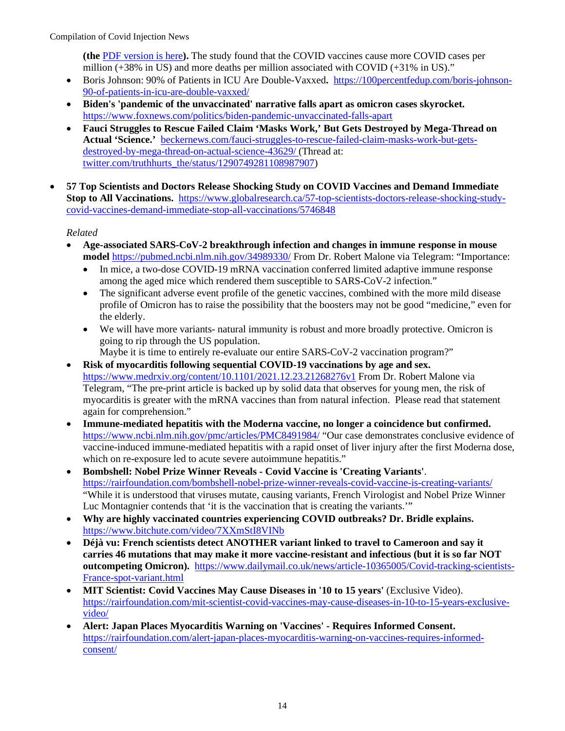**(the** [PDF version is here](https://drive.google.com/file/d/1DLlRa9rUqvW9pG1vNEsWMEydWwsmSMbe/view)**).** The study found that the COVID vaccines cause more COVID cases per million  $(+38\%$  in US) and more deaths per million associated with COVID  $(+31\%$  in US)."

- Boris Johnson: 90% of Patients in ICU Are Double-Vaxxed**.** [https://100percentfedup.com/boris-johnson-](https://100percentfedup.com/boris-johnson-90-of-patients-in-icu-are-double-vaxxed/)[90-of-patients-in-icu-are-double-vaxxed/](https://100percentfedup.com/boris-johnson-90-of-patients-in-icu-are-double-vaxxed/)
- **Biden's 'pandemic of the unvaccinated' narrative falls apart as omicron cases skyrocket.** <https://www.foxnews.com/politics/biden-pandemic-unvaccinated-falls-apart>
- **Fauci Struggles to Rescue Failed Claim 'Masks Work,' But Gets Destroyed by Mega-Thread on Actual 'Science.'** [beckernews.com/fauci-struggles-to-rescue-failed-claim-masks-work-but-gets](https://beckernews.com/fauci-struggles-to-rescue-failed-claim-masks-work-but-gets-destroyed-by-mega-thread-on-actual-science-43629/)[destroyed-by-mega-thread-on-actual-science-43629/](https://beckernews.com/fauci-struggles-to-rescue-failed-claim-masks-work-but-gets-destroyed-by-mega-thread-on-actual-science-43629/) (Thread at: [twitter.com/truthhurts\\_the/status/1290749281108987907\)](https://twitter.com/truthhurts_the/status/1290749281108987907)
- **57 Top Scientists and Doctors Release Shocking Study on COVID Vaccines and Demand Immediate Stop to All Vaccinations.** [https://www.globalresearch.ca/57-top-scientists-doctors-release-shocking-study](https://www.globalresearch.ca/57-top-scientists-doctors-release-shocking-study-covid-vaccines-demand-immediate-stop-all-vaccinations/5746848)[covid-vaccines-demand-immediate-stop-all-vaccinations/5746848](https://www.globalresearch.ca/57-top-scientists-doctors-release-shocking-study-covid-vaccines-demand-immediate-stop-all-vaccinations/5746848)

- **Age-associated SARS-CoV-2 breakthrough infection and changes in immune response in mouse model** <https://pubmed.ncbi.nlm.nih.gov/34989330/> From Dr. Robert Malone via Telegram: "Importance:
	- In mice, a two-dose COVID-19 mRNA vaccination conferred limited adaptive immune response among the aged mice which rendered them susceptible to SARS-CoV-2 infection."
	- The significant adverse event profile of the genetic vaccines, combined with the more mild disease profile of Omicron has to raise the possibility that the boosters may not be good "medicine," even for the elderly.
	- We will have more variants- natural immunity is robust and more broadly protective. Omicron is going to rip through the US population.
		- Maybe it is time to entirely re-evaluate our entire SARS-CoV-2 vaccination program?"
- **Risk of myocarditis following sequential COVID-19 vaccinations by age and sex.** <https://www.medrxiv.org/content/10.1101/2021.12.23.21268276v1>From Dr. Robert Malone via Telegram, "The pre-print article is backed up by solid data that observes for young men, the risk of myocarditis is greater with the mRNA vaccines than from natural infection. Please read that statement again for comprehension."
- **Immune-mediated hepatitis with the Moderna vaccine, no longer a coincidence but confirmed.** <https://www.ncbi.nlm.nih.gov/pmc/articles/PMC8491984/> "Our case demonstrates conclusive evidence of vaccine-induced immune-mediated hepatitis with a rapid onset of liver injury after the first Moderna dose, which on re-exposure led to acute severe autoimmune hepatitis."
- **Bombshell: Nobel Prize Winner Reveals Covid Vaccine is 'Creating Variants'**. <https://rairfoundation.com/bombshell-nobel-prize-winner-reveals-covid-vaccine-is-creating-variants/> "While it is understood that viruses mutate, causing variants, French Virologist and Nobel Prize Winner Luc Montagnier contends that 'it is the vaccination that is creating the variants.'"
- **Why are highly vaccinated countries experiencing COVID outbreaks? Dr. Bridle explains.**  <https://www.bitchute.com/video/7XXmStI8VINb>
- **Déjà vu: French scientists detect ANOTHER variant linked to travel to Cameroon and say it carries 46 mutations that may make it more vaccine-resistant and infectious (but it is so far NOT outcompeting Omicron).** [https://www.dailymail.co.uk/news/article-10365005/Covid-tracking-scientists-](https://www.dailymail.co.uk/news/article-10365005/Covid-tracking-scientists-France-spot-variant.html)[France-spot-variant.html](https://www.dailymail.co.uk/news/article-10365005/Covid-tracking-scientists-France-spot-variant.html)
- **MIT Scientist: Covid Vaccines May Cause Diseases in '10 to 15 years'** (Exclusive Video). [https://rairfoundation.com/mit-scientist-covid-vaccines-may-cause-diseases-in-10-to-15-years-exclusive](https://rairfoundation.com/mit-scientist-covid-vaccines-may-cause-diseases-in-10-to-15-years-exclusive-video/)[video/](https://rairfoundation.com/mit-scientist-covid-vaccines-may-cause-diseases-in-10-to-15-years-exclusive-video/)
- **Alert: Japan Places Myocarditis Warning on 'Vaccines' Requires Informed Consent.** [https://rairfoundation.com/alert-japan-places-myocarditis-warning-on-vaccines-requires-informed](https://rairfoundation.com/alert-japan-places-myocarditis-warning-on-vaccines-requires-informed-consent/)[consent/](https://rairfoundation.com/alert-japan-places-myocarditis-warning-on-vaccines-requires-informed-consent/)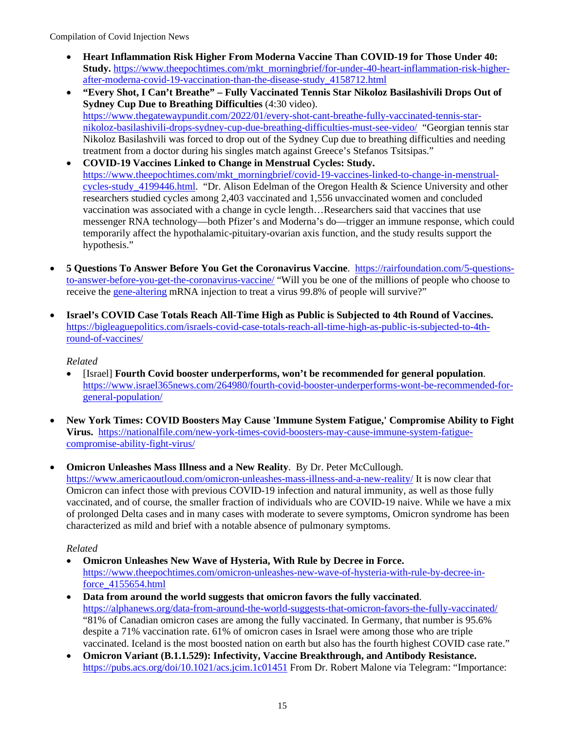- **Heart Inflammation Risk Higher From Moderna Vaccine Than COVID-19 for Those Under 40: Study.** [https://www.theepochtimes.com/mkt\\_morningbrief/for-under-40-heart-inflammation-risk-higher](https://www.theepochtimes.com/mkt_morningbrief/for-under-40-heart-inflammation-risk-higher-after-moderna-covid-19-vaccination-than-the-disease-study_4158712.html)[after-moderna-covid-19-vaccination-than-the-disease-study\\_4158712.html](https://www.theepochtimes.com/mkt_morningbrief/for-under-40-heart-inflammation-risk-higher-after-moderna-covid-19-vaccination-than-the-disease-study_4158712.html)
- **"Every Shot, I Can't Breathe" Fully Vaccinated Tennis Star Nikoloz Basilashivili Drops Out of Sydney Cup Due to Breathing Difficulties** (4:30 video). [https://www.thegatewaypundit.com/2022/01/every-shot-cant-breathe-fully-vaccinated-tennis-star](https://www.thegatewaypundit.com/2022/01/every-shot-cant-breathe-fully-vaccinated-tennis-star-nikoloz-basilashivili-drops-sydney-cup-due-breathing-difficulties-must-see-video/)[nikoloz-basilashivili-drops-sydney-cup-due-breathing-difficulties-must-see-video/](https://www.thegatewaypundit.com/2022/01/every-shot-cant-breathe-fully-vaccinated-tennis-star-nikoloz-basilashivili-drops-sydney-cup-due-breathing-difficulties-must-see-video/) "Georgian tennis star Nikoloz Basilashvili was forced to drop out of the Sydney Cup due to breathing difficulties and needing treatment from a doctor during his singles match against Greece's Stefanos Tsitsipas."
- **COVID-19 Vaccines Linked to Change in Menstrual Cycles: Study.**  [https://www.theepochtimes.com/mkt\\_morningbrief/covid-19-vaccines-linked-to-change-in-menstrual](https://www.theepochtimes.com/mkt_morningbrief/covid-19-vaccines-linked-to-change-in-menstrual-cycles-study_4199446.html)cycles-study 4199446.html. "Dr. Alison Edelman of the Oregon Health & Science University and other researchers studied cycles among 2,403 vaccinated and 1,556 unvaccinated women and concluded vaccination was associated with a change in cycle length…Researchers said that vaccines that use messenger RNA technology—both Pfizer's and Moderna's do—trigger an immune response, which could temporarily affect the hypothalamic-pituitary-ovarian axis function, and the study results support the hypothesis."
- **5 Questions To Answer Before You Get the Coronavirus Vaccine**. [https://rairfoundation.com/5-questions](https://rairfoundation.com/5-questions-to-answer-before-you-get-the-coronavirus-vaccine/)[to-answer-before-you-get-the-coronavirus-vaccine/](https://rairfoundation.com/5-questions-to-answer-before-you-get-the-coronavirus-vaccine/) "Will you be one of the millions of people who choose to receive the [gene-altering](https://rairfoundation.com/dire-warning-prominent-virologist-dr-sucharit-bhakdi-exposes-major-risks-of-gene-altering-vaccine-video/) mRNA injection to treat a virus 99.8% of people will survive?"
- **Israel's COVID Case Totals Reach All-Time High as Public is Subjected to 4th Round of Vaccines.** [https://bigleaguepolitics.com/israels-covid-case-totals-reach-all-time-high-as-public-is-subjected-to-4th](https://bigleaguepolitics.com/israels-covid-case-totals-reach-all-time-high-as-public-is-subjected-to-4th-round-of-vaccines/)[round-of-vaccines/](https://bigleaguepolitics.com/israels-covid-case-totals-reach-all-time-high-as-public-is-subjected-to-4th-round-of-vaccines/)

#### *Related*

- [Israel] **Fourth Covid booster underperforms, won't be recommended for general population**. [https://www.israel365news.com/264980/fourth-covid-booster-underperforms-wont-be-recommended-for](https://www.israel365news.com/264980/fourth-covid-booster-underperforms-wont-be-recommended-for-general-population/)[general-population/](https://www.israel365news.com/264980/fourth-covid-booster-underperforms-wont-be-recommended-for-general-population/)
- **New York Times: COVID Boosters May Cause 'Immune System Fatigue,' Compromise Ability to Fight Virus.** [https://nationalfile.com/new-york-times-covid-boosters-may-cause-immune-system-fatigue](https://nationalfile.com/new-york-times-covid-boosters-may-cause-immune-system-fatigue-compromise-ability-fight-virus/)[compromise-ability-fight-virus/](https://nationalfile.com/new-york-times-covid-boosters-may-cause-immune-system-fatigue-compromise-ability-fight-virus/)

• **Omicron Unleashes Mass Illness and a New Reality**. By Dr. Peter McCullough.

<https://www.americaoutloud.com/omicron-unleashes-mass-illness-and-a-new-reality/> It is now clear that Omicron can infect those with previous COVID-19 infection and natural immunity, as well as those fully vaccinated, and of course, the smaller fraction of individuals who are COVID-19 naive. While we have a mix of prolonged Delta cases and in many cases with moderate to severe symptoms, Omicron syndrome has been characterized as mild and brief with a notable absence of pulmonary symptoms.

- **Omicron Unleashes New Wave of Hysteria, With Rule by Decree in Force.** [https://www.theepochtimes.com/omicron-unleashes-new-wave-of-hysteria-with-rule-by-decree-in](https://www.theepochtimes.com/omicron-unleashes-new-wave-of-hysteria-with-rule-by-decree-in-force_4155654.html)[force\\_4155654.html](https://www.theepochtimes.com/omicron-unleashes-new-wave-of-hysteria-with-rule-by-decree-in-force_4155654.html)
- **Data from around the world suggests that omicron favors the fully vaccinated**. <https://alphanews.org/data-from-around-the-world-suggests-that-omicron-favors-the-fully-vaccinated/> "81% of Canadian omicron cases are among the fully vaccinated. In Germany, that number is 95.6% despite a 71% vaccination rate. 61% of omicron cases in Israel were among those who are triple vaccinated. Iceland is the most boosted nation on earth but also has the fourth highest COVID case rate."
- **Omicron Variant (B.1.1.529): Infectivity, Vaccine Breakthrough, and Antibody Resistance.**  <https://pubs.acs.org/doi/10.1021/acs.jcim.1c01451> From Dr. Robert Malone via Telegram: "Importance: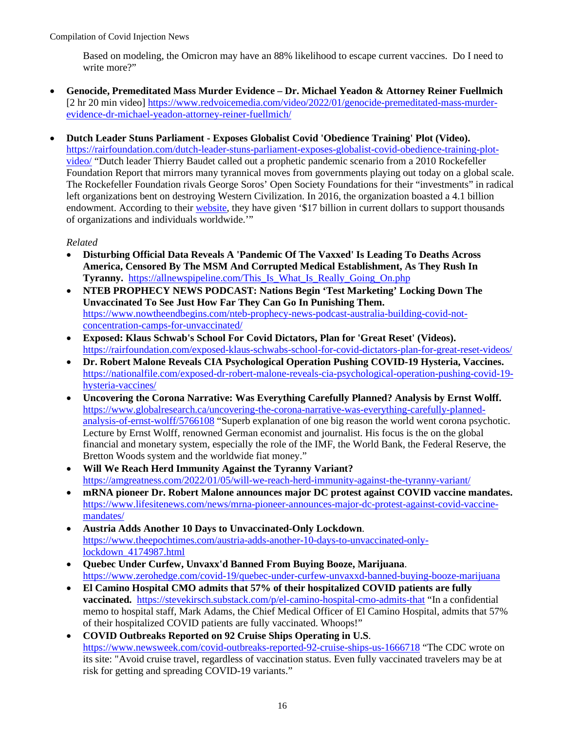Based on modeling, the Omicron may have an 88% likelihood to escape current vaccines. Do I need to write more?"

- **Genocide, Premeditated Mass Murder Evidence Dr. Michael Yeadon & Attorney Reiner Fuellmich**  [2 hr 20 min video] [https://www.redvoicemedia.com/video/2022/01/genocide-premeditated-mass-murder](https://www.redvoicemedia.com/video/2022/01/genocide-premeditated-mass-murder-evidence-dr-michael-yeadon-attorney-reiner-fuellmich/)[evidence-dr-michael-yeadon-attorney-reiner-fuellmich/](https://www.redvoicemedia.com/video/2022/01/genocide-premeditated-mass-murder-evidence-dr-michael-yeadon-attorney-reiner-fuellmich/)
- **Dutch Leader Stuns Parliament Exposes Globalist Covid 'Obedience Training' Plot (Video).**  [https://rairfoundation.com/dutch-leader-stuns-parliament-exposes-globalist-covid-obedience-training-plot](https://rairfoundation.com/dutch-leader-stuns-parliament-exposes-globalist-covid-obedience-training-plot-video/)[video/](https://rairfoundation.com/dutch-leader-stuns-parliament-exposes-globalist-covid-obedience-training-plot-video/) "Dutch leader Thierry Baudet called out a prophetic pandemic scenario from a 2010 Rockefeller Foundation Report that mirrors many tyrannical moves from governments playing out today on a global scale. The Rockefeller Foundation rivals George Soros' Open Society Foundations for their "investments" in radical left organizations bent on destroying Western Civilization. In 2016, the organization boasted a 4.1 billion endowment. According to their [website,](https://www.rockefellerfoundation.org/about-us/our-history/) they have given '\$17 billion in current dollars to support thousands of organizations and individuals worldwide.'"

- **Disturbing Official Data Reveals A 'Pandemic Of The Vaxxed' Is Leading To Deaths Across America, Censored By The MSM And Corrupted Medical Establishment, As They Rush In Tyranny.** [https://allnewspipeline.com/This\\_Is\\_What\\_Is\\_Really\\_Going\\_On.php](https://allnewspipeline.com/This_Is_What_Is_Really_Going_On.php)
- **NTEB PROPHECY NEWS PODCAST: Nations Begin 'Test Marketing' Locking Down The Unvaccinated To See Just How Far They Can Go In Punishing Them.** [https://www.nowtheendbegins.com/nteb-prophecy-news-podcast-australia-building-covid-not](https://www.nowtheendbegins.com/nteb-prophecy-news-podcast-australia-building-covid-not-concentration-camps-for-unvaccinated/)[concentration-camps-for-unvaccinated/](https://www.nowtheendbegins.com/nteb-prophecy-news-podcast-australia-building-covid-not-concentration-camps-for-unvaccinated/)
- **Exposed: Klaus Schwab's School For Covid Dictators, Plan for 'Great Reset' (Videos).** <https://rairfoundation.com/exposed-klaus-schwabs-school-for-covid-dictators-plan-for-great-reset-videos/>
- **Dr. Robert Malone Reveals CIA Psychological Operation Pushing COVID-19 Hysteria, Vaccines.**  [https://nationalfile.com/exposed-dr-robert-malone-reveals-cia-psychological-operation-pushing-covid-19](https://nationalfile.com/exposed-dr-robert-malone-reveals-cia-psychological-operation-pushing-covid-19-hysteria-vaccines/) [hysteria-vaccines/](https://nationalfile.com/exposed-dr-robert-malone-reveals-cia-psychological-operation-pushing-covid-19-hysteria-vaccines/)
- **Uncovering the Corona Narrative: Was Everything Carefully Planned? Analysis by Ernst Wolff.**  [https://www.globalresearch.ca/uncovering-the-corona-narrative-was-everything-carefully-planned](https://www.globalresearch.ca/uncovering-the-corona-narrative-was-everything-carefully-planned-analysis-of-ernst-wolff/5766108)[analysis-of-ernst-wolff/5766108](https://www.globalresearch.ca/uncovering-the-corona-narrative-was-everything-carefully-planned-analysis-of-ernst-wolff/5766108) "Superb explanation of one big reason the world went corona psychotic. Lecture by Ernst Wolff, renowned German economist and journalist. His focus is the on the global financial and monetary system, especially the role of the IMF, the World Bank, the Federal Reserve, the Bretton Woods system and the worldwide fiat money."
- **Will We Reach Herd Immunity Against the Tyranny Variant?** <https://amgreatness.com/2022/01/05/will-we-reach-herd-immunity-against-the-tyranny-variant/>
- **mRNA pioneer Dr. Robert Malone announces major DC protest against COVID vaccine mandates.** [https://www.lifesitenews.com/news/mrna-pioneer-announces-major-dc-protest-against-covid-vaccine](https://www.lifesitenews.com/news/mrna-pioneer-announces-major-dc-protest-against-covid-vaccine-mandates/)[mandates/](https://www.lifesitenews.com/news/mrna-pioneer-announces-major-dc-protest-against-covid-vaccine-mandates/)
- **Austria Adds Another 10 Days to Unvaccinated-Only Lockdown**. [https://www.theepochtimes.com/austria-adds-another-10-days-to-unvaccinated-only](https://www.theepochtimes.com/austria-adds-another-10-days-to-unvaccinated-only-lockdown_4174987.html)[lockdown\\_4174987.html](https://www.theepochtimes.com/austria-adds-another-10-days-to-unvaccinated-only-lockdown_4174987.html)
- **Quebec Under Curfew, Unvaxx'd Banned From Buying Booze, Marijuana**. <https://www.zerohedge.com/covid-19/quebec-under-curfew-unvaxxd-banned-buying-booze-marijuana>
- **El Camino Hospital CMO admits that 57% of their hospitalized COVID patients are fully vaccinated.** <https://stevekirsch.substack.com/p/el-camino-hospital-cmo-admits-that>"In a confidential memo to hospital staff, Mark Adams, the Chief Medical Officer of El Camino Hospital, admits that 57% of their hospitalized COVID patients are fully vaccinated. Whoops!"
- **COVID Outbreaks Reported on 92 Cruise Ships Operating in U.S**. <https://www.newsweek.com/covid-outbreaks-reported-92-cruise-ships-us-1666718>"The CDC wrote on its site: "Avoid cruise travel, regardless of vaccination status. Even fully vaccinated travelers may be at risk for getting and spreading COVID-19 variants."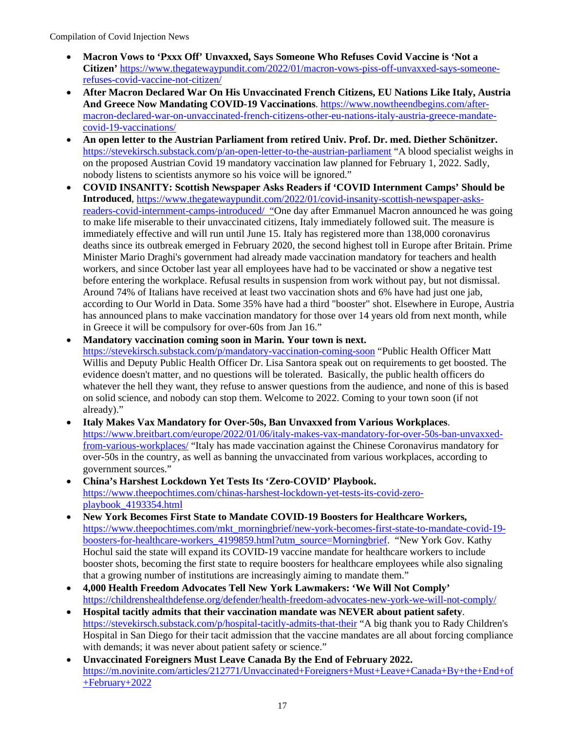- **Macron Vows to 'Pxxx Off' Unvaxxed, Says Someone Who Refuses Covid Vaccine is 'Not a Citizen'** [https://www.thegatewaypundit.com/2022/01/macron-vows-piss-off-unvaxxed-says-someone](https://www.thegatewaypundit.com/2022/01/macron-vows-piss-off-unvaxxed-says-someone-refuses-covid-vaccine-not-citizen/)[refuses-covid-vaccine-not-citizen/](https://www.thegatewaypundit.com/2022/01/macron-vows-piss-off-unvaxxed-says-someone-refuses-covid-vaccine-not-citizen/)
- **After Macron Declared War On His Unvaccinated French Citizens, EU Nations Like Italy, Austria And Greece Now Mandating COVID-19 Vaccinations**. [https://www.nowtheendbegins.com/after](https://www.nowtheendbegins.com/after-macron-declared-war-on-unvaccinated-french-citizens-other-eu-nations-italy-austria-greece-mandate-covid-19-vaccinations/)[macron-declared-war-on-unvaccinated-french-citizens-other-eu-nations-italy-austria-greece-mandate](https://www.nowtheendbegins.com/after-macron-declared-war-on-unvaccinated-french-citizens-other-eu-nations-italy-austria-greece-mandate-covid-19-vaccinations/)[covid-19-vaccinations/](https://www.nowtheendbegins.com/after-macron-declared-war-on-unvaccinated-french-citizens-other-eu-nations-italy-austria-greece-mandate-covid-19-vaccinations/)
- **An open letter to the Austrian Parliament from retired Univ. Prof. Dr. med. Diether Schönitzer.**  <https://stevekirsch.substack.com/p/an-open-letter-to-the-austrian-parliament> "A blood specialist weighs in on the proposed Austrian Covid 19 mandatory vaccination law planned for February 1, 2022. Sadly, nobody listens to scientists anymore so his voice will be ignored."
- **COVID INSANITY: Scottish Newspaper Asks Readers if 'COVID Internment Camps' Should be Introduced**, [https://www.thegatewaypundit.com/2022/01/covid-insanity-scottish-newspaper-asks](https://www.thegatewaypundit.com/2022/01/covid-insanity-scottish-newspaper-asks-readers-covid-internment-camps-introduced/)[readers-covid-internment-camps-introduced/](https://www.thegatewaypundit.com/2022/01/covid-insanity-scottish-newspaper-asks-readers-covid-internment-camps-introduced/) "One day after Emmanuel Macron announced he was going to make life miserable to their unvaccinated citizens, Italy immediately followed suit. The measure is immediately effective and will run until June 15. Italy has registered more than 138,000 coronavirus deaths since its outbreak emerged in February 2020, the second highest toll in Europe after Britain. Prime Minister Mario Draghi's government had already made vaccination mandatory for teachers and health workers, and since October last year all employees have had to be vaccinated or show a negative test before entering the workplace. Refusal results in suspension from work without pay, but not dismissal. Around 74% of Italians have received at least two vaccination shots and 6% have had just one jab, according to Our World in Data. Some 35% have had a third "booster" shot. Elsewhere in Europe, Austria has announced plans to make vaccination mandatory for those over 14 years old from next month, while in Greece it will be compulsory for over-60s from Jan 16."
- **Mandatory vaccination coming soon in Marin. Your town is next.** <https://stevekirsch.substack.com/p/mandatory-vaccination-coming-soon> "Public Health Officer Matt Willis and Deputy Public Health Officer Dr. Lisa Santora speak out on requirements to get boosted. The evidence doesn't matter, and no questions will be tolerated. Basically, the public health officers do whatever the hell they want, they refuse to answer questions from the audience, and none of this is based on solid science, and nobody can stop them. Welcome to 2022. Coming to your town soon (if not already)."
- **Italy Makes Vax Mandatory for Over-50s, Ban Unvaxxed from Various Workplaces**. [https://www.breitbart.com/europe/2022/01/06/italy-makes-vax-mandatory-for-over-50s-ban-unvaxxed](https://www.breitbart.com/europe/2022/01/06/italy-makes-vax-mandatory-for-over-50s-ban-unvaxxed-from-various-workplaces/)[from-various-workplaces/](https://www.breitbart.com/europe/2022/01/06/italy-makes-vax-mandatory-for-over-50s-ban-unvaxxed-from-various-workplaces/) "Italy has made vaccination against the Chinese Coronavirus mandatory for over-50s in the country, as well as banning the unvaccinated from various workplaces, according to government sources."
- **China's Harshest Lockdown Yet Tests Its 'Zero-COVID' Playbook.**  [https://www.theepochtimes.com/chinas-harshest-lockdown-yet-tests-its-covid-zero](https://www.theepochtimes.com/chinas-harshest-lockdown-yet-tests-its-covid-zero-playbook_4193354.html)[playbook\\_4193354.html](https://www.theepochtimes.com/chinas-harshest-lockdown-yet-tests-its-covid-zero-playbook_4193354.html)
- **New York Becomes First State to Mandate COVID-19 Boosters for Healthcare Workers,** [https://www.theepochtimes.com/mkt\\_morningbrief/new-york-becomes-first-state-to-mandate-covid-19](https://www.theepochtimes.com/mkt_morningbrief/new-york-becomes-first-state-to-mandate-covid-19-boosters-for-healthcare-workers_4199859.html?utm_source=Morningbrief) [boosters-for-healthcare-workers\\_4199859.html?utm\\_source=Morningbrief.](https://www.theepochtimes.com/mkt_morningbrief/new-york-becomes-first-state-to-mandate-covid-19-boosters-for-healthcare-workers_4199859.html?utm_source=Morningbrief) "New York Gov. Kathy Hochul said the state will expand its COVID-19 vaccine mandate for healthcare workers to include booster shots, becoming the first state to require boosters for healthcare employees while also signaling that a growing number of institutions are increasingly aiming to mandate them."
- **4,000 Health Freedom Advocates Tell New York Lawmakers: 'We Will Not Comply'**  <https://childrenshealthdefense.org/defender/health-freedom-advocates-new-york-we-will-not-comply/>
- **Hospital tacitly admits that their vaccination mandate was NEVER about patient safety**. <https://stevekirsch.substack.com/p/hospital-tacitly-admits-that-their>"A big thank you to Rady Children's Hospital in San Diego for their tacit admission that the vaccine mandates are all about forcing compliance with demands; it was never about patient safety or science."
- **Unvaccinated Foreigners Must Leave Canada By the End of February 2022.**  [https://m.novinite.com/articles/212771/Unvaccinated+Foreigners+Must+Leave+Canada+By+the+End+of](https://m.novinite.com/articles/212771/Unvaccinated+Foreigners+Must+Leave+Canada+By+the+End+of+February+2022) [+February+2022](https://m.novinite.com/articles/212771/Unvaccinated+Foreigners+Must+Leave+Canada+By+the+End+of+February+2022)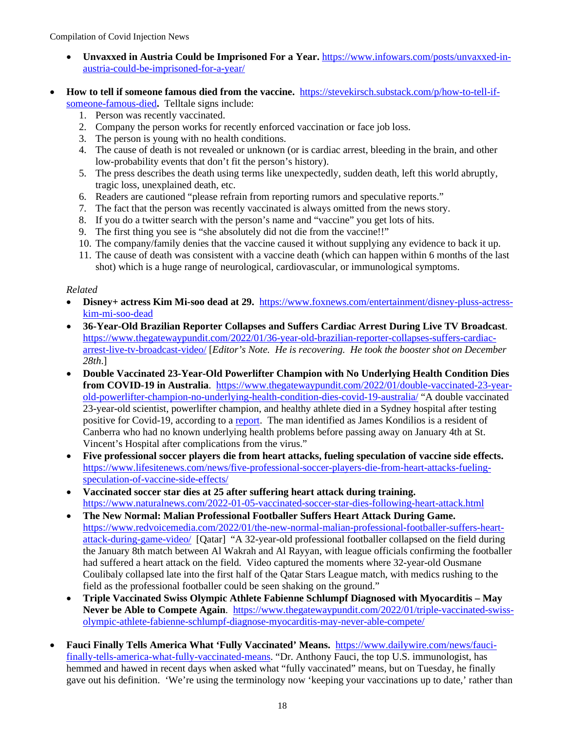- **Unvaxxed in Austria Could be Imprisoned For a Year.** [https://www.infowars.com/posts/unvaxxed-in](https://www.infowars.com/posts/unvaxxed-in-austria-could-be-imprisoned-for-a-year/)[austria-could-be-imprisoned-for-a-year/](https://www.infowars.com/posts/unvaxxed-in-austria-could-be-imprisoned-for-a-year/)
- **How to tell if someone famous died from the vaccine.** [https://stevekirsch.substack.com/p/how-to-tell-if](https://stevekirsch.substack.com/p/how-to-tell-if-someone-famous-died)[someone-famous-died](https://stevekirsch.substack.com/p/how-to-tell-if-someone-famous-died)**.** Telltale signs include:
	- 1. Person was recently vaccinated.
	- 2. Company the person works for recently enforced vaccination or face job loss.
	- 3. The person is young with no health conditions.
	- 4. The cause of death is not revealed or unknown (or is cardiac arrest, bleeding in the brain, and other low-probability events that don't fit the person's history).
	- 5. The press describes the death using terms like unexpectedly, sudden death, left this world abruptly, tragic loss, unexplained death, etc.
	- 6. Readers are cautioned "please refrain from reporting rumors and speculative reports."
	- 7. The fact that the person was recently vaccinated is always omitted from the news story.
	- 8. If you do a twitter search with the person's name and "vaccine" you get lots of hits.
	- 9. The first thing you see is "she absolutely did not die from the vaccine!!"
	- 10. The company/family denies that the vaccine caused it without supplying any evidence to back it up.
	- 11. The cause of death was consistent with a vaccine death (which can happen within 6 months of the last shot) which is a huge range of neurological, cardiovascular, or immunological symptoms.

- **Disney+ actress Kim Mi-soo dead at 29.** [https://www.foxnews.com/entertainment/disney-pluss-actress](https://www.foxnews.com/entertainment/disney-pluss-actress-kim-mi-soo-dead)[kim-mi-soo-dead](https://www.foxnews.com/entertainment/disney-pluss-actress-kim-mi-soo-dead)
- **36-Year-Old Brazilian Reporter Collapses and Suffers Cardiac Arrest During Live TV Broadcast**. [https://www.thegatewaypundit.com/2022/01/36-year-old-brazilian-reporter-collapses-suffers-cardiac](https://www.thegatewaypundit.com/2022/01/36-year-old-brazilian-reporter-collapses-suffers-cardiac-arrest-live-tv-broadcast-video/)[arrest-live-tv-broadcast-video/](https://www.thegatewaypundit.com/2022/01/36-year-old-brazilian-reporter-collapses-suffers-cardiac-arrest-live-tv-broadcast-video/) [*Editor's Note. He is recovering. He took the booster shot on December 28th*.]
- **Double Vaccinated 23-Year-Old Powerlifter Champion with No Underlying Health Condition Dies from COVID-19 in Australia**. [https://www.thegatewaypundit.com/2022/01/double-vaccinated-23-year](https://www.thegatewaypundit.com/2022/01/double-vaccinated-23-year-old-powerlifter-champion-no-underlying-health-condition-dies-covid-19-australia/)[old-powerlifter-champion-no-underlying-health-condition-dies-covid-19-australia/](https://www.thegatewaypundit.com/2022/01/double-vaccinated-23-year-old-powerlifter-champion-no-underlying-health-condition-dies-covid-19-australia/) "A double vaccinated 23-year-old scientist, powerlifter champion, and healthy athlete died in a Sydney hospital after testing positive for Covid-19, according to a [report.](https://7news.com.au/sunrise/on-the-show/covid-victim-aged-in-his-20s-identified-as-nsw-government-consdiers-new-restrictions-c-5212337) The man identified as James Kondilios is a resident of Canberra who had no known underlying health problems before passing away on January 4th at St. Vincent's Hospital after complications from the virus."
- **Five professional soccer players die from heart attacks, fueling speculation of vaccine side effects.**  [https://www.lifesitenews.com/news/five-professional-soccer-players-die-from-heart-attacks-fueling](https://www.lifesitenews.com/news/five-professional-soccer-players-die-from-heart-attacks-fueling-speculation-of-vaccine-side-effects/)[speculation-of-vaccine-side-effects/](https://www.lifesitenews.com/news/five-professional-soccer-players-die-from-heart-attacks-fueling-speculation-of-vaccine-side-effects/)
- **Vaccinated soccer star dies at 25 after suffering heart attack during training.**  <https://www.naturalnews.com/2022-01-05-vaccinated-soccer-star-dies-following-heart-attack.html>
- **The New Normal: Malian Professional Footballer Suffers Heart Attack During Game.**  [https://www.redvoicemedia.com/2022/01/the-new-normal-malian-professional-footballer-suffers-heart](https://www.redvoicemedia.com/2022/01/the-new-normal-malian-professional-footballer-suffers-heart-attack-during-game-video/)[attack-during-game-video/](https://www.redvoicemedia.com/2022/01/the-new-normal-malian-professional-footballer-suffers-heart-attack-during-game-video/) [Qatar] "A 32-year-old professional footballer collapsed on the field during the January 8th match between Al Wakrah and Al Rayyan, with league officials confirming the footballer had suffered a heart attack on the field. Video captured the moments where 32-year-old Ousmane Coulibaly collapsed late into the first half of the Qatar Stars League match, with medics rushing to the field as the professional footballer could be seen shaking on the ground."
- **Triple Vaccinated Swiss Olympic Athlete Fabienne Schlumpf Diagnosed with Myocarditis May Never be Able to Compete Again**. [https://www.thegatewaypundit.com/2022/01/triple-vaccinated-swiss](https://www.thegatewaypundit.com/2022/01/triple-vaccinated-swiss-olympic-athlete-fabienne-schlumpf-diagnose-myocarditis-may-never-able-compete/)[olympic-athlete-fabienne-schlumpf-diagnose-myocarditis-may-never-able-compete/](https://www.thegatewaypundit.com/2022/01/triple-vaccinated-swiss-olympic-athlete-fabienne-schlumpf-diagnose-myocarditis-may-never-able-compete/)
- **Fauci Finally Tells America What 'Fully Vaccinated' Means.** [https://www.dailywire.com/news/fauci](https://www.dailywire.com/news/fauci-finally-tells-america-what-fully-vaccinated-means)[finally-tells-america-what-fully-vaccinated-means.](https://www.dailywire.com/news/fauci-finally-tells-america-what-fully-vaccinated-means) "Dr. Anthony Fauci, the top U.S. immunologist, has hemmed and hawed in recent days when asked what "fully vaccinated" means, but on Tuesday, he finally gave out his definition. 'We're using the terminology now 'keeping your vaccinations up to date,' rather than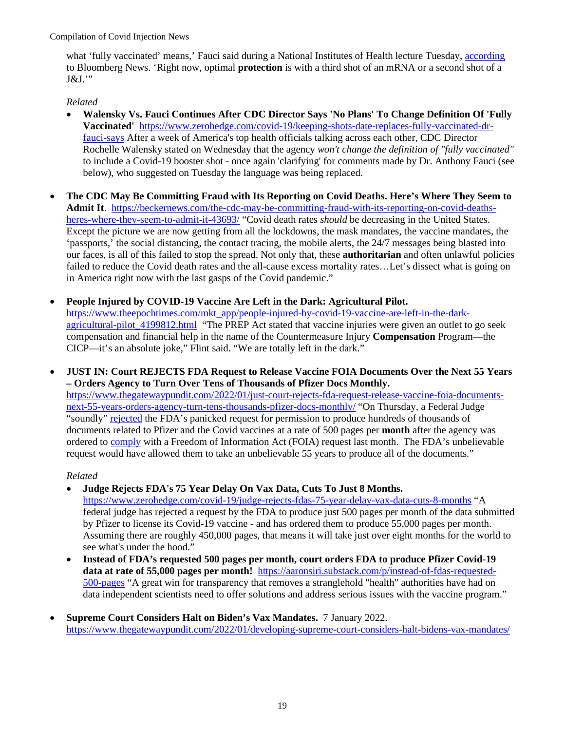what 'fully vaccinated' means,' Fauci said during a National Institutes of Health lecture Tuesday, [according](https://news.bloomberglaw.com/health-law-and-business/up-to-date-shots-replacing-term-fully-vaccinated-fauci-says) to Bloomberg News. 'Right now, optimal **protection** is with a third shot of an mRNA or a second shot of a J&J.'"

#### *Related*

- **Walensky Vs. Fauci Continues After CDC Director Says 'No Plans' To Change Definition Of 'Fully Vaccinated'** [https://www.zerohedge.com/covid-19/keeping-shots-date-replaces-fully-vaccinated-dr](https://www.zerohedge.com/covid-19/keeping-shots-date-replaces-fully-vaccinated-dr-fauci-says)[fauci-says](https://www.zerohedge.com/covid-19/keeping-shots-date-replaces-fully-vaccinated-dr-fauci-says) After a week of America's top health officials talking across each other, CDC Director Rochelle Walensky stated on Wednesday that the agency *won't change the definition of "fully vaccinated"* to include a Covid-19 booster shot - once again 'clarifying' for comments made by Dr. Anthony Fauci (see below), who suggested on Tuesday the language was being replaced.
- **The CDC May Be Committing Fraud with Its Reporting on Covid Deaths. Here's Where They Seem to Admit It**. [https://beckernews.com/the-cdc-may-be-committing-fraud-with-its-reporting-on-covid-deaths](https://beckernews.com/the-cdc-may-be-committing-fraud-with-its-reporting-on-covid-deaths-heres-where-they-seem-to-admit-it-43693/)[heres-where-they-seem-to-admit-it-43693/](https://beckernews.com/the-cdc-may-be-committing-fraud-with-its-reporting-on-covid-deaths-heres-where-they-seem-to-admit-it-43693/) "Covid death rates *should* be decreasing in the United States. Except the picture we are now getting from all the lockdowns, the mask mandates, the vaccine mandates, the 'passports,' the social distancing, the contact tracing, the mobile alerts, the 24/7 messages being blasted into our faces, is all of this failed to stop the spread. Not only that, these **authoritarian** and often unlawful policies failed to reduce the Covid death rates and the all-cause excess mortality rates…Let's dissect what is going on in America right now with the last gasps of the Covid pandemic."
- **People Injured by COVID-19 Vaccine Are Left in the Dark: Agricultural Pilot.** [https://www.theepochtimes.com/mkt\\_app/people-injured-by-covid-19-vaccine-are-left-in-the-dark](https://www.theepochtimes.com/mkt_app/people-injured-by-covid-19-vaccine-are-left-in-the-dark-agricultural-pilot_4199812.html)agricultural-pilot 4199812.html "The PREP Act stated that vaccine injuries were given an outlet to go seek compensation and financial help in the name of the Countermeasure Injury **Compensation** Program—the CICP—it's an absolute joke," Flint said. "We are totally left in the dark."
- **JUST IN: Court REJECTS FDA Request to Release Vaccine FOIA Documents Over the Next 55 Years – Orders Agency to Turn Over Tens of Thousands of Pfizer Docs Monthly.**

[https://www.thegatewaypundit.com/2022/01/just-court-rejects-fda-request-release-vaccine-foia-documents](https://www.thegatewaypundit.com/2022/01/just-court-rejects-fda-request-release-vaccine-foia-documents-next-55-years-orders-agency-turn-tens-thousands-pfizer-docs-monthly/)[next-55-years-orders-agency-turn-tens-thousands-pfizer-docs-monthly/](https://www.thegatewaypundit.com/2022/01/just-court-rejects-fda-request-release-vaccine-foia-documents-next-55-years-orders-agency-turn-tens-thousands-pfizer-docs-monthly/) "On Thursday, a Federal Judge "soundly" [rejected](https://www.sirillp.com/wp-content/uploads/2022/01/ORDER_2022_01_06-9e24e298ae561d16d68a3950ab57077b.pdf) the FDA's panicked request for permission to produce hundreds of thousands of documents related to Pfizer and the Covid vaccines at a rate of 500 pages per **month** after the agency was ordered to [comply](https://www.thegatewaypundit.com/2021/12/court-orders-fda-comply-foia-release-information-pfizer-eua-first-batch-documents-shows-1200-vaccine-deaths-within-first-90-days/?ff_source=Email&ff_medium=the-gateway-pundit&ff_campaign=dailypm&ff_content=daily) with a Freedom of Information Act (FOIA) request last month. The FDA's unbelievable request would have allowed them to take an unbelievable 55 years to produce all of the documents."

- **Judge Rejects FDA's 75 Year Delay On Vax Data, Cuts To Just 8 Months.** 
	- <https://www.zerohedge.com/covid-19/judge-rejects-fdas-75-year-delay-vax-data-cuts-8-months> "A federal judge has rejected a request by the FDA to produce just 500 pages per month of the data submitted by Pfizer to license its Covid-19 vaccine - and has ordered them to produce 55,000 pages per month. Assuming there are roughly 450,000 pages, that means it will take just over eight months for the world to see what's under the hood."
- **Instead of FDA's requested 500 pages per month, court orders FDA to produce Pfizer Covid-19 data at rate of 55,000 pages per month!** [https://aaronsiri.substack.com/p/instead-of-fdas-requested-](https://aaronsiri.substack.com/p/instead-of-fdas-requested-500-pages)[500-pages](https://aaronsiri.substack.com/p/instead-of-fdas-requested-500-pages) "A great win for transparency that removes a stranglehold "health" authorities have had on data independent scientists need to offer solutions and address serious issues with the vaccine program."
- **Supreme Court Considers Halt on Biden's Vax Mandates.** 7 January 2022. <https://www.thegatewaypundit.com/2022/01/developing-supreme-court-considers-halt-bidens-vax-mandates/>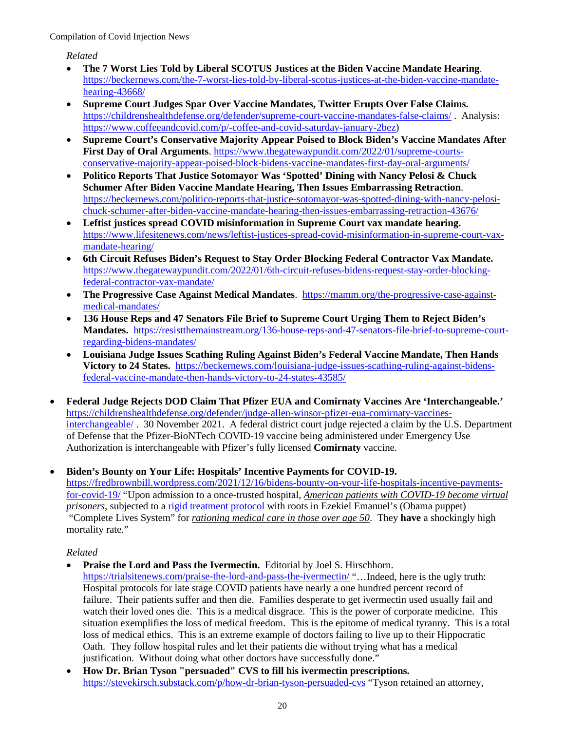- **The 7 Worst Lies Told by Liberal SCOTUS Justices at the Biden Vaccine Mandate Hearing**. [https://beckernews.com/the-7-worst-lies-told-by-liberal-scotus-justices-at-the-biden-vaccine-mandate](https://beckernews.com/the-7-worst-lies-told-by-liberal-scotus-justices-at-the-biden-vaccine-mandate-hearing-43668/)[hearing-43668/](https://beckernews.com/the-7-worst-lies-told-by-liberal-scotus-justices-at-the-biden-vaccine-mandate-hearing-43668/)
- **Supreme Court Judges Spar Over Vaccine Mandates, Twitter Erupts Over False Claims.**  <https://childrenshealthdefense.org/defender/supreme-court-vaccine-mandates-false-claims/>. Analysis: [https://www.coffeeandcovid.com/p/-coffee-and-covid-saturday-january-2bez\)](https://www.coffeeandcovid.com/p/-coffee-and-covid-saturday-january-2bez)
- **Supreme Court's Conservative Majority Appear Poised to Block Biden's Vaccine Mandates After**  First Day of Oral Arguments. [https://www.thegatewaypundit.com/2022/01/supreme-courts](https://www.thegatewaypundit.com/2022/01/supreme-courts-conservative-majority-appear-poised-block-bidens-vaccine-mandates-first-day-oral-arguments/)[conservative-majority-appear-poised-block-bidens-vaccine-mandates-first-day-oral-arguments/](https://www.thegatewaypundit.com/2022/01/supreme-courts-conservative-majority-appear-poised-block-bidens-vaccine-mandates-first-day-oral-arguments/)
- **Politico Reports That Justice Sotomayor Was 'Spotted' Dining with Nancy Pelosi & Chuck Schumer After Biden Vaccine Mandate Hearing, Then Issues Embarrassing Retraction**. [https://beckernews.com/politico-reports-that-justice-sotomayor-was-spotted-dining-with-nancy-pelosi](https://beckernews.com/politico-reports-that-justice-sotomayor-was-spotted-dining-with-nancy-pelosi-chuck-schumer-after-biden-vaccine-mandate-hearing-then-issues-embarrassing-retraction-43676/)[chuck-schumer-after-biden-vaccine-mandate-hearing-then-issues-embarrassing-retraction-43676/](https://beckernews.com/politico-reports-that-justice-sotomayor-was-spotted-dining-with-nancy-pelosi-chuck-schumer-after-biden-vaccine-mandate-hearing-then-issues-embarrassing-retraction-43676/)
- **Leftist justices spread COVID misinformation in Supreme Court vax mandate hearing.** [https://www.lifesitenews.com/news/leftist-justices-spread-covid-misinformation-in-supreme-court-vax](https://www.lifesitenews.com/news/leftist-justices-spread-covid-misinformation-in-supreme-court-vax-mandate-hearing/)[mandate-hearing/](https://www.lifesitenews.com/news/leftist-justices-spread-covid-misinformation-in-supreme-court-vax-mandate-hearing/)
- **6th Circuit Refuses Biden's Request to Stay Order Blocking Federal Contractor Vax Mandate.** [https://www.thegatewaypundit.com/2022/01/6th-circuit-refuses-bidens-request-stay-order-blocking](https://www.thegatewaypundit.com/2022/01/6th-circuit-refuses-bidens-request-stay-order-blocking-federal-contractor-vax-mandate/)[federal-contractor-vax-mandate/](https://www.thegatewaypundit.com/2022/01/6th-circuit-refuses-bidens-request-stay-order-blocking-federal-contractor-vax-mandate/)
- **The Progressive Case Against Medical Mandates**. [https://mamm.org/the-progressive-case-against](https://mamm.org/the-progressive-case-against-medical-mandates/)[medical-mandates/](https://mamm.org/the-progressive-case-against-medical-mandates/)
- **136 House Reps and 47 Senators File Brief to Supreme Court Urging Them to Reject Biden's Mandates.** [https://resistthemainstream.org/136-house-reps-and-47-senators-file-brief-to-supreme-court](https://resistthemainstream.org/136-house-reps-and-47-senators-file-brief-to-supreme-court-regarding-bidens-mandates/)[regarding-bidens-mandates/](https://resistthemainstream.org/136-house-reps-and-47-senators-file-brief-to-supreme-court-regarding-bidens-mandates/)
- **Louisiana Judge Issues Scathing Ruling Against Biden's Federal Vaccine Mandate, Then Hands Victory to 24 States.** [https://beckernews.com/louisiana-judge-issues-scathing-ruling-against-bidens](https://beckernews.com/louisiana-judge-issues-scathing-ruling-against-bidens-federal-vaccine-mandate-then-hands-victory-to-24-states-43585/)[federal-vaccine-mandate-then-hands-victory-to-24-states-43585/](https://beckernews.com/louisiana-judge-issues-scathing-ruling-against-bidens-federal-vaccine-mandate-then-hands-victory-to-24-states-43585/)
- **Federal Judge Rejects DOD Claim That Pfizer EUA and Comirnaty Vaccines Are 'Interchangeable.'** [https://childrenshealthdefense.org/defender/judge-allen-winsor-pfizer-eua-comirnaty-vaccines](https://childrenshealthdefense.org/defender/judge-allen-winsor-pfizer-eua-comirnaty-vaccines-interchangeable/)[interchangeable/](https://childrenshealthdefense.org/defender/judge-allen-winsor-pfizer-eua-comirnaty-vaccines-interchangeable/) . 30 November 2021. A federal district court judge rejected a claim by the U.S. Department of Defense that the Pfizer-BioNTech COVID-19 vaccine being administered under Emergency Use Authorization is interchangeable with Pfizer's fully licensed **Comirnaty** vaccine.

# • **Biden's Bounty on Your Life: Hospitals' Incentive Payments for COVID-19.**

[https://fredbrownbill.wordpress.com/2021/12/16/bidens-bounty-on-your-life-hospitals-incentive-payments](https://fredbrownbill.wordpress.com/2021/12/16/bidens-bounty-on-your-life-hospitals-incentive-payments-for-covid-19/)[for-covid-19/](https://fredbrownbill.wordpress.com/2021/12/16/bidens-bounty-on-your-life-hospitals-incentive-payments-for-covid-19/) "Upon admission to a once-trusted hospital, *American patients with COVID-19 become virtual prisoners*, subjected to a [rigid treatment protocol](https://www.wnd.com/2021/10/exposed-inhumane-lethal-covid-protocol-hospitals/) with roots in Ezekiel Emanuel's (Obama puppet) "Complete Lives System" for *rationing medical care in those over age 50*. They **have** a shockingly high mortality rate."

- **Praise the Lord and Pass the Ivermectin.** Editorial by Joel S. Hirschhorn. <https://trialsitenews.com/praise-the-lord-and-pass-the-ivermectin/> "...Indeed, here is the ugly truth: Hospital protocols for late stage COVID patients have nearly a one hundred percent record of failure. Their patients suffer and then die. Families desperate to get ivermectin used usually fail and watch their loved ones die. This is a medical disgrace. This is the power of corporate medicine. This situation exemplifies the loss of medical freedom. This is the epitome of medical tyranny. This is a total loss of medical ethics. This is an extreme example of doctors failing to live up to their Hippocratic Oath. They follow hospital rules and let their patients die without trying what has a medical justification. Without doing what other doctors have successfully done."
- **How Dr. Brian Tyson "persuaded" CVS to fill his ivermectin prescriptions.** <https://stevekirsch.substack.com/p/how-dr-brian-tyson-persuaded-cvs>"Tyson retained an attorney,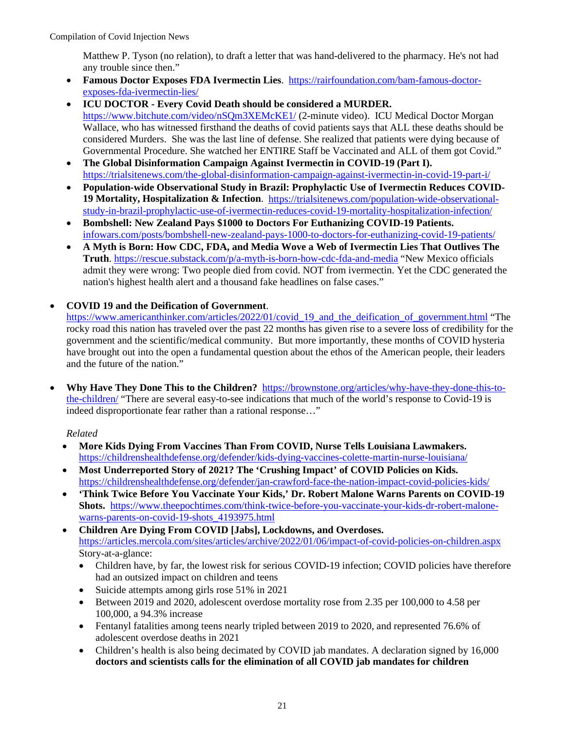Matthew P. Tyson (no relation), to draft a letter that was hand-delivered to the pharmacy. He's not had any trouble since then."

- **Famous Doctor Exposes FDA Ivermectin Lies**. [https://rairfoundation.com/bam-famous-doctor](https://rairfoundation.com/bam-famous-doctor-exposes-fda-ivermectin-lies/)[exposes-fda-ivermectin-lies/](https://rairfoundation.com/bam-famous-doctor-exposes-fda-ivermectin-lies/)
- **ICU DOCTOR Every Covid Death should be considered a MURDER.** <https://www.bitchute.com/video/nSQm3XEMcKE1/>(2-minute video). ICU Medical Doctor Morgan Wallace, who has witnessed firsthand the deaths of covid patients says that ALL these deaths should be considered Murders. She was the last line of defense. She realized that patients were dying because of Governmental Procedure. She watched her ENTIRE Staff be Vaccinated and ALL of them got Covid."
- **The Global Disinformation Campaign Against Ivermectin in COVID-19 (Part I).** <https://trialsitenews.com/the-global-disinformation-campaign-against-ivermectin-in-covid-19-part-i/>
- **Population-wide Observational Study in Brazil: Prophylactic Use of Ivermectin Reduces COVID-19 Mortality, Hospitalization & Infection**. [https://trialsitenews.com/population-wide-observational](https://trialsitenews.com/population-wide-observational-study-in-brazil-prophylactic-use-of-ivermectin-reduces-covid-19-mortality-hospitalization-infection/)[study-in-brazil-prophylactic-use-of-ivermectin-reduces-covid-19-mortality-hospitalization-infection/](https://trialsitenews.com/population-wide-observational-study-in-brazil-prophylactic-use-of-ivermectin-reduces-covid-19-mortality-hospitalization-infection/)
- **Bombshell: New Zealand Pays \$1000 to Doctors For Euthanizing COVID-19 Patients.**  [infowars.com/posts/bombshell-new-zealand-pays-1000-to-doctors-for-euthanizing-covid-19-patients/](https://www.infowars.com/posts/bombshell-new-zealand-pays-1000-to-doctors-for-euthanizing-covid-19-patients/)
- **A Myth is Born: How CDC, FDA, and Media Wove a Web of Ivermectin Lies That Outlives The Truth**.<https://rescue.substack.com/p/a-myth-is-born-how-cdc-fda-and-media> "New Mexico officials admit they were wrong: Two people died from covid. NOT from ivermectin. Yet the CDC generated the nation's highest health alert and a thousand fake headlines on false cases."

# • **COVID 19 and the Deification of Government**.

[https://www.americanthinker.com/articles/2022/01/covid\\_19\\_and\\_the\\_deification\\_of\\_government.html](https://www.americanthinker.com/articles/2022/01/covid_19_and_the_deification_of_government.html) "The rocky road this nation has traveled over the past 22 months has given rise to a severe loss of credibility for the government and the scientific/medical community. But more importantly, these months of COVID hysteria have brought out into the open a fundamental question about the ethos of the American people, their leaders and the future of the nation."

• **Why Have They Done This to the Children?** [https://brownstone.org/articles/why-have-they-done-this-to](https://brownstone.org/articles/why-have-they-done-this-to-the-children/)[the-children/](https://brownstone.org/articles/why-have-they-done-this-to-the-children/) "There are several easy-to-see indications that much of the world's response to Covid-19 is indeed disproportionate fear rather than a rational response…"

- **More Kids Dying From Vaccines Than From COVID, Nurse Tells Louisiana Lawmakers.**  <https://childrenshealthdefense.org/defender/kids-dying-vaccines-colette-martin-nurse-louisiana/>
- **Most Underreported Story of 2021? The 'Crushing Impact' of COVID Policies on Kids.**  <https://childrenshealthdefense.org/defender/jan-crawford-face-the-nation-impact-covid-policies-kids/>
- **'Think Twice Before You Vaccinate Your Kids,' Dr. Robert Malone Warns Parents on COVID-19 Shots.** [https://www.theepochtimes.com/think-twice-before-you-vaccinate-your-kids-dr-robert-malone](https://www.theepochtimes.com/think-twice-before-you-vaccinate-your-kids-dr-robert-malone-warns-parents-on-covid-19-shots_4193975.html)[warns-parents-on-covid-19-shots\\_4193975.html](https://www.theepochtimes.com/think-twice-before-you-vaccinate-your-kids-dr-robert-malone-warns-parents-on-covid-19-shots_4193975.html)
- **Children Are Dying From COVID [Jabs], Lockdowns, and Overdoses.**  <https://articles.mercola.com/sites/articles/archive/2022/01/06/impact-of-covid-policies-on-children.aspx> Story-at-a-glance:
	- Children have, by far, the lowest risk for serious COVID-19 infection; COVID policies have therefore had an outsized impact on children and teens
	- Suicide attempts among girls rose 51% in 2021
	- Between 2019 and 2020, adolescent overdose mortality rose from 2.35 per 100,000 to 4.58 per 100,000, a 94.3% increase
	- Fentanyl fatalities among teens nearly tripled between 2019 to 2020, and represented 76.6% of adolescent overdose deaths in 2021
	- Children's health is also being decimated by COVID jab mandates. A declaration signed by 16,000 **doctors and scientists calls for the elimination of all COVID jab mandates for children**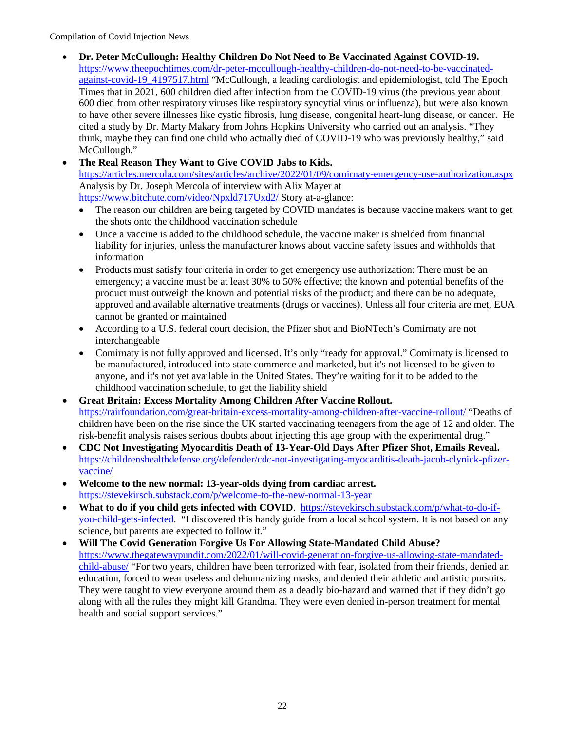- **Dr. Peter McCullough: Healthy Children Do Not Need to Be Vaccinated Against COVID-19.** [https://www.theepochtimes.com/dr-peter-mccullough-healthy-children-do-not-need-to-be-vaccinated](https://www.theepochtimes.com/dr-peter-mccullough-healthy-children-do-not-need-to-be-vaccinated-against-covid-19_4197517.html)[against-covid-19\\_4197517.html](https://www.theepochtimes.com/dr-peter-mccullough-healthy-children-do-not-need-to-be-vaccinated-against-covid-19_4197517.html) "McCullough, a leading cardiologist and epidemiologist, told The Epoch Times that in 2021, 600 children died after infection from the COVID-19 virus (the previous year about 600 died from other respiratory viruses like respiratory syncytial virus or influenza), but were also known to have other severe illnesses like cystic fibrosis, lung disease, congenital heart-lung disease, or cancer. He cited a study by Dr. Marty Makary from Johns Hopkins University who carried out an analysis. "They think, maybe they can find one child who actually died of COVID-19 who was previously healthy," said McCullough."
- **The Real Reason They Want to Give COVID Jabs to Kids.**  <https://articles.mercola.com/sites/articles/archive/2022/01/09/comirnaty-emergency-use-authorization.aspx> Analysis by Dr. Joseph Mercola of interview with Alix Mayer at <https://www.bitchute.com/video/Npxld717Uxd2/> Story at-a-glance:
	- The reason our children are being targeted by COVID mandates is because vaccine makers want to get the shots onto the childhood vaccination schedule
	- Once a vaccine is added to the childhood schedule, the vaccine maker is shielded from financial liability for injuries, unless the manufacturer knows about vaccine safety issues and withholds that information
	- Products must satisfy four criteria in order to get emergency use authorization: There must be an emergency; a vaccine must be at least 30% to 50% effective; the known and potential benefits of the product must outweigh the known and potential risks of the product; and there can be no adequate, approved and available alternative treatments (drugs or vaccines). Unless all four criteria are met, EUA cannot be granted or maintained
	- According to a U.S. federal court decision, the Pfizer shot and BioNTech's Comirnaty are not interchangeable
	- Comirnaty is not fully approved and licensed. It's only "ready for approval." Comirnaty is licensed to be manufactured, introduced into state commerce and marketed, but it's not licensed to be given to anyone, and it's not yet available in the United States. They're waiting for it to be added to the childhood vaccination schedule, to get the liability shield
- **Great Britain: Excess Mortality Among Children After Vaccine Rollout.**  <https://rairfoundation.com/great-britain-excess-mortality-among-children-after-vaccine-rollout/> "Deaths of children have been on the rise since the UK started vaccinating teenagers from the age of 12 and older. The risk-benefit analysis raises serious doubts about injecting this age group with the experimental drug."
- **CDC Not Investigating Myocarditis Death of 13-Year-Old Days After Pfizer Shot, Emails Reveal.**  [https://childrenshealthdefense.org/defender/cdc-not-investigating-myocarditis-death-jacob-clynick-pfizer](https://childrenshealthdefense.org/defender/cdc-not-investigating-myocarditis-death-jacob-clynick-pfizer-vaccine/)[vaccine/](https://childrenshealthdefense.org/defender/cdc-not-investigating-myocarditis-death-jacob-clynick-pfizer-vaccine/)
- **Welcome to the new normal: 13-year-olds dying from cardiac arrest.**  <https://stevekirsch.substack.com/p/welcome-to-the-new-normal-13-year>
- **What to do if you child gets infected with COVID**. [https://stevekirsch.substack.com/p/what-to-do-if](https://stevekirsch.substack.com/p/what-to-do-if-you-child-gets-infected)[you-child-gets-infected.](https://stevekirsch.substack.com/p/what-to-do-if-you-child-gets-infected) "I discovered this handy guide from a local school system. It is not based on any science, but parents are expected to follow it."
- **Will The Covid Generation Forgive Us For Allowing State-Mandated Child Abuse?**  [https://www.thegatewaypundit.com/2022/01/will-covid-generation-forgive-us-allowing-state-mandated](https://www.thegatewaypundit.com/2022/01/will-covid-generation-forgive-us-allowing-state-mandated-child-abuse/)[child-abuse/](https://www.thegatewaypundit.com/2022/01/will-covid-generation-forgive-us-allowing-state-mandated-child-abuse/) "For two years, children have been terrorized with fear, isolated from their friends, denied an education, forced to wear useless and dehumanizing masks, and denied their athletic and artistic pursuits. They were taught to view everyone around them as a deadly bio-hazard and warned that if they didn't go along with all the rules they might kill Grandma. They were even denied in-person treatment for mental health and social support services."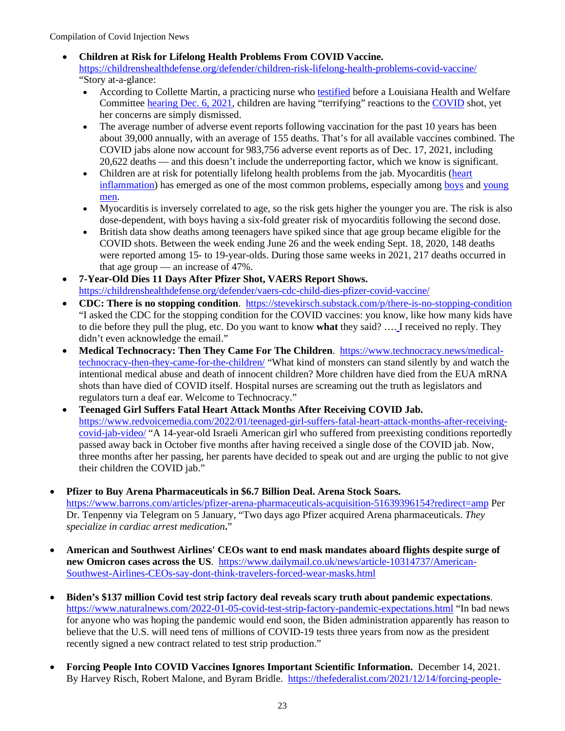- **Children at Risk for Lifelong Health Problems From COVID Vaccine.** <https://childrenshealthdefense.org/defender/children-risk-lifelong-health-problems-covid-vaccine/> "Story at-a-glance:
	- According to Collette Martin, a practicing nurse who [testified](https://childrenshealthdefense.org/defender/kids-dying-vaccines-colette-martin-nurse-louisiana/) before a Louisiana Health and Welfare Committee [hearing Dec. 6, 2021,](https://childrenshealthdefense.org/defender/robert-f-kennedy-jr-chd-louisiana-pfizer-covid-vaccine-kids/) children are having "terrifying" reactions to th[e COVID](https://childrenshealthdefense.org/defender_category/covid/) shot, yet her concerns are simply dismissed.
	- The average number of adverse event reports following vaccination for the past 10 years has been about 39,000 annually, with an average of 155 deaths. That's for all available vaccines combined. The COVID jabs alone now account for 983,756 adverse event reports as of Dec. 17, 2021, including 20,622 deaths — and this doesn't include the underreporting factor, which we know is significant.
	- Children are at risk for potentially lifelong health problems from the jab. Myocarditis (heart [inflammation\)](https://childrenshealthdefense.org/defender/sweden-denmark-pause-moderna-covid-vaccine-myocarditis/) has emerged as one of the most common problems, especially among [boys](https://childrenshealthdefense.org/defender/cdc-not-investigating-myocarditis-death-jacob-clynick-pfizer-vaccine/) and [young](https://childrenshealthdefense.org/defender/teen-multisystem-inflammatory-syndrome-myocarditis-pfizer-vaccine/)  [men.](https://childrenshealthdefense.org/defender/teen-multisystem-inflammatory-syndrome-myocarditis-pfizer-vaccine/)
	- Myocarditis is inversely correlated to age, so the risk gets higher the younger you are. The risk is also dose-dependent, with boys having a six-fold greater risk of myocarditis following the second dose.
	- British data show deaths among teenagers have spiked since that age group became eligible for the COVID shots. Between the week ending June 26 and the week ending Sept. 18, 2020, 148 deaths were reported among 15- to 19-year-olds. During those same weeks in 2021, 217 deaths occurred in that age group — an increase of 47%.
- **7-Year-Old Dies 11 Days After Pfizer Shot, VAERS Report Shows.**  <https://childrenshealthdefense.org/defender/vaers-cdc-child-dies-pfizer-covid-vaccine/>
- **CDC: There is no stopping condition**. <https://stevekirsch.substack.com/p/there-is-no-stopping-condition> "I asked the CDC for the stopping condition for the COVID vaccines: you know, like how many kids have to die before they pull the plug, etc. Do you want to know **what** they said? …. I received no reply. They didn't even acknowledge the email."
- **Medical Technocracy: Then They Came For The Children**. [https://www.technocracy.news/medical](https://www.technocracy.news/medical-technocracy-then-they-came-for-the-children/)[technocracy-then-they-came-for-the-children/](https://www.technocracy.news/medical-technocracy-then-they-came-for-the-children/) "What kind of monsters can stand silently by and watch the intentional medical abuse and death of innocent children? More children have died from the EUA mRNA shots than have died of COVID itself. Hospital nurses are screaming out the truth as legislators and regulators turn a deaf ear. Welcome to Technocracy."
- **Teenaged Girl Suffers Fatal Heart Attack Months After Receiving COVID Jab.**  [https://www.redvoicemedia.com/2022/01/teenaged-girl-suffers-fatal-heart-attack-months-after-receiving](https://www.redvoicemedia.com/2022/01/teenaged-girl-suffers-fatal-heart-attack-months-after-receiving-covid-jab-video/)[covid-jab-video/](https://www.redvoicemedia.com/2022/01/teenaged-girl-suffers-fatal-heart-attack-months-after-receiving-covid-jab-video/) "A 14-year-old Israeli American girl who suffered from preexisting conditions reportedly passed away back in October five months after having received a single dose of the COVID jab. Now, three months after her passing, her parents have decided to speak out and are urging the public to not give their children the COVID jab."
- **Pfizer to Buy Arena Pharmaceuticals in \$6.7 Billion Deal. Arena Stock Soars.**  <https://www.barrons.com/articles/pfizer-arena-pharmaceuticals-acquisition-51639396154?redirect=amp> Per Dr. Tenpenny via Telegram on 5 January, "Two days ago Pfizer acquired Arena pharmaceuticals. *They specialize in cardiac arrest medication***.**"
- **American and Southwest Airlines' CEOs want to end mask mandates aboard flights despite surge of new Omicron cases across the US**. [https://www.dailymail.co.uk/news/article-10314737/American-](https://www.dailymail.co.uk/news/article-10314737/American-Southwest-Airlines-CEOs-say-dont-think-travelers-forced-wear-masks.html)[Southwest-Airlines-CEOs-say-dont-think-travelers-forced-wear-masks.html](https://www.dailymail.co.uk/news/article-10314737/American-Southwest-Airlines-CEOs-say-dont-think-travelers-forced-wear-masks.html)
- **Biden's \$137 million Covid test strip factory deal reveals scary truth about pandemic expectations**. <https://www.naturalnews.com/2022-01-05-covid-test-strip-factory-pandemic-expectations.html>"In bad news for anyone who was hoping the pandemic would end soon, the Biden administration apparently has reason to believe that the U.S. will need tens of millions of COVID-19 tests three years from now as the president recently signed a new contract related to test strip production."
- **Forcing People Into COVID Vaccines Ignores Important Scientific Information.** December 14, 2021. By Harvey Risch, Robert Malone, and Byram Bridle. [https://thefederalist.com/2021/12/14/forcing-people-](https://thefederalist.com/2021/12/14/forcing-people-into-covid-vaccines-ignores-important-scientific-information/)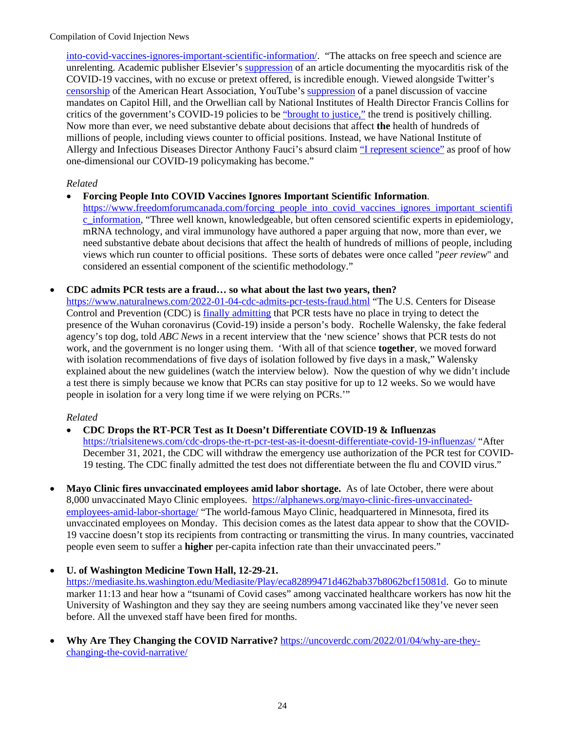[into-covid-vaccines-ignores-important-scientific-information/.](https://thefederalist.com/2021/12/14/forcing-people-into-covid-vaccines-ignores-important-scientific-information/) "The attacks on free speech and science are unrelenting. Academic publisher Elsevier's [suppression](https://www.thedesertreview.com/opinion/columnists/beyond-ivermectin-censoring-medical-journals/article_b1089af2-4279-11ec-b491-5bcaf600d33c.html) of an article documenting the myocarditis risk of the COVID-19 vaccines, with no excuse or pretext offered, is incredible enough. Viewed alongside Twitter's [censorship](https://goodwordnews.com/twitter-censors-links-to-american-heart-association-on-vaccine-research/) of the American Heart Association, YouTube's [suppression](https://thehill.com/policy/technology/581360-youtube-temporarily-suspends-johnsons-channel-over-covid-19-misinformation) of a panel discussion of vaccine mandates on Capitol Hill, and the Orwellian call by National Institutes of Health Director Francis Collins for critics of the government's COVID-19 policies to be ["brought to justice,"](https://www.nationalreview.com/corner/francis-collins-wants-purveyors-of-false-information-about-covid-brought-to-justice/) the trend is positively chilling. Now more than ever, we need substantive debate about decisions that affect **the** health of hundreds of millions of people, including views counter to official positions. Instead, we have National Institute of Allergy and Infectious Diseases Director Anthony Fauci's absurd claim ["I represent science"](https://www.foxnews.com/politics/rand-paul-blasts-fauci-astounding-alarming-represent-science) as proof of how one-dimensional our COVID-19 policymaking has become."

#### *Related*

- **Forcing People Into COVID Vaccines Ignores Important Scientific Information**. [https://www.freedomforumcanada.com/forcing\\_people\\_into\\_covid\\_vaccines\\_ignores\\_important\\_scientifi](https://www.freedomforumcanada.com/forcing_people_into_covid_vaccines_ignores_important_scientific_information) c information, "Three well known, knowledgeable, but often censored scientific experts in epidemiology, mRNA technology, and viral immunology have authored a paper arguing that now, more than ever, we need substantive debate about decisions that affect the health of hundreds of millions of people, including views which run counter to official positions. These sorts of debates were once called "*peer review*" and considered an essential component of the scientific methodology."
- **CDC admits PCR tests are a fraud… so what about the last two years, then?**

<https://www.naturalnews.com/2022-01-04-cdc-admits-pcr-tests-fraud.html> "The U.S. Centers for Disease Control and Prevention (CDC) is [finally admitting](https://twitter.com/LFConaction/status/1476236664741769218) that PCR tests have no place in trying to detect the presence of the Wuhan coronavirus (Covid-19) inside a person's body. Rochelle Walensky, the fake federal agency's top dog, told *ABC News* in a recent interview that the 'new science' shows that PCR tests do not work, and the government is no longer using them. 'With all of that science **together**, we moved forward with isolation recommendations of five days of isolation followed by five days in a mask," Walensky explained about the new guidelines (watch the interview below). Now the question of why we didn't include a test there is simply because we know that PCRs can stay positive for up to 12 weeks. So we would have people in isolation for a very long time if we were relying on PCRs.'"

- **CDC Drops the RT-PCR Test as It Doesn't Differentiate COVID-19 & Influenzas**  <https://trialsitenews.com/cdc-drops-the-rt-pcr-test-as-it-doesnt-differentiate-covid-19-influenzas/> "After December 31, 2021, the CDC will withdraw the emergency use authorization of the PCR test for COVID-19 testing. The CDC finally admitted the test does not differentiate between the flu and COVID virus."
- **Mayo Clinic fires unvaccinated employees amid labor shortage.** As of late October, there were about 8,000 unvaccinated Mayo Clinic employees.[https://alphanews.org/mayo-clinic-fires-unvaccinated](https://alphanews.org/mayo-clinic-fires-unvaccinated-employees-amid-labor-shortage/)[employees-amid-labor-shortage/](https://alphanews.org/mayo-clinic-fires-unvaccinated-employees-amid-labor-shortage/) "The world-famous Mayo Clinic, headquartered in Minnesota, fired its unvaccinated employees on Monday. This decision comes as the latest data appear to show that the COVID-19 vaccine doesn't stop its recipients from contracting or transmitting the virus. In many countries, vaccinated people even seem to suffer a **higher** per-capita infection rate than their unvaccinated peers."
- **U. of Washington Medicine Town Hall, 12-29-21.** [https://mediasite.hs.washington.edu/Mediasite/Play/eca82899471d462bab37b8062bcf15081d.](https://mediasite.hs.washington.edu/Mediasite/Play/eca82899471d462bab37b8062bcf15081d) Go to minute marker 11:13 and hear how a "tsunami of Covid cases" among vaccinated healthcare workers has now hit the University of Washington and they say they are seeing numbers among vaccinated like they've never seen before. All the unvexed staff have been fired for months.
- **Why Are They Changing the COVID Narrative?** [https://uncoverdc.com/2022/01/04/why-are-they](https://uncoverdc.com/2022/01/04/why-are-they-changing-the-covid-narrative/)[changing-the-covid-narrative/](https://uncoverdc.com/2022/01/04/why-are-they-changing-the-covid-narrative/)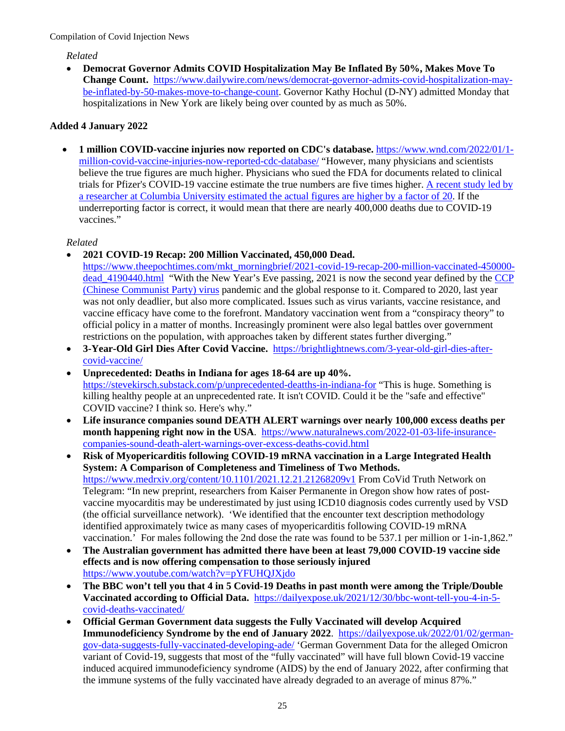• **Democrat Governor Admits COVID Hospitalization May Be Inflated By 50%, Makes Move To Change Count.** [https://www.dailywire.com/news/democrat-governor-admits-covid-hospitalization-may](https://www.dailywire.com/news/democrat-governor-admits-covid-hospitalization-may-be-inflated-by-50-makes-move-to-change-count)[be-inflated-by-50-makes-move-to-change-count.](https://www.dailywire.com/news/democrat-governor-admits-covid-hospitalization-may-be-inflated-by-50-makes-move-to-change-count) Governor Kathy Hochul (D-NY) admitted Monday that hospitalizations in New York are likely being over counted by as much as 50%.

## **Added 4 January 2022**

• **1 million COVID-vaccine injuries now reported on CDC's database.** [https://www.wnd.com/2022/01/1](https://www.wnd.com/2022/01/1-million-covid-vaccine-injuries-now-reported-cdc-database/) [million-covid-vaccine-injuries-now-reported-cdc-database/](https://www.wnd.com/2022/01/1-million-covid-vaccine-injuries-now-reported-cdc-database/) "However, many physicians and scientists believe the true figures are much higher. Physicians who sued the FDA for documents related to clinical trials for Pfizer's COVID-19 vaccine estimate the true numbers are five times higher. [A recent study led by](https://www.wnd.com/2021/12/4968311/?ff_source=Email&ff_medium=wnd-breaking&ff_campaign=breaking&ff_content=breaking)  [a researcher at Columbia University estimated the actual figures are higher by a factor of 20.](https://www.wnd.com/2021/12/4968311/?ff_source=Email&ff_medium=wnd-breaking&ff_campaign=breaking&ff_content=breaking) If the underreporting factor is correct, it would mean that there are nearly 400,000 deaths due to COVID-19 vaccines."

- **2021 COVID-19 Recap: 200 Million Vaccinated, 450,000 Dead.** 
	- [https://www.theepochtimes.com/mkt\\_morningbrief/2021-covid-19-recap-200-million-vaccinated-450000](https://www.theepochtimes.com/mkt_morningbrief/2021-covid-19-recap-200-million-vaccinated-450000-dead_4190440.html) [dead\\_4190440.html](https://www.theepochtimes.com/mkt_morningbrief/2021-covid-19-recap-200-million-vaccinated-450000-dead_4190440.html) "With the New Year's Eve passing, 2021 is now the second year defined by the CCP [\(Chinese Communist Party\) virus](https://www.theepochtimes.com/giving-the-right-name-to-the-virus-causing-a-worldwide-pandemic-2_3277200.html) pandemic and the global response to it. Compared to 2020, last year was not only deadlier, but also more complicated. Issues such as virus variants, vaccine resistance, and vaccine efficacy have come to the forefront. Mandatory vaccination went from a "conspiracy theory" to official policy in a matter of months. Increasingly prominent were also legal battles over government restrictions on the population, with approaches taken by different states further diverging."
- **3-Year-Old Girl Dies After Covid Vaccine.** [https://brightlightnews.com/3-year-old-girl-dies-after](https://brightlightnews.com/3-year-old-girl-dies-after-covid-vaccine/)[covid-vaccine/](https://brightlightnews.com/3-year-old-girl-dies-after-covid-vaccine/)
- **Unprecedented: Deaths in Indiana for ages 18-64 are up 40%.**  [https://stevekirsch.substack.com/p/unprecedented-deatths-in-indiana-for](https://stevekirsch.substack.com/p/unprecedented-deaths-in-indiana-for) "This is huge. Something is killing healthy people at an unprecedented rate. It isn't COVID. Could it be the "safe and effective" COVID vaccine? I think so. Here's why."
- **Life insurance companies sound DEATH ALERT warnings over nearly 100,000 excess deaths per month happening right now in the USA**. [https://www.naturalnews.com/2022-01-03-life-insurance](https://www.naturalnews.com/2022-01-03-life-insurance-companies-sound-death-alert-warnings-over-excess-deaths-covid.html)[companies-sound-death-alert-warnings-over-excess-deaths-covid.html](https://www.naturalnews.com/2022-01-03-life-insurance-companies-sound-death-alert-warnings-over-excess-deaths-covid.html)
- **Risk of Myopericarditis following COVID-19 mRNA vaccination in a Large Integrated Health System: A Comparison of Completeness and Timeliness of Two Methods.** <https://www.medrxiv.org/content/10.1101/2021.12.21.21268209v1>From CoVid Truth Network on Telegram: "In new preprint, researchers from Kaiser Permanente in Oregon show how rates of postvaccine myocarditis may be underestimated by just using ICD10 diagnosis codes currently used by VSD (the official surveillance network). 'We identified that the encounter text description methodology identified approximately twice as many cases of myopericarditis following COVID-19 mRNA vaccination.' For males following the 2nd dose the rate was found to be 537.1 per million or 1-in-1,862."
- **The Australian government has admitted there have been at least 79,000 COVID-19 vaccine side effects and is now offering compensation to those seriously injured** <https://www.youtube.com/watch?v=pYFUHQJXjdo>
- **The BBC won't tell you that 4 in 5 Covid-19 Deaths in past month were among the Triple/Double Vaccinated according to Official Data.** [https://dailyexpose.uk/2021/12/30/bbc-wont-tell-you-4-in-5](https://dailyexpose.uk/2021/12/30/bbc-wont-tell-you-4-in-5-covid-deaths-vaccinated/) [covid-deaths-vaccinated/](https://dailyexpose.uk/2021/12/30/bbc-wont-tell-you-4-in-5-covid-deaths-vaccinated/)
- **Official German Government data suggests the Fully Vaccinated will develop Acquired Immunodeficiency Syndrome by the end of January 2022**. [https://dailyexpose.uk/2022/01/02/german](https://dailyexpose.uk/2022/01/02/german-gov-data-suggests-fully-vaccinated-developing-ade/)[gov-data-suggests-fully-vaccinated-developing-ade/](https://dailyexpose.uk/2022/01/02/german-gov-data-suggests-fully-vaccinated-developing-ade/) 'German Government Data for the alleged Omicron variant of Covid-19, suggests that most of the "fully vaccinated" will have full blown Covid-19 vaccine induced acquired immunodeficiency syndrome (AIDS) by the end of January 2022, after confirming that the immune systems of the fully vaccinated have already degraded to an average of minus 87%."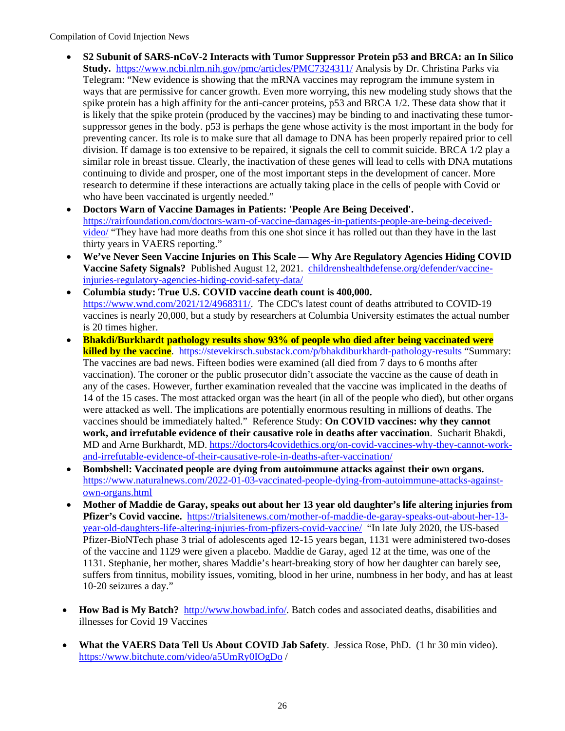- **S2 Subunit of SARS-nCoV-2 Interacts with Tumor Suppressor Protein p53 and BRCA: an In Silico Study.** <https://www.ncbi.nlm.nih.gov/pmc/articles/PMC7324311/>Analysis by Dr. Christina Parks via Telegram: "New evidence is showing that the mRNA vaccines may reprogram the immune system in ways that are permissive for cancer growth. Even more worrying, this new modeling study shows that the spike protein has a high affinity for the anti-cancer proteins, p53 and BRCA 1/2. These data show that it is likely that the spike protein (produced by the vaccines) may be binding to and inactivating these tumorsuppressor genes in the body. p53 is perhaps the gene whose activity is the most important in the body for preventing cancer. Its role is to make sure that all damage to DNA has been properly repaired prior to cell division. If damage is too extensive to be repaired, it signals the cell to commit suicide. BRCA 1/2 play a similar role in breast tissue. Clearly, the inactivation of these genes will lead to cells with DNA mutations continuing to divide and prosper, one of the most important steps in the development of cancer. More research to determine if these interactions are actually taking place in the cells of people with Covid or who have been vaccinated is urgently needed."
- **Doctors Warn of Vaccine Damages in Patients: 'People Are Being Deceived'.**  [https://rairfoundation.com/doctors-warn-of-vaccine-damages-in-patients-people-are-being-deceived](https://rairfoundation.com/doctors-warn-of-vaccine-damages-in-patients-people-are-being-deceived-video/)[video/](https://rairfoundation.com/doctors-warn-of-vaccine-damages-in-patients-people-are-being-deceived-video/) "They have had more deaths from this one shot since it has rolled out than they have in the last thirty years in VAERS reporting."
- **We've Never Seen Vaccine Injuries on This Scale Why Are Regulatory Agencies Hiding COVID Vaccine Safety Signals?** Published August 12, 2021. [childrenshealthdefense.org/defender/vaccine](https://childrenshealthdefense.org/defender/vaccine-injuries-regulatory-agencies-hiding-covid-safety-data/)[injuries-regulatory-agencies-hiding-covid-safety-data/](https://childrenshealthdefense.org/defender/vaccine-injuries-regulatory-agencies-hiding-covid-safety-data/)
- **Columbia study: True U.S. COVID vaccine death count is 400,000.**  [https://www.wnd.com/2021/12/4968311/.](https://www.wnd.com/2021/12/4968311/)The CDC's latest count of deaths attributed to COVID-19 vaccines is nearly 20,000, but a study by researchers at Columbia University estimates the actual number is 20 times higher.
- **Bhakdi/Burkhardt pathology results show 93% of people who died after being vaccinated were killed by the vaccine**. <https://stevekirsch.substack.com/p/bhakdiburkhardt-pathology-results> "Summary: The vaccines are bad news. Fifteen bodies were examined (all died from 7 days to 6 months after vaccination). The coroner or the public prosecutor didn't associate the vaccine as the cause of death in any of the cases. However, further examination revealed that the vaccine was implicated in the deaths of 14 of the 15 cases. The most attacked organ was the heart (in all of the people who died), but other organs were attacked as well. The implications are potentially enormous resulting in millions of deaths. The vaccines should be immediately halted." Reference Study: **On COVID vaccines: why they cannot work, and irrefutable evidence of their causative role in deaths after vaccination**. Sucharit Bhakdi, MD and Arne Burkhardt, MD. [https://doctors4covidethics.org/on-covid-vaccines-why-they-cannot-work](https://doctors4covidethics.org/on-covid-vaccines-why-they-cannot-work-and-irrefutable-evidence-of-their-causative-role-in-deaths-after-vaccination/)[and-irrefutable-evidence-of-their-causative-role-in-deaths-after-vaccination/](https://doctors4covidethics.org/on-covid-vaccines-why-they-cannot-work-and-irrefutable-evidence-of-their-causative-role-in-deaths-after-vaccination/)
- **Bombshell: Vaccinated people are dying from autoimmune attacks against their own organs.** [https://www.naturalnews.com/2022-01-03-vaccinated-people-dying-from-autoimmune-attacks-against](https://www.naturalnews.com/2022-01-03-vaccinated-people-dying-from-autoimmune-attacks-against-own-organs.html)[own-organs.html](https://www.naturalnews.com/2022-01-03-vaccinated-people-dying-from-autoimmune-attacks-against-own-organs.html)
- **Mother of Maddie de Garay, speaks out about her 13 year old daughter's life altering injuries from Pfizer's Covid vaccine.** [https://trialsitenews.com/mother-of-maddie-de-garay-speaks-out-about-her-13](https://trialsitenews.com/mother-of-maddie-de-garay-speaks-out-about-her-13-year-old-daughters-life-altering-injuries-from-pfizers-covid-vaccine/) [year-old-daughters-life-altering-injuries-from-pfizers-covid-vaccine/](https://trialsitenews.com/mother-of-maddie-de-garay-speaks-out-about-her-13-year-old-daughters-life-altering-injuries-from-pfizers-covid-vaccine/) "In late July 2020, the US-based Pfizer-BioNTech phase 3 trial of adolescents aged 12-15 years began, 1131 were administered two-doses of the vaccine and 1129 were given a placebo. Maddie de Garay, aged 12 at the time, was one of the 1131. Stephanie, her mother, shares Maddie's heart-breaking story of how her daughter can barely see, suffers from tinnitus, mobility issues, vomiting, blood in her urine, numbness in her body, and has at least 10-20 seizures a day."
- **How Bad is My Batch?** [http://www.howbad.info/.](http://www.howbad.info/) Batch codes and associated deaths, disabilities and illnesses for Covid 19 Vaccines
- **What the VAERS Data Tell Us About COVID Jab Safety**. Jessica Rose, PhD. (1 hr 30 min video). <https://www.bitchute.com/video/a5UmRy0IOgDo> /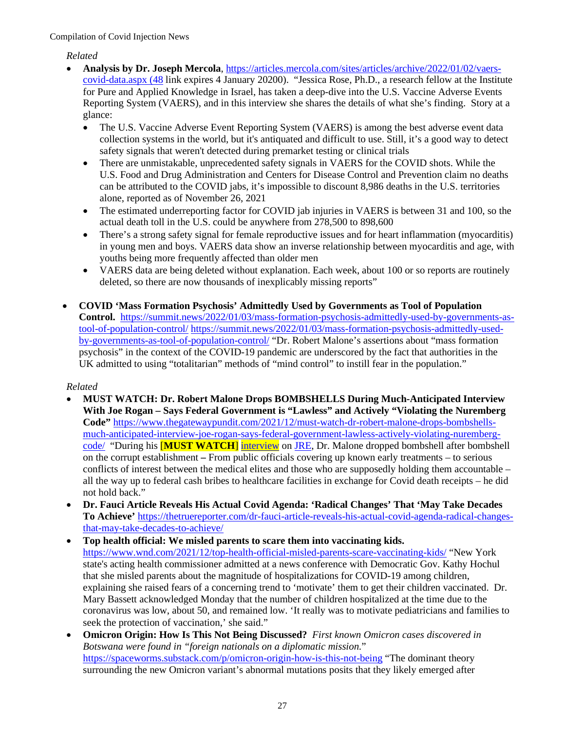- **Analysis by Dr. Joseph Mercola**, [https://articles.mercola.com/sites/articles/archive/2022/01/02/vaers](https://articles.mercola.com/sites/articles/archive/2022/01/02/vaers-covid-data.aspx%20(48)[covid-data.aspx \(48](https://articles.mercola.com/sites/articles/archive/2022/01/02/vaers-covid-data.aspx%20(48) link expires 4 January 20200). "Jessica Rose, Ph.D., a research fellow at the Institute for Pure and Applied Knowledge in Israel, has taken a deep-dive into the U.S. Vaccine Adverse Events Reporting System (VAERS), and in this interview she shares the details of what she's finding. Story at a glance:
	- The U.S. Vaccine Adverse Event Reporting System (VAERS) is among the best adverse event data collection systems in the world, but it's antiquated and difficult to use. Still, it's a good way to detect safety signals that weren't detected during premarket testing or clinical trials
	- There are unmistakable, unprecedented safety signals in VAERS for the COVID shots. While the U.S. Food and Drug Administration and Centers for Disease Control and Prevention claim no deaths can be attributed to the COVID jabs, it's impossible to discount 8,986 deaths in the U.S. territories alone, reported as of November 26, 2021
	- The estimated underreporting factor for COVID jab injuries in VAERS is between 31 and 100, so the actual death toll in the U.S. could be anywhere from 278,500 to 898,600
	- There's a strong safety signal for female reproductive issues and for heart inflammation (myocarditis) in young men and boys. VAERS data show an inverse relationship between myocarditis and age, with youths being more frequently affected than older men
	- VAERS data are being deleted without explanation. Each week, about 100 or so reports are routinely deleted, so there are now thousands of inexplicably missing reports"
- **COVID 'Mass Formation Psychosis' Admittedly Used by Governments as Tool of Population Control.** [https://summit.news/2022/01/03/mass-formation-psychosis-admittedly-used-by-governments-as](https://summit.news/2022/01/03/mass-formation-psychosis-admittedly-used-by-governments-as-tool-of-population-control/)[tool-of-population-control/](https://summit.news/2022/01/03/mass-formation-psychosis-admittedly-used-by-governments-as-tool-of-population-control/) [https://summit.news/2022/01/03/mass-formation-psychosis-admittedly-used](https://summit.news/2022/01/03/mass-formation-psychosis-admittedly-used-by-governments-as-tool-of-population-control/)[by-governments-as-tool-of-population-control/](https://summit.news/2022/01/03/mass-formation-psychosis-admittedly-used-by-governments-as-tool-of-population-control/) "Dr. Robert Malone's assertions about "mass formation psychosis" in the context of the COVID-19 pandemic are underscored by the fact that authorities in the UK admitted to using "totalitarian" methods of "mind control" to instill fear in the population."

- **MUST WATCH: Dr. Robert Malone Drops BOMBSHELLS During Much-Anticipated Interview With Joe Rogan – Says Federal Government is "Lawless" and Actively "Violating the Nuremberg Code"** [https://www.thegatewaypundit.com/2021/12/must-watch-dr-robert-malone-drops-bombshells](https://www.thegatewaypundit.com/2021/12/must-watch-dr-robert-malone-drops-bombshells-much-anticipated-interview-joe-rogan-says-federal-government-lawless-actively-violating-nuremberg-code/)[much-anticipated-interview-joe-rogan-says-federal-government-lawless-actively-violating-nuremberg](https://www.thegatewaypundit.com/2021/12/must-watch-dr-robert-malone-drops-bombshells-much-anticipated-interview-joe-rogan-says-federal-government-lawless-actively-violating-nuremberg-code/)[code/](https://www.thegatewaypundit.com/2021/12/must-watch-dr-robert-malone-drops-bombshells-much-anticipated-interview-joe-rogan-says-federal-government-lawless-actively-violating-nuremberg-code/) "During his [**MUST WATCH**] [interview](https://open.spotify.com/episode/3SCsueX2bZdbEzRtKOCEyT) on [JRE,](https://open.spotify.com/show/4rOoJ6Egrf8K2IrywzwOMk) Dr. Malone dropped bombshell after bombshell on the corrupt establishment **–** From public officials covering up known early treatments – to serious conflicts of interest between the medical elites and those who are supposedly holding them accountable – all the way up to federal cash bribes to healthcare facilities in exchange for Covid death receipts – he did not hold back."
- **Dr. Fauci Article Reveals His Actual Covid Agenda: 'Radical Changes' That 'May Take Decades To Achieve'** [https://thetruereporter.com/dr-fauci-article-reveals-his-actual-covid-agenda-radical-changes](https://thetruereporter.com/dr-fauci-article-reveals-his-actual-covid-agenda-radical-changes-that-may-take-decades-to-achieve/)[that-may-take-decades-to-achieve/](https://thetruereporter.com/dr-fauci-article-reveals-his-actual-covid-agenda-radical-changes-that-may-take-decades-to-achieve/)
- **Top health official: We misled parents to scare them into vaccinating kids.** <https://www.wnd.com/2021/12/top-health-official-misled-parents-scare-vaccinating-kids/> "New York state's acting health commissioner admitted at a news conference with Democratic Gov. Kathy Hochul that she misled parents about the magnitude of hospitalizations for COVID-19 among children, explaining she raised fears of a concerning trend to 'motivate' them to get their children vaccinated. Dr. Mary Bassett acknowledged Monday that the number of children hospitalized at the time due to the coronavirus was low, about 50, and remained low. 'It really was to motivate pediatricians and families to seek the protection of vaccination,' she said."
- **Omicron Origin: How Is This Not Being Discussed?** *First known Omicron cases discovered in Botswana were found in "foreign nationals on a diplomatic mission.*" <https://spaceworms.substack.com/p/omicron-origin-how-is-this-not-being> "The dominant theory surrounding the new Omicron variant's abnormal mutations posits that they likely emerged after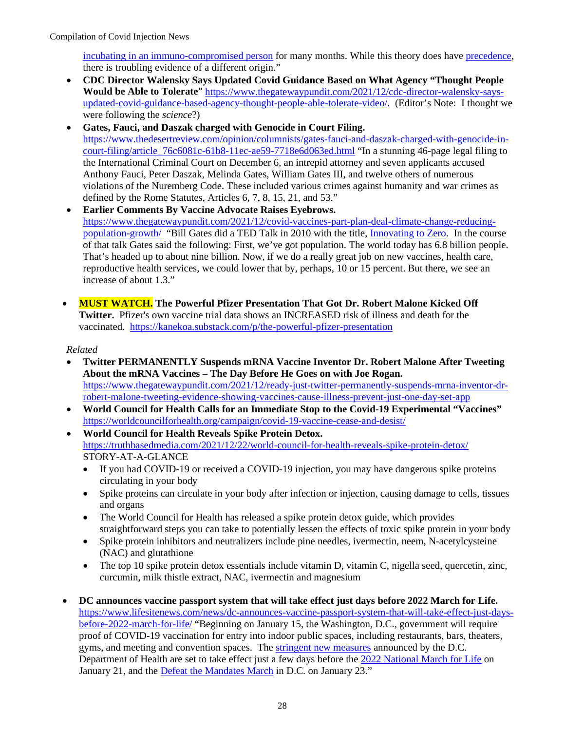[incubating in an immuno-compromised person](https://www.npr.org/sections/goatsandsoda/2021/12/01/1055803031/the-mystery-of-where-omicron-came-from-and-why-it-matters) for many months. While this theory does have [precedence,](https://www.medrxiv.org/content/10.1101/2021.06.03.21258228v1) there is troubling evidence of a different origin."

- **CDC Director Walensky Says Updated Covid Guidance Based on What Agency "Thought People Would be Able to Tolerate**" [https://www.thegatewaypundit.com/2021/12/cdc-director-walensky-says](https://www.thegatewaypundit.com/2021/12/cdc-director-walensky-says-updated-covid-guidance-based-agency-thought-people-able-tolerate-video/)[updated-covid-guidance-based-agency-thought-people-able-tolerate-video/.](https://www.thegatewaypundit.com/2021/12/cdc-director-walensky-says-updated-covid-guidance-based-agency-thought-people-able-tolerate-video/) (Editor's Note: I thought we were following the *science*?)
- **Gates, Fauci, and Daszak charged with Genocide in Court Filing.** [https://www.thedesertreview.com/opinion/columnists/gates-fauci-and-daszak-charged-with-genocide-in](https://www.thedesertreview.com/opinion/columnists/gates-fauci-and-daszak-charged-with-genocide-in-court-filing/article_76c6081c-61b8-11ec-ae59-7718e6d063ed.html)[court-filing/article\\_76c6081c-61b8-11ec-ae59-7718e6d063ed.html](https://www.thedesertreview.com/opinion/columnists/gates-fauci-and-daszak-charged-with-genocide-in-court-filing/article_76c6081c-61b8-11ec-ae59-7718e6d063ed.html) "In a stunning 46-page legal filing to the International Criminal Court on December 6, an intrepid attorney and seven applicants accused Anthony Fauci, Peter Daszak, Melinda Gates, William Gates III, and twelve others of numerous violations of the Nuremberg Code. These included various crimes against humanity and war crimes as defined by the Rome Statutes, Articles 6, 7, 8, 15, 21, and 53."

• **Earlier Comments By Vaccine Advocate Raises Eyebrows.** [https://www.thegatewaypundit.com/2021/12/covid-vaccines-part-plan-deal-climate-change-reducing](https://www.thegatewaypundit.com/2021/12/covid-vaccines-part-plan-deal-climate-change-reducing-population-growth/)[population-growth/](https://www.thegatewaypundit.com/2021/12/covid-vaccines-part-plan-deal-climate-change-reducing-population-growth/) "Bill Gates did a TED Talk in 2010 with the title, [Innovating to Zero.](https://www.ted.com/talks/bill_gates_innovating_to_zero/transcript#t-316523) In the course of that talk Gates said the following: First, we've got population. The world today has 6.8 billion people. That's headed up to about nine billion. Now, if we do a really great job on new vaccines, health care, reproductive health services, we could lower that by, perhaps, 10 or 15 percent. But there, we see an increase of about 1.3."

• **MUST WATCH. The Powerful Pfizer Presentation That Got Dr. Robert Malone Kicked Off Twitter.** Pfizer's own vaccine trial data shows an INCREASED risk of illness and death for the vaccinated. <https://kanekoa.substack.com/p/the-powerful-pfizer-presentation>

- **Twitter PERMANENTLY Suspends mRNA Vaccine Inventor Dr. Robert Malone After Tweeting About the mRNA Vaccines – The Day Before He Goes on with Joe Rogan.** [https://www.thegatewaypundit.com/2021/12/ready-just-twitter-permanently-suspends-mrna-inventor-dr](https://www.thegatewaypundit.com/2021/12/ready-just-twitter-permanently-suspends-mrna-inventor-dr-robert-malone-tweeting-evidence-showing-vaccines-cause-illness-prevent-just-one-day-set-app)[robert-malone-tweeting-evidence-showing-vaccines-cause-illness-prevent-just-one-day-set-app](https://www.thegatewaypundit.com/2021/12/ready-just-twitter-permanently-suspends-mrna-inventor-dr-robert-malone-tweeting-evidence-showing-vaccines-cause-illness-prevent-just-one-day-set-app)
- **World Council for Health Calls for an Immediate Stop to the Covid-19 Experimental "Vaccines"** <https://worldcouncilforhealth.org/campaign/covid-19-vaccine-cease-and-desist/>
- **World Council for Health Reveals Spike Protein Detox.**  <https://truthbasedmedia.com/2021/12/22/world-council-for-health-reveals-spike-protein-detox/> STORY-AT-A-GLANCE
	- If you had COVID-19 or received a COVID-19 injection, you may have dangerous spike proteins circulating in your body
	- Spike proteins can circulate in your body after infection or injection, causing damage to cells, tissues and organs
	- The World Council for Health has released a spike protein detox guide, which provides straightforward steps you can take to potentially lessen the effects of toxic spike protein in your body
	- Spike protein inhibitors and neutralizers include pine needles, ivermectin, neem, N-acetylcysteine (NAC) and glutathione
	- The top 10 spike protein detox essentials include vitamin D, vitamin C, nigella seed, quercetin, zinc, curcumin, milk thistle extract, NAC, ivermectin and magnesium
- **DC announces vaccine passport system that will take effect just days before 2022 March for Life.** [https://www.lifesitenews.com/news/dc-announces-vaccine-passport-system-that-will-take-effect-just-days](https://www.lifesitenews.com/news/dc-announces-vaccine-passport-system-that-will-take-effect-just-days-before-2022-march-for-life/)[before-2022-march-for-life/](https://www.lifesitenews.com/news/dc-announces-vaccine-passport-system-that-will-take-effect-just-days-before-2022-march-for-life/) "Beginning on January 15, the Washington, D.C., government will require proof of COVID-19 vaccination for entry into indoor public spaces, including restaurants, bars, theaters, gyms, and meeting and convention spaces. Th[e stringent new measures](https://mayor.dc.gov/sites/default/files/dc/sites/coronavirus/page_content/attachments/Situational-Update-Presentation-12-22-2021.pdf) announced by the D.C. Department of Health are set to take effect just a few days before the [2022 National March for Life](https://marchforlife.org/) on January 21, and the [Defeat the Mandates March](https://defeatthemandatesdc.com/) in D.C. on January 23."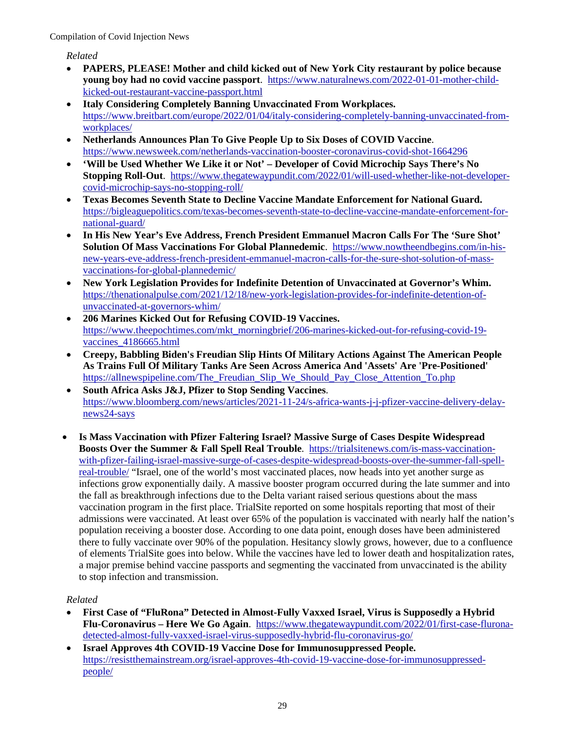- **PAPERS, PLEASE! Mother and child kicked out of New York City restaurant by police because young boy had no covid vaccine passport**. [https://www.naturalnews.com/2022-01-01-mother-child](https://www.naturalnews.com/2022-01-01-mother-child-kicked-out-restaurant-vaccine-passport.html)[kicked-out-restaurant-vaccine-passport.html](https://www.naturalnews.com/2022-01-01-mother-child-kicked-out-restaurant-vaccine-passport.html)
- **Italy Considering Completely Banning Unvaccinated From Workplaces.** [https://www.breitbart.com/europe/2022/01/04/italy-considering-completely-banning-unvaccinated-from](https://www.breitbart.com/europe/2022/01/04/italy-considering-completely-banning-unvaccinated-from-workplaces/)[workplaces/](https://www.breitbart.com/europe/2022/01/04/italy-considering-completely-banning-unvaccinated-from-workplaces/)
- **Netherlands Announces Plan To Give People Up to Six Doses of COVID Vaccine**. <https://www.newsweek.com/netherlands-vaccination-booster-coronavirus-covid-shot-1664296>
- **'Will be Used Whether We Like it or Not' Developer of Covid Microchip Says There's No Stopping Roll-Out**. [https://www.thegatewaypundit.com/2022/01/will-used-whether-like-not-developer](https://www.thegatewaypundit.com/2022/01/will-used-whether-like-not-developer-covid-microchip-says-no-stopping-roll/)[covid-microchip-says-no-stopping-roll/](https://www.thegatewaypundit.com/2022/01/will-used-whether-like-not-developer-covid-microchip-says-no-stopping-roll/)
- **Texas Becomes Seventh State to Decline Vaccine Mandate Enforcement for National Guard.** [https://bigleaguepolitics.com/texas-becomes-seventh-state-to-decline-vaccine-mandate-enforcement-for](https://bigleaguepolitics.com/texas-becomes-seventh-state-to-decline-vaccine-mandate-enforcement-for-national-guard/)[national-guard/](https://bigleaguepolitics.com/texas-becomes-seventh-state-to-decline-vaccine-mandate-enforcement-for-national-guard/)
- **In His New Year's Eve Address, French President Emmanuel Macron Calls For The 'Sure Shot' Solution Of Mass Vaccinations For Global Plannedemic**. [https://www.nowtheendbegins.com/in-his](https://www.nowtheendbegins.com/in-his-new-years-eve-address-french-president-emmanuel-macron-calls-for-the-sure-shot-solution-of-mass-vaccinations-for-global-plannedemic/)[new-years-eve-address-french-president-emmanuel-macron-calls-for-the-sure-shot-solution-of-mass](https://www.nowtheendbegins.com/in-his-new-years-eve-address-french-president-emmanuel-macron-calls-for-the-sure-shot-solution-of-mass-vaccinations-for-global-plannedemic/)[vaccinations-for-global-plannedemic/](https://www.nowtheendbegins.com/in-his-new-years-eve-address-french-president-emmanuel-macron-calls-for-the-sure-shot-solution-of-mass-vaccinations-for-global-plannedemic/)
- **New York Legislation Provides for Indefinite Detention of Unvaccinated at Governor's Whim.** [https://thenationalpulse.com/2021/12/18/new-york-legislation-provides-for-indefinite-detention-of](https://thenationalpulse.com/2021/12/18/new-york-legislation-provides-for-indefinite-detention-of-unvaccinated-at-governors-whim/)[unvaccinated-at-governors-whim/](https://thenationalpulse.com/2021/12/18/new-york-legislation-provides-for-indefinite-detention-of-unvaccinated-at-governors-whim/)
- **206 Marines Kicked Out for Refusing COVID-19 Vaccines.** [https://www.theepochtimes.com/mkt\\_morningbrief/206-marines-kicked-out-for-refusing-covid-19](https://www.theepochtimes.com/mkt_morningbrief/206-marines-kicked-out-for-refusing-covid-19-vaccines_4186665.html) vaccines 4186665.html
- **Creepy, Babbling Biden's Freudian Slip Hints Of Military Actions Against The American People As Trains Full Of Military Tanks Are Seen Across America And 'Assets' Are 'Pre-Positioned'** [https://allnewspipeline.com/The\\_Freudian\\_Slip\\_We\\_Should\\_Pay\\_Close\\_Attention\\_To.php](https://allnewspipeline.com/The_Freudian_Slip_We_Should_Pay_Close_Attention_To.php)
- **South Africa Asks J&J, Pfizer to Stop Sending Vaccines**. [https://www.bloomberg.com/news/articles/2021-11-24/s-africa-wants-j-j-pfizer-vaccine-delivery-delay](https://www.bloomberg.com/news/articles/2021-11-24/s-africa-wants-j-j-pfizer-vaccine-delivery-delay-news24-says)[news24-says](https://www.bloomberg.com/news/articles/2021-11-24/s-africa-wants-j-j-pfizer-vaccine-delivery-delay-news24-says)
- **Is Mass Vaccination with Pfizer Faltering Israel? Massive Surge of Cases Despite Widespread Boosts Over the Summer & Fall Spell Real Trouble**. [https://trialsitenews.com/is-mass-vaccination](https://trialsitenews.com/is-mass-vaccination-with-pfizer-failing-israel-massive-surge-of-cases-despite-widespread-boosts-over-the-summer-fall-spell-real-trouble/)[with-pfizer-failing-israel-massive-surge-of-cases-despite-widespread-boosts-over-the-summer-fall-spell](https://trialsitenews.com/is-mass-vaccination-with-pfizer-failing-israel-massive-surge-of-cases-despite-widespread-boosts-over-the-summer-fall-spell-real-trouble/)[real-trouble/](https://trialsitenews.com/is-mass-vaccination-with-pfizer-failing-israel-massive-surge-of-cases-despite-widespread-boosts-over-the-summer-fall-spell-real-trouble/) "Israel, one of the world's most vaccinated places, now heads into yet another surge as infections grow exponentially daily. A massive booster program occurred during the late summer and into the fall as breakthrough infections due to the Delta variant raised serious questions about the mass vaccination program in the first place. TrialSite reported on some hospitals reporting that most of their admissions were vaccinated. At least over 65% of the population is vaccinated with nearly half the nation's population receiving a booster dose. According to one data point, enough doses have been administered there to fully vaccinate over 90% of the population. Hesitancy slowly grows, however, due to a confluence of elements TrialSite goes into below. While the vaccines have led to lower death and hospitalization rates, a major premise behind vaccine passports and segmenting the vaccinated from unvaccinated is the ability to stop infection and transmission.

- **First Case of "FluRona" Detected in Almost-Fully Vaxxed Israel, Virus is Supposedly a Hybrid Flu-Coronavirus – Here We Go Again**. [https://www.thegatewaypundit.com/2022/01/first-case-flurona](https://www.thegatewaypundit.com/2022/01/first-case-flurona-detected-almost-fully-vaxxed-israel-virus-supposedly-hybrid-flu-coronavirus-go/)[detected-almost-fully-vaxxed-israel-virus-supposedly-hybrid-flu-coronavirus-go/](https://www.thegatewaypundit.com/2022/01/first-case-flurona-detected-almost-fully-vaxxed-israel-virus-supposedly-hybrid-flu-coronavirus-go/)
- **Israel Approves 4th COVID-19 Vaccine Dose for Immunosuppressed People.** [https://resistthemainstream.org/israel-approves-4th-covid-19-vaccine-dose-for-immunosuppressed](https://resistthemainstream.org/israel-approves-4th-covid-19-vaccine-dose-for-immunosuppressed-people/)[people/](https://resistthemainstream.org/israel-approves-4th-covid-19-vaccine-dose-for-immunosuppressed-people/)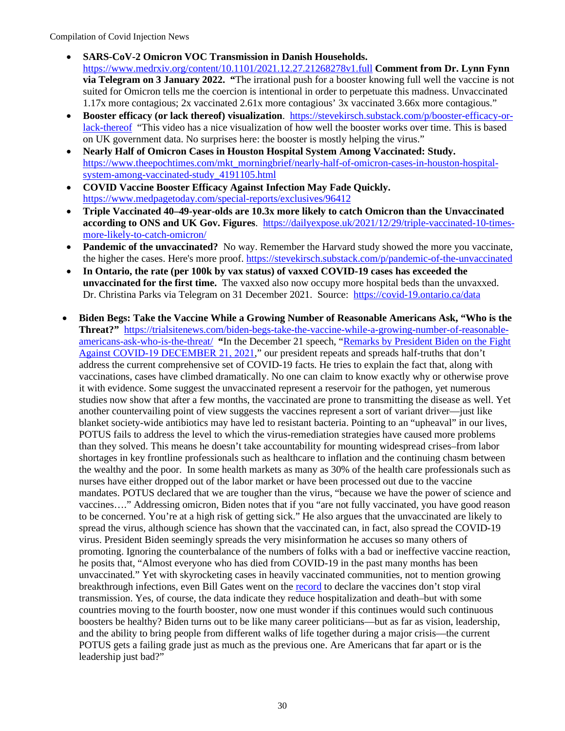- **SARS-CoV-2 Omicron VOC Transmission in Danish Households.**  <https://www.medrxiv.org/content/10.1101/2021.12.27.21268278v1.full> **Comment from Dr. Lynn Fynn via Telegram on 3 January 2022. "**The irrational push for a booster knowing full well the vaccine is not suited for Omicron tells me the coercion is intentional in order to perpetuate this madness. Unvaccinated 1.17x more contagious; 2x vaccinated 2.61x more contagious' 3x vaccinated 3.66x more contagious."
- **Booster efficacy (or lack thereof) visualization**. [https://stevekirsch.substack.com/p/booster-efficacy-or](https://stevekirsch.substack.com/p/booster-efficacy-or-lack-thereof)[lack-thereof](https://stevekirsch.substack.com/p/booster-efficacy-or-lack-thereof) "This video has a nice visualization of how well the booster works over time. This is based on UK government data. No surprises here: the booster is mostly helping the virus."
- **Nearly Half of Omicron Cases in Houston Hospital System Among Vaccinated: Study.**  [https://www.theepochtimes.com/mkt\\_morningbrief/nearly-half-of-omicron-cases-in-houston-hospital](https://www.theepochtimes.com/mkt_morningbrief/nearly-half-of-omicron-cases-in-houston-hospital-system-among-vaccinated-study_4191105.html)[system-among-vaccinated-study\\_4191105.html](https://www.theepochtimes.com/mkt_morningbrief/nearly-half-of-omicron-cases-in-houston-hospital-system-among-vaccinated-study_4191105.html)
- **COVID Vaccine Booster Efficacy Against Infection May Fade Quickly.** <https://www.medpagetoday.com/special-reports/exclusives/96412>
- **Triple Vaccinated 40–49-year-olds are 10.3x more likely to catch Omicron than the Unvaccinated according to ONS and UK Gov. Figures**. [https://dailyexpose.uk/2021/12/29/triple-vaccinated-10-times](https://dailyexpose.uk/2021/12/29/triple-vaccinated-10-times-more-likely-to-catch-omicron/)[more-likely-to-catch-omicron/](https://dailyexpose.uk/2021/12/29/triple-vaccinated-10-times-more-likely-to-catch-omicron/)
- Pandemic of the unvaccinated? No way. Remember the Harvard study showed the more you vaccinate, the higher the cases. Here's more proof. https://stevekirsch.substack.com/p/pandemic-of-the-unvaccinated
- **In Ontario, the rate (per 100k by vax status) of vaxxed COVID-19 cases has exceeded the unvaccinated for the first time.** The vaxxed also now occupy more hospital beds than the unvaxxed. Dr. Christina Parks via Telegram on 31 December 2021. Source: https://covid-19.ontario.ca/data
- **Biden Begs: Take the Vaccine While a Growing Number of Reasonable Americans Ask, "Who is the Threat?"** [https://trialsitenews.com/biden-begs-take-the-vaccine-while-a-growing-number-of-reasonable](https://trialsitenews.com/biden-begs-take-the-vaccine-while-a-growing-number-of-reasonable-americans-ask-who-is-the-threat/)[americans-ask-who-is-the-threat/](https://trialsitenews.com/biden-begs-take-the-vaccine-while-a-growing-number-of-reasonable-americans-ask-who-is-the-threat/) **"**In the December 21 speech, ["Remarks by President Biden on the Fight](https://www.whitehouse.gov/briefing-room/statements-releases/2021/12/21/remarks-by-president-biden-on-the-fight-against-covid-19/)  Against COVID-[19 DECEMBER 21, 2021](https://www.whitehouse.gov/briefing-room/statements-releases/2021/12/21/remarks-by-president-biden-on-the-fight-against-covid-19/)," our president repeats and spreads half-truths that don't address the current comprehensive set of COVID-19 facts. He tries to explain the fact that, along with vaccinations, cases have climbed dramatically. No one can claim to know exactly why or otherwise prove it with evidence. Some suggest the unvaccinated represent a reservoir for the pathogen, yet numerous studies now show that after a few months, the vaccinated are prone to transmitting the disease as well. Yet another countervailing point of view suggests the vaccines represent a sort of variant driver—just like blanket society-wide antibiotics may have led to resistant bacteria. Pointing to an "upheaval" in our lives, POTUS fails to address the level to which the virus-remediation strategies have caused more problems than they solved. This means he doesn't take accountability for mounting widespread crises–from labor shortages in key frontline professionals such as healthcare to inflation and the continuing chasm between the wealthy and the poor. In some health markets as many as 30% of the health care professionals such as nurses have either dropped out of the labor market or have been processed out due to the vaccine mandates. POTUS declared that we are tougher than the virus, "because we have the power of science and vaccines…." Addressing omicron, Biden notes that if you "are not fully vaccinated, you have good reason to be concerned. You're at a high risk of getting sick." He also argues that the unvaccinated are likely to spread the virus, although science has shown that the vaccinated can, in fact, also spread the COVID-19 virus. President Biden seemingly spreads the very misinformation he accuses so many others of promoting. Ignoring the counterbalance of the numbers of folks with a bad or ineffective vaccine reaction, he posits that, "Almost everyone who has died from COVID-19 in the past many months has been unvaccinated." Yet with skyrocketing cases in heavily vaccinated communities, not to mention growing breakthrough infections, even Bill Gates went on the [record](https://trialsitenews.com/bill-gates-acknowledges-covid-19-vaccines-not-stopping-viral-transmission-fundamental-premises-questioned/) to declare the vaccines don't stop viral transmission. Yes, of course, the data indicate they reduce hospitalization and death–but with some countries moving to the fourth booster, now one must wonder if this continues would such continuous boosters be healthy? Biden turns out to be like many career politicians—but as far as vision, leadership, and the ability to bring people from different walks of life together during a major crisis—the current POTUS gets a failing grade just as much as the previous one. Are Americans that far apart or is the leadership just bad?"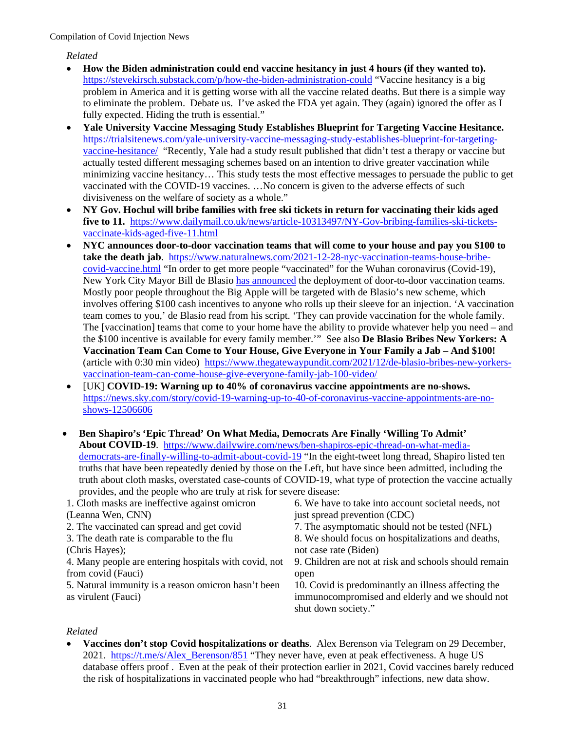- **How the Biden administration could end vaccine hesitancy in just 4 hours (if they wanted to).**  <https://stevekirsch.substack.com/p/how-the-biden-administration-could> "Vaccine hesitancy is a big problem in America and it is getting worse with all the vaccine related deaths. But there is a simple way to eliminate the problem. Debate us. I've asked the FDA yet again. They (again) ignored the offer as I fully expected. Hiding the truth is essential."
- **Yale University Vaccine Messaging Study Establishes Blueprint for Targeting Vaccine Hesitance.**  [https://trialsitenews.com/yale-university-vaccine-messaging-study-establishes-blueprint-for-targeting](https://trialsitenews.com/yale-university-vaccine-messaging-study-establishes-blueprint-for-targeting-vaccine-hesitance/)[vaccine-hesitance/](https://trialsitenews.com/yale-university-vaccine-messaging-study-establishes-blueprint-for-targeting-vaccine-hesitance/) "Recently, Yale had a study result published that didn't test a therapy or vaccine but actually tested different messaging schemes based on an intention to drive greater vaccination while minimizing vaccine hesitancy… This study tests the most effective messages to persuade the public to get vaccinated with the COVID-19 vaccines. …No concern is given to the adverse effects of such divisiveness on the welfare of society as a whole."
- **NY Gov. Hochul will bribe families with free ski tickets in return for vaccinating their kids aged five to 11.** [https://www.dailymail.co.uk/news/article-10313497/NY-Gov-bribing-families-ski-tickets](https://www.dailymail.co.uk/news/article-10313497/NY-Gov-bribing-families-ski-tickets-vaccinate-kids-aged-five-11.html)[vaccinate-kids-aged-five-11.html](https://www.dailymail.co.uk/news/article-10313497/NY-Gov-bribing-families-ski-tickets-vaccinate-kids-aged-five-11.html)
- **NYC announces door-to-door vaccination teams that will come to your house and pay you \$100 to take the death jab**. [https://www.naturalnews.com/2021-12-28-nyc-vaccination-teams-house-bribe](https://www.naturalnews.com/2021-12-28-nyc-vaccination-teams-house-bribe-covid-vaccine.html)[covid-vaccine.html](https://www.naturalnews.com/2021-12-28-nyc-vaccination-teams-house-bribe-covid-vaccine.html) "In order to get more people "vaccinated" for the Wuhan coronavirus (Covid-19), New York City Mayor Bill de Blasio [has announced](https://www.thegatewaypundit.com/2021/12/de-blasio-bribes-new-yorkers-vaccination-team-can-come-house-give-everyone-family-jab-100-video/) the deployment of door-to-door vaccination teams. Mostly poor people throughout the Big Apple will be targeted with de Blasio's new scheme, which involves offering \$100 cash incentives to anyone who rolls up their sleeve for an injection. 'A vaccination team comes to you,' de Blasio read from his script. 'They can provide vaccination for the whole family. The [vaccination] teams that come to your home have the ability to provide whatever help you need – and the \$100 incentive is available for every family member.'" See also **De Blasio Bribes New Yorkers: A Vaccination Team Can Come to Your House, Give Everyone in Your Family a Jab – And \$100!** (article with 0:30 min video) [https://www.thegatewaypundit.com/2021/12/de-blasio-bribes-new-yorkers](https://www.thegatewaypundit.com/2021/12/de-blasio-bribes-new-yorkers-vaccination-team-can-come-house-give-everyone-family-jab-100-video/)[vaccination-team-can-come-house-give-everyone-family-jab-100-video/](https://www.thegatewaypundit.com/2021/12/de-blasio-bribes-new-yorkers-vaccination-team-can-come-house-give-everyone-family-jab-100-video/)
- [UK] **COVID-19: Warning up to 40% of coronavirus vaccine appointments are no-shows.**  [https://news.sky.com/story/covid-19-warning-up-to-40-of-coronavirus-vaccine-appointments-are-no](https://news.sky.com/story/covid-19-warning-up-to-40-of-coronavirus-vaccine-appointments-are-no-shows-12506606)[shows-12506606](https://news.sky.com/story/covid-19-warning-up-to-40-of-coronavirus-vaccine-appointments-are-no-shows-12506606)
- **Ben Shapiro's 'Epic Thread' On What Media, Democrats Are Finally 'Willing To Admit' About COVID-19**. [https://www.dailywire.com/news/ben-shapiros-epic-thread-on-what-media](https://www.dailywire.com/news/ben-shapiros-epic-thread-on-what-media-democrats-are-finally-willing-to-admit-about-covid-19)[democrats-are-finally-willing-to-admit-about-covid-19](https://www.dailywire.com/news/ben-shapiros-epic-thread-on-what-media-democrats-are-finally-willing-to-admit-about-covid-19) "In the eight-tweet long thread, Shapiro listed ten truths that have been repeatedly denied by those on the Left, but have since been admitted, including the truth about cloth masks, overstated case-counts of COVID-19, what type of protection the vaccine actually provides, and the people who are truly at risk for severe disease:

| 1. Cloth masks are ineffective against omicron        | 6. We have to take into account societal needs, not   |
|-------------------------------------------------------|-------------------------------------------------------|
| (Leanna Wen, CNN)                                     | just spread prevention (CDC)                          |
| 2. The vaccinated can spread and get covid            | 7. The asymptomatic should not be tested (NFL)        |
| 3. The death rate is comparable to the flu            | 8. We should focus on hospitalizations and deaths,    |
| (Chris Hayes);                                        | not case rate (Biden)                                 |
| 4. Many people are entering hospitals with covid, not | 9. Children are not at risk and schools should remain |
| from covid (Fauci)                                    | open                                                  |
| 5. Natural immunity is a reason omicron hasn't been   | 10. Covid is predominantly an illness affecting the   |
| as virulent (Fauci)                                   | immunocompromised and elderly and we should not       |
|                                                       | shut down society."                                   |
|                                                       |                                                       |

#### *Related*

• **Vaccines don't stop Covid hospitalizations or deaths**. Alex Berenson via Telegram on 29 December, 2021. [https://t.me/s/Alex\\_Berenson/851](https://t.me/s/Alex_Berenson/851) "They never have, even at peak effectiveness. A huge US database offers proof . Even at the peak of their protection earlier in 2021, Covid vaccines barely reduced the risk of hospitalizations in vaccinated people who had "breakthrough" infections, new data show.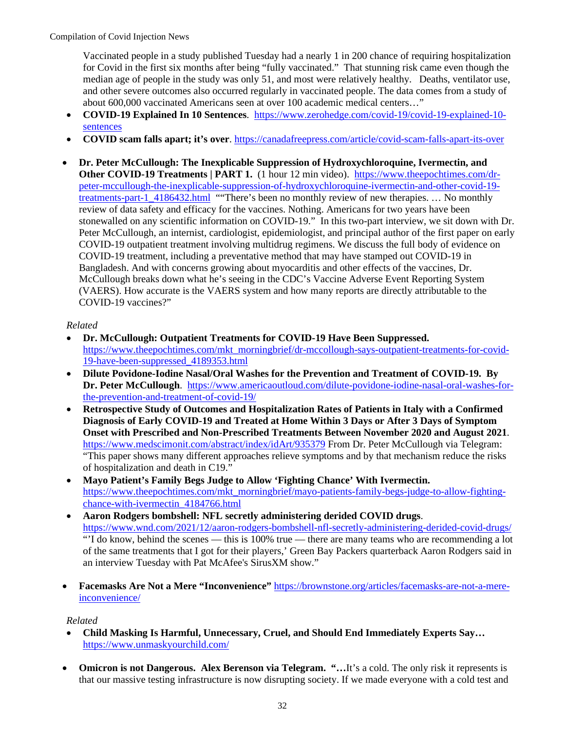Vaccinated people in a study published Tuesday had a nearly 1 in 200 chance of requiring hospitalization for Covid in the first six months after being "fully vaccinated." That stunning risk came even though the median age of people in the study was only 51, and most were relatively healthy. Deaths, ventilator use, and other severe outcomes also occurred regularly in vaccinated people. The data comes from a study of about 600,000 vaccinated Americans seen at over 100 academic medical centers…"

- **COVID-19 Explained In 10 Sentences**. [https://www.zerohedge.com/covid-19/covid-19-explained-10](https://www.zerohedge.com/covid-19/covid-19-explained-10-sentences) [sentences](https://www.zerohedge.com/covid-19/covid-19-explained-10-sentences)
- **COVID scam falls apart; it's over**.<https://canadafreepress.com/article/covid-scam-falls-apart-its-over>
- **Dr. Peter McCullough: The Inexplicable Suppression of Hydroxychloroquine, Ivermectin, and Other COVID-19 Treatments | PART 1.** (1 hour 12 min video). [https://www.theepochtimes.com/dr](https://www.theepochtimes.com/dr-peter-mccullough-the-inexplicable-suppression-of-hydroxychloroquine-ivermectin-and-other-covid-19-treatments-part-1_4186432.html)[peter-mccullough-the-inexplicable-suppression-of-hydroxychloroquine-ivermectin-and-other-covid-19](https://www.theepochtimes.com/dr-peter-mccullough-the-inexplicable-suppression-of-hydroxychloroquine-ivermectin-and-other-covid-19-treatments-part-1_4186432.html) [treatments-part-1\\_4186432.html](https://www.theepochtimes.com/dr-peter-mccullough-the-inexplicable-suppression-of-hydroxychloroquine-ivermectin-and-other-covid-19-treatments-part-1_4186432.html) ""There's been no monthly review of new therapies. … No monthly review of data safety and efficacy for the vaccines. Nothing. Americans for two years have been stonewalled on any scientific information on COVID-19." In this two-part interview, we sit down with Dr. Peter McCullough, an internist, cardiologist, epidemiologist, and principal author of the first paper on early COVID-19 outpatient treatment involving multidrug regimens. We discuss the full body of evidence on COVID-19 treatment, including a preventative method that may have stamped out COVID-19 in Bangladesh. And with concerns growing about myocarditis and other effects of the vaccines, Dr. McCullough breaks down what he's seeing in the CDC's Vaccine Adverse Event Reporting System (VAERS). How accurate is the VAERS system and how many reports are directly attributable to the COVID-19 vaccines?"

#### *Related*

- **Dr. McCullough: Outpatient Treatments for COVID-19 Have Been Suppressed.** [https://www.theepochtimes.com/mkt\\_morningbrief/dr-mccollough-says-outpatient-treatments-for-covid-](https://www.theepochtimes.com/mkt_morningbrief/dr-mccollough-says-outpatient-treatments-for-covid-19-have-been-suppressed_4189353.html)[19-have-been-suppressed\\_4189353.html](https://www.theepochtimes.com/mkt_morningbrief/dr-mccollough-says-outpatient-treatments-for-covid-19-have-been-suppressed_4189353.html)
- **Dilute Povidone-Iodine Nasal/Oral Washes for the Prevention and Treatment of COVID-19. By Dr. Peter McCullough**. [https://www.americaoutloud.com/dilute-povidone-iodine-nasal-oral-washes-for](https://www.americaoutloud.com/dilute-povidone-iodine-nasal-oral-washes-for-the-prevention-and-treatment-of-covid-19/)[the-prevention-and-treatment-of-covid-19/](https://www.americaoutloud.com/dilute-povidone-iodine-nasal-oral-washes-for-the-prevention-and-treatment-of-covid-19/)
- **Retrospective Study of Outcomes and Hospitalization Rates of Patients in Italy with a Confirmed Diagnosis of Early COVID-19 and Treated at Home Within 3 Days or After 3 Days of Symptom Onset with Prescribed and Non-Prescribed Treatments Between November 2020 and August 2021**. <https://www.medscimonit.com/abstract/index/idArt/935379> From Dr. Peter McCullough via Telegram: "This paper shows many different approaches relieve symptoms and by that mechanism reduce the risks of hospitalization and death in C19."
- **Mayo Patient's Family Begs Judge to Allow 'Fighting Chance' With Ivermectin.**  [https://www.theepochtimes.com/mkt\\_morningbrief/mayo-patients-family-begs-judge-to-allow-fighting](https://www.theepochtimes.com/mkt_morningbrief/mayo-patients-family-begs-judge-to-allow-fighting-chance-with-ivermectin_4184766.html)[chance-with-ivermectin\\_4184766.html](https://www.theepochtimes.com/mkt_morningbrief/mayo-patients-family-begs-judge-to-allow-fighting-chance-with-ivermectin_4184766.html)
- **Aaron Rodgers bombshell: NFL secretly administering derided COVID drugs**. <https://www.wnd.com/2021/12/aaron-rodgers-bombshell-nfl-secretly-administering-derided-covid-drugs/> "'I do know, behind the scenes — this is 100% true — there are many teams who are recommending a lot of the same treatments that I got for their players,' Green Bay Packers quarterback Aaron Rodgers said in an interview Tuesday with Pat McAfee's SirusXM show."
- **Facemasks Are Not a Mere "Inconvenience"** [https://brownstone.org/articles/facemasks-are-not-a-mere](https://brownstone.org/articles/facemasks-are-not-a-mere-inconvenience/)[inconvenience/](https://brownstone.org/articles/facemasks-are-not-a-mere-inconvenience/)

- **Child Masking Is Harmful, Unnecessary, Cruel, and Should End Immediately Experts Say…**  <https://www.unmaskyourchild.com/>
- **Omicron is not Dangerous. Alex Berenson via Telegram. "…**It's a cold. The only risk it represents is that our massive testing infrastructure is now disrupting society. If we made everyone with a cold test and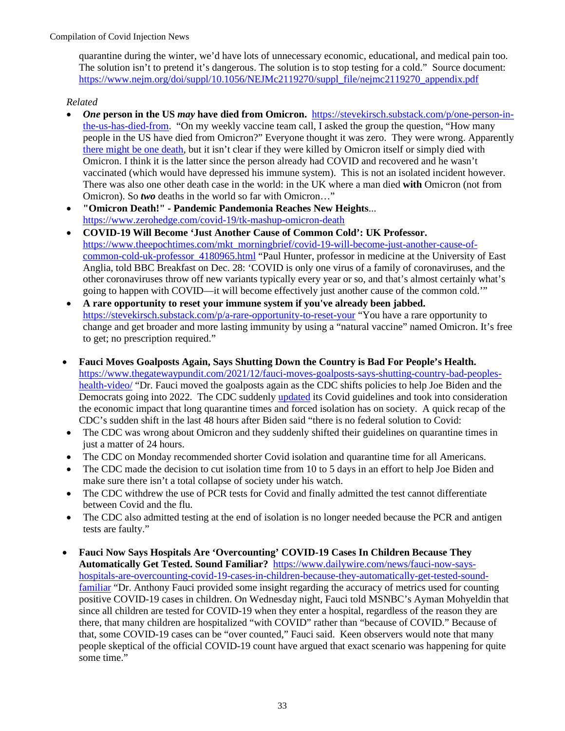quarantine during the winter, we'd have lots of unnecessary economic, educational, and medical pain too. The solution isn't to pretend it's dangerous. The solution is to stop testing for a cold." Source document: [https://www.nejm.org/doi/suppl/10.1056/NEJMc2119270/suppl\\_file/nejmc2119270\\_appendix.pdf](https://www.nejm.org/doi/suppl/10.1056/NEJMc2119270/suppl_file/nejmc2119270_appendix.pdf)

- *One* **person in the US** *may* **have died from Omicron.** [https://stevekirsch.substack.com/p/one-person-in](https://stevekirsch.substack.com/p/one-person-in-the-us-has-died-from)[the-us-has-died-from.](https://stevekirsch.substack.com/p/one-person-in-the-us-has-died-from) "On my weekly vaccine team call, I asked the group the question, "How many people in the US have died from Omicron?" Everyone thought it was zero. They were wrong. Apparently [there might be one death,](https://www.webmd.com/lung/news/20211224/first-omicron-death-in-u-s-was-reinfection) but it isn't clear if they were killed by Omicron itself or simply died with Omicron. I think it is the latter since the person already had COVID and recovered and he wasn't vaccinated (which would have depressed his immune system). This is not an isolated incident however. There was also one other death case in the world: in the UK where a man died **with** Omicron (not from Omicron). So *two* deaths in the world so far with Omicron…"
- **"Omicron Death!" Pandemic Pandemonia Reaches New Heights**... <https://www.zerohedge.com/covid-19/tk-mashup-omicron-death>
- **COVID-19 Will Become 'Just Another Cause of Common Cold': UK Professor.** [https://www.theepochtimes.com/mkt\\_morningbrief/covid-19-will-become-just-another-cause-of](https://www.theepochtimes.com/mkt_morningbrief/covid-19-will-become-just-another-cause-of-common-cold-uk-professor_4180965.html)[common-cold-uk-professor\\_4180965.html](https://www.theepochtimes.com/mkt_morningbrief/covid-19-will-become-just-another-cause-of-common-cold-uk-professor_4180965.html) "Paul Hunter, professor in medicine at the University of East Anglia, told BBC Breakfast on Dec. 28: 'COVID is only one virus of a family of coronaviruses, and the other coronaviruses throw off new variants typically every year or so, and that's almost certainly what's going to happen with COVID—it will become effectively just another cause of the common cold.'"
- **A rare opportunity to reset your immune system if you've already been jabbed.**  <https://stevekirsch.substack.com/p/a-rare-opportunity-to-reset-your>"You have a rare opportunity to change and get broader and more lasting immunity by using a "natural vaccine" named Omicron. It's free to get; no prescription required."
- **Fauci Moves Goalposts Again, Says Shutting Down the Country is Bad For People's Health.** [https://www.thegatewaypundit.com/2021/12/fauci-moves-goalposts-says-shutting-country-bad-peoples](https://www.thegatewaypundit.com/2021/12/fauci-moves-goalposts-says-shutting-country-bad-peoples-health-video/)[health-video/](https://www.thegatewaypundit.com/2021/12/fauci-moves-goalposts-says-shutting-country-bad-peoples-health-video/) "Dr. Fauci moved the goalposts again as the CDC shifts policies to help Joe Biden and the Democrats going into 2022. The CDC suddenl[y updated](https://www.thegatewaypundit.com/2021/12/cdc-director-walensky-says-testing-end-quarantine-no-longer-needed-pcr-tests-can-stay-positive-12-weeks-video/?ff_source=Email&ff_medium=the-gateway-pundit&ff_campaign=dailypm&ff_content=daily) its Covid guidelines and took into consideration the economic impact that long quarantine times and forced isolation has on society. A quick recap of the CDC's sudden shift in the last 48 hours after Biden said "there is no federal solution to Covid:
- The CDC was wrong about Omicron and they suddenly shifted their guidelines on quarantine times in just a matter of 24 hours.
- The CDC on Monday recommended shorter Covid isolation and quarantine time for all Americans.
- The CDC made the decision to cut isolation time from 10 to 5 days in an effort to help Joe Biden and make sure there isn't a total collapse of society under his watch.
- The CDC withdrew the use of PCR tests for Covid and finally admitted the test cannot differentiate between Covid and the flu.
- The CDC also admitted testing at the end of isolation is no longer needed because the PCR and antigen tests are faulty."
- **Fauci Now Says Hospitals Are 'Overcounting' COVID-19 Cases In Children Because They Automatically Get Tested. Sound Familiar?** [https://www.dailywire.com/news/fauci-now-says](https://www.dailywire.com/news/fauci-now-says-hospitals-are-overcounting-covid-19-cases-in-children-because-they-automatically-get-tested-sound-familiar)[hospitals-are-overcounting-covid-19-cases-in-children-because-they-automatically-get-tested-sound](https://www.dailywire.com/news/fauci-now-says-hospitals-are-overcounting-covid-19-cases-in-children-because-they-automatically-get-tested-sound-familiar)[familiar](https://www.dailywire.com/news/fauci-now-says-hospitals-are-overcounting-covid-19-cases-in-children-because-they-automatically-get-tested-sound-familiar) "Dr. Anthony Fauci provided some insight regarding the accuracy of metrics used for counting positive COVID-19 cases in children. On Wednesday night, Fauci told MSNBC's Ayman Mohyeldin that since all children are tested for COVID-19 when they enter a hospital, regardless of the reason they are there, that many children are hospitalized "with COVID" rather than "because of COVID." Because of that, some COVID-19 cases can be "over counted," Fauci said. Keen observers would note that many people skeptical of the official COVID-19 count have argued that exact scenario was happening for quite some time."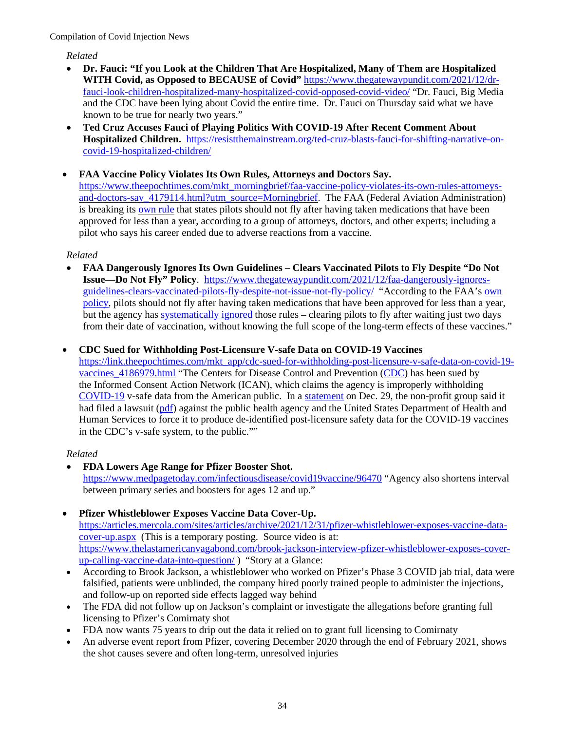- **Dr. Fauci: "If you Look at the Children That Are Hospitalized, Many of Them are Hospitalized WITH Covid, as Opposed to BECAUSE of Covid"** [https://www.thegatewaypundit.com/2021/12/dr](https://www.thegatewaypundit.com/2021/12/dr-fauci-look-children-hospitalized-many-hospitalized-covid-opposed-covid-video/)[fauci-look-children-hospitalized-many-hospitalized-covid-opposed-covid-video/](https://www.thegatewaypundit.com/2021/12/dr-fauci-look-children-hospitalized-many-hospitalized-covid-opposed-covid-video/) "Dr. Fauci, Big Media and the CDC have been lying about Covid the entire time. Dr. Fauci on Thursday said what we have known to be true for nearly two years."
- **Ted Cruz Accuses Fauci of Playing Politics With COVID-19 After Recent Comment About Hospitalized Children.** [https://resistthemainstream.org/ted-cruz-blasts-fauci-for-shifting-narrative-on](https://resistthemainstream.org/ted-cruz-blasts-fauci-for-shifting-narrative-on-covid-19-hospitalized-children/)[covid-19-hospitalized-children/](https://resistthemainstream.org/ted-cruz-blasts-fauci-for-shifting-narrative-on-covid-19-hospitalized-children/)
- **FAA Vaccine Policy Violates Its Own Rules, Attorneys and Doctors Say.**  [https://www.theepochtimes.com/mkt\\_morningbrief/faa-vaccine-policy-violates-its-own-rules-attorneys](https://www.theepochtimes.com/mkt_morningbrief/faa-vaccine-policy-violates-its-own-rules-attorneys-and-doctors-say_4179114.html?utm_source=Morningbrief)[and-doctors-say\\_4179114.html?utm\\_source=Morningbrief.](https://www.theepochtimes.com/mkt_morningbrief/faa-vaccine-policy-violates-its-own-rules-attorneys-and-doctors-say_4179114.html?utm_source=Morningbrief) The FAA (Federal Aviation Administration) is breaking its [own rule](https://www.faa.gov/about/office_org/headquarters_offices/avs/offices/aam/ame/guide/pharm/dni_dnf/) that states pilots should not fly after having taken medications that have been approved for less than a year, according to a group of attorneys, doctors, and other experts; including a pilot who says his career ended due to adverse reactions from a vaccine.

#### *Related*

- **FAA Dangerously Ignores Its Own Guidelines Clears Vaccinated Pilots to Fly Despite "Do Not Issue—Do Not Fly" Policy**. [https://www.thegatewaypundit.com/2021/12/faa-dangerously-ignores](https://www.thegatewaypundit.com/2021/12/faa-dangerously-ignores-guidelines-clears-vaccinated-pilots-fly-despite-not-issue-not-fly-policy/)[guidelines-clears-vaccinated-pilots-fly-despite-not-issue-not-fly-policy/](https://www.thegatewaypundit.com/2021/12/faa-dangerously-ignores-guidelines-clears-vaccinated-pilots-fly-despite-not-issue-not-fly-policy/) "According to the FAA's [own](https://www.faa.gov/about/office_org/headquarters_offices/avs/offices/aam/ame/guide/pharm/dni_dnf/)  [policy,](https://www.faa.gov/about/office_org/headquarters_offices/avs/offices/aam/ame/guide/pharm/dni_dnf/) pilots should not fly after having taken medications that have been approved for less than a year, but the agency has [systematically ignored](https://www.theepochtimes.com/faa-vaccine-policy-violates-its-own-rules-attorneys-and-doctors-say_4179114.html?utm_source=ref_share&utm_campaign=copy&rs=SHRVHRMZ&) those rules **–** clearing pilots to fly after waiting just two days from their date of vaccination, without knowing the full scope of the long-term effects of these vaccines."
- **CDC Sued for Withholding Post-Licensure V-safe Data on COVID-19 Vaccines**

[https://link.theepochtimes.com/mkt\\_app/cdc-sued-for-withholding-post-licensure-v-safe-data-on-covid-19-](https://link.theepochtimes.com/mkt_app/cdc-sued-for-withholding-post-licensure-v-safe-data-on-covid-19-vaccines_4186979.html?utm_source=appan2028330) vaccines 4186979.html "The Centers for Disease Control and Prevention [\(CDC\)](https://www.theepochtimes.com/t-cdc) has been sued by the Informed Consent Action Network (ICAN), which claims the agency is improperly withholding [COVID-19](https://www.theepochtimes.com/t-covid-19) v-safe data from the American public. In a [statement](https://www.icandecide.org/ican_press/ican-sues-cdc-to-stop-hiding-v-safe-data-from-the-public/) on Dec. 29, the non-profit group said it had filed a lawsuit [\(pdf\)](https://www.icandecide.org/wp-content/uploads/2021/12/001-COMPLAINT-24.pdf) against the public health agency and the United States Department of Health and Human Services to force it to produce de-identified post-licensure safety data for the COVID-19 vaccines in the CDC's v-safe system, to the public.""

#### *Related*

• **FDA Lowers Age Range for Pfizer Booster Shot.**

<https://www.medpagetoday.com/infectiousdisease/covid19vaccine/96470> "Agency also shortens interval between primary series and boosters for ages 12 and up."

- **Pfizer Whistleblower Exposes Vaccine Data Cover-Up.**  [https://articles.mercola.com/sites/articles/archive/2021/12/31/pfizer-whistleblower-exposes-vaccine-data](https://articles.mercola.com/sites/articles/archive/2021/12/31/pfizer-whistleblower-exposes-vaccine-data-cover-up.aspx)[cover-up.aspx](https://articles.mercola.com/sites/articles/archive/2021/12/31/pfizer-whistleblower-exposes-vaccine-data-cover-up.aspx) (This is a temporary posting. Source video is at: [https://www.thelastamericanvagabond.com/brook-jackson-interview-pfizer-whistleblower-exposes-cover](https://www.thelastamericanvagabond.com/brook-jackson-interview-pfizer-whistleblower-exposes-cover-up-calling-vaccine-data-into-question/)[up-calling-vaccine-data-into-question/](https://www.thelastamericanvagabond.com/brook-jackson-interview-pfizer-whistleblower-exposes-cover-up-calling-vaccine-data-into-question/) ) "Story at a Glance:
- According to Brook Jackson, a whistleblower who worked on Pfizer's Phase 3 COVID jab trial, data were falsified, patients were unblinded, the company hired poorly trained people to administer the injections, and follow-up on reported side effects lagged way behind
- The FDA did not follow up on Jackson's complaint or investigate the allegations before granting full licensing to Pfizer's Comirnaty shot
- FDA now wants 75 years to drip out the data it relied on to grant full licensing to Comirnaty
- An adverse event report from Pfizer, covering December 2020 through the end of February 2021, shows the shot causes severe and often long-term, unresolved injuries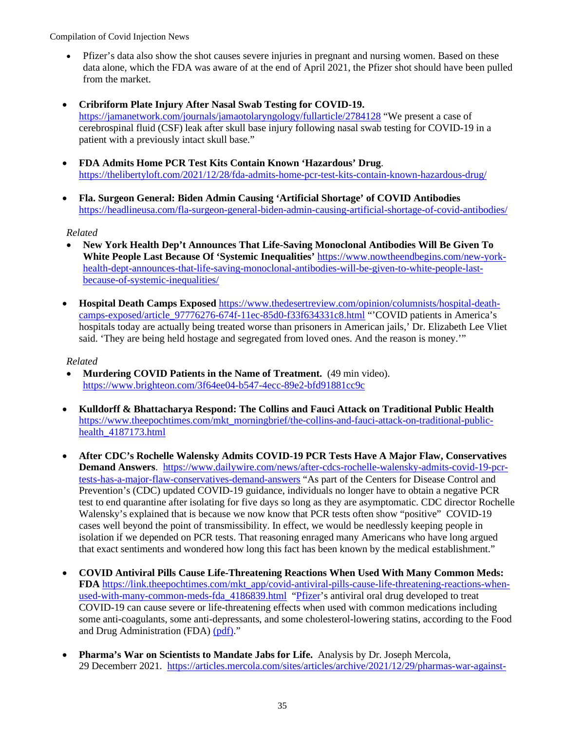- Pfizer's data also show the shot causes severe injuries in pregnant and nursing women. Based on these data alone, which the FDA was aware of at the end of April 2021, the Pfizer shot should have been pulled from the market.
- **Cribriform Plate Injury After Nasal Swab Testing for COVID-19.**  <https://jamanetwork.com/journals/jamaotolaryngology/fullarticle/2784128> "We present a case of cerebrospinal fluid (CSF) leak after skull base injury following nasal swab testing for COVID-19 in a patient with a previously intact skull base."
- **FDA Admits Home PCR Test Kits Contain Known 'Hazardous' Drug**. <https://thelibertyloft.com/2021/12/28/fda-admits-home-pcr-test-kits-contain-known-hazardous-drug/>
- **Fla. Surgeon General: Biden Admin Causing 'Artificial Shortage' of COVID Antibodies**  <https://headlineusa.com/fla-surgeon-general-biden-admin-causing-artificial-shortage-of-covid-antibodies/>

#### *Related*

- **New York Health Dep't Announces That Life-Saving Monoclonal Antibodies Will Be Given To White People Last Because Of 'Systemic Inequalities'** [https://www.nowtheendbegins.com/new-york](https://www.nowtheendbegins.com/new-york-health-dept-announces-that-life-saving-monoclonal-antibodies-will-be-given-to-white-people-last-because-of-systemic-inequalities/)[health-dept-announces-that-life-saving-monoclonal-antibodies-will-be-given-to-white-people-last](https://www.nowtheendbegins.com/new-york-health-dept-announces-that-life-saving-monoclonal-antibodies-will-be-given-to-white-people-last-because-of-systemic-inequalities/)[because-of-systemic-inequalities/](https://www.nowtheendbegins.com/new-york-health-dept-announces-that-life-saving-monoclonal-antibodies-will-be-given-to-white-people-last-because-of-systemic-inequalities/)
- **Hospital Death Camps Exposed** [https://www.thedesertreview.com/opinion/columnists/hospital-death](https://www.thedesertreview.com/opinion/columnists/hospital-death-camps-exposed/article_97776276-674f-11ec-85d0-f33f634331c8.html)[camps-exposed/article\\_97776276-674f-11ec-85d0-f33f634331c8.html](https://www.thedesertreview.com/opinion/columnists/hospital-death-camps-exposed/article_97776276-674f-11ec-85d0-f33f634331c8.html) "'COVID patients in America's hospitals today are actually being treated worse than prisoners in American jails,' Dr. Elizabeth Lee Vliet said. 'They are being held hostage and segregated from loved ones. And the reason is money.'"

- **Murdering COVID Patients in the Name of Treatment.** (49 min video). <https://www.brighteon.com/3f64ee04-b547-4ecc-89e2-bfd91881cc9c>
- **Kulldorff & Bhattacharya Respond: The Collins and Fauci Attack on Traditional Public Health**  [https://www.theepochtimes.com/mkt\\_morningbrief/the-collins-and-fauci-attack-on-traditional-public](https://www.theepochtimes.com/mkt_morningbrief/the-collins-and-fauci-attack-on-traditional-public-health_4187173.html)[health\\_4187173.html](https://www.theepochtimes.com/mkt_morningbrief/the-collins-and-fauci-attack-on-traditional-public-health_4187173.html)
- **After CDC's Rochelle Walensky Admits COVID-19 PCR Tests Have A Major Flaw, Conservatives Demand Answers**. [https://www.dailywire.com/news/after-cdcs-rochelle-walensky-admits-covid-19-pcr](https://www.dailywire.com/news/after-cdcs-rochelle-walensky-admits-covid-19-pcr-tests-has-a-major-flaw-conservatives-demand-answers)[tests-has-a-major-flaw-conservatives-demand-answers](https://www.dailywire.com/news/after-cdcs-rochelle-walensky-admits-covid-19-pcr-tests-has-a-major-flaw-conservatives-demand-answers) "As part of the Centers for Disease Control and Prevention's (CDC) updated COVID-19 guidance, individuals no longer have to obtain a negative PCR test to end quarantine after isolating for five days so long as they are asymptomatic. CDC director Rochelle Walensky's explained that is because we now know that PCR tests often show "positive" COVID-19 cases well beyond the point of transmissibility. In effect, we would be needlessly keeping people in isolation if we depended on PCR tests. That reasoning enraged many Americans who have long argued that exact sentiments and wondered how long this fact has been known by the medical establishment."
- **COVID Antiviral Pills Cause Life-Threatening Reactions When Used With Many Common Meds: FDA** [https://link.theepochtimes.com/mkt\\_app/covid-antiviral-pills-cause-life-threatening-reactions-when](https://link.theepochtimes.com/mkt_app/covid-antiviral-pills-cause-life-threatening-reactions-when-used-with-many-common-meds-fda_4186839.html)[used-with-many-common-meds-fda\\_4186839.html](https://link.theepochtimes.com/mkt_app/covid-antiviral-pills-cause-life-threatening-reactions-when-used-with-many-common-meds-fda_4186839.html) ["Pfizer'](https://www.theepochtimes.com/t-pfizer)s antiviral oral drug developed to treat COVID-19 can cause severe or life-threatening effects when used with common medications including some anti-coagulants, some anti-depressants, and some cholesterol-lowering statins, according to the Food and Drug Administration (FDA) [\(pdf\).](https://www.fda.gov/media/155050/download)"
- **Pharma's War on Scientists to Mandate Jabs for Life.** Analysis by Dr. Joseph Mercola, 29 Decemberr 2021. [https://articles.mercola.com/sites/articles/archive/2021/12/29/pharmas-war-against-](https://articles.mercola.com/sites/articles/archive/2021/12/29/pharmas-war-against-science.aspx)